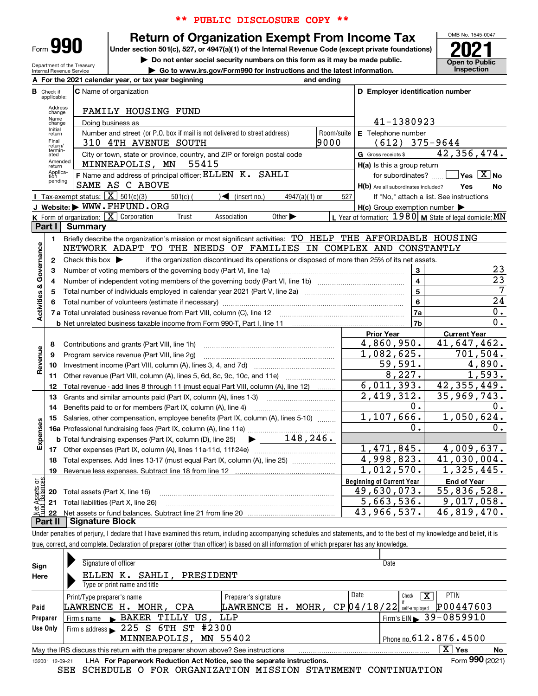| Form |  |  |
|------|--|--|

Department of the Treasury Internal Revenue Service

# \*\* PUBLIC DISCLOSURE COPY \*\*

# **Return of Organization Exempt From Income Tax**

Under section 501(c), 527, or 4947(a)(1) of the Internal Revenue Code (except private foundations) **2021** 

**| Do not enter social security numbers on this form as it may be made public.**

**| Go to www.irs.gov/Form990 for instructions and the latest information. Inspection**



|                         |                                  | For the 2021 calendar year, or tax year beginning                                                                                       | and ending |                                                     |                                                           |
|-------------------------|----------------------------------|-----------------------------------------------------------------------------------------------------------------------------------------|------------|-----------------------------------------------------|-----------------------------------------------------------|
|                         | <b>B</b> Check if<br>applicable: | <b>C</b> Name of organization                                                                                                           |            | D Employer identification number                    |                                                           |
|                         | Address<br>change                | FAMILY HOUSING FUND                                                                                                                     |            |                                                     |                                                           |
|                         | Name<br>change                   | Doing business as                                                                                                                       |            | 41-1380923                                          |                                                           |
|                         | Initial<br>return                | Number and street (or P.O. box if mail is not delivered to street address)                                                              | Room/suite | E Telephone number                                  |                                                           |
|                         | Final<br>return/                 | 310 4TH AVENUE SOUTH                                                                                                                    | 9000       | $(612)$ 375-9644                                    |                                                           |
|                         | termin-<br>ated                  | City or town, state or province, country, and ZIP or foreign postal code                                                                |            | G Gross receipts \$                                 | 42,356,474.                                               |
|                         | Amended<br>return                | 55415<br>MINNEAPOLIS, MN                                                                                                                |            | $H(a)$ is this a group return                       |                                                           |
|                         | Applica-<br>tion<br>pending      | F Name and address of principal officer: ELLEN K. SAHLI                                                                                 |            | for subordinates?                                   | $\sqrt{}$ Yes $\sqrt{}$ X $\sqrt{}$ No                    |
|                         |                                  | SAME AS C ABOVE                                                                                                                         |            | H(b) Are all subordinates included?                 | Yes<br>No                                                 |
|                         |                                  | <b>I</b> Tax-exempt status: $\overline{\mathbf{X}}$ 501(c)(3)<br>$501(c)$ (<br>$\sqrt{\frac{1}{1}}$ (insert no.)<br>$4947(a)(1)$ or     | 527        |                                                     | If "No," attach a list. See instructions                  |
|                         |                                  | J Website: WWW.FHFUND.ORG                                                                                                               |            | $H(c)$ Group exemption number $\blacktriangleright$ |                                                           |
|                         |                                  | K Form of organization: $X$ Corporation<br>Trust<br>Association<br>Other $\blacktriangleright$                                          |            |                                                     | L Year of formation: 1980   M State of legal domicile: MN |
|                         | Part I                           | <b>Summary</b>                                                                                                                          |            |                                                     |                                                           |
|                         | 1.                               | Briefly describe the organization's mission or most significant activities: TO HELP THE AFFORDABLE HOUSING                              |            |                                                     |                                                           |
|                         |                                  | NETWORK ADAPT TO THE NEEDS OF FAMILIES IN COMPLEX AND CONSTANTLY                                                                        |            |                                                     |                                                           |
| Governance              | $\mathbf{2}$                     | Check this box $\blacktriangleright$<br>if the organization discontinued its operations or disposed of more than 25% of its net assets. |            |                                                     |                                                           |
|                         | 3                                | Number of voting members of the governing body (Part VI, line 1a)                                                                       |            | 3                                                   | 23                                                        |
|                         | 4                                |                                                                                                                                         |            | $\overline{\mathbf{4}}$                             | $\overline{23}$                                           |
|                         | 5                                |                                                                                                                                         |            | $\overline{5}$                                      | $\overline{7}$                                            |
|                         | 6                                |                                                                                                                                         |            | $6\phantom{a}$                                      | 24                                                        |
| <b>Activities &amp;</b> |                                  |                                                                                                                                         |            | 7a                                                  | 0.                                                        |
|                         |                                  |                                                                                                                                         |            | 7b                                                  | $\overline{0}$ .                                          |
|                         |                                  |                                                                                                                                         |            | <b>Prior Year</b>                                   | <b>Current Year</b>                                       |
|                         | 8                                | Contributions and grants (Part VIII, line 1h)                                                                                           |            | 4,860,950.                                          | 41,647,462.                                               |
| Revenue                 | 9                                | Program service revenue (Part VIII, line 2g)                                                                                            |            | 1,082,625.                                          | 701,504.                                                  |
|                         | 10                               |                                                                                                                                         |            | 59,591.                                             | 4,890.                                                    |
|                         |                                  | 11 Other revenue (Part VIII, column (A), lines 5, 6d, 8c, 9c, 10c, and 11e)                                                             |            | 8,227.                                              | 1,593.                                                    |
|                         | 12                               | Total revenue - add lines 8 through 11 (must equal Part VIII, column (A), line 12)                                                      |            | 6,011,393.                                          | 42, 355, 449.                                             |
|                         | 13                               | Grants and similar amounts paid (Part IX, column (A), lines 1-3)                                                                        |            | 2,419,312.                                          | 35,969,743.                                               |
|                         | 14                               | Benefits paid to or for members (Part IX, column (A), line 4)                                                                           |            | О.                                                  | 0.                                                        |
|                         | 15                               | Salaries, other compensation, employee benefits (Part IX, column (A), lines 5-10)                                                       |            | 1,107,666.<br>о.                                    | 1,050,624.                                                |
| Expenses                |                                  | 148, 246.                                                                                                                               |            |                                                     | 0.                                                        |
|                         |                                  | $\blacktriangleright$ and $\blacktriangleright$<br><b>b</b> Total fundraising expenses (Part IX, column (D), line 25)                   |            |                                                     |                                                           |
|                         |                                  |                                                                                                                                         |            | 1,471,845.                                          | 4,009,637.                                                |
|                         | 18                               | Total expenses. Add lines 13-17 (must equal Part IX, column (A), line 25) <i>marronomini</i>                                            |            | 4,998,823.                                          | 41,030,004.                                               |
|                         | 19                               |                                                                                                                                         |            | 1,012,570.                                          | 1,325,445.                                                |
| គង្គ                    |                                  |                                                                                                                                         |            | <b>Beginning of Current Year</b>                    | <b>End of Year</b>                                        |
| : Assets<br>d'Balanc    | 20                               | Total assets (Part X, line 16)                                                                                                          |            | 49,630,073.                                         | $\overline{55}$ , 836, 528.                               |
|                         | 21                               | Total liabilities (Part X, line 26)                                                                                                     |            | 5,663,536.                                          | 9,017,058.                                                |
|                         | 22                               |                                                                                                                                         |            | 43,966,537.                                         | 46,819,470.                                               |
|                         | Part II                          | <b>Signature Block</b>                                                                                                                  |            |                                                     |                                                           |

Under penalties of perjury, I declare that I have examined this return, including accompanying schedules and statements, and to the best of my knowledge and belief, it is true, correct, and complete. Declaration of preparer (other than officer) is based on all information of which preparer has any knowledge.

| Sign            | Signature of officer                                                            |                      | Date            |                                        |
|-----------------|---------------------------------------------------------------------------------|----------------------|-----------------|----------------------------------------|
| Here            | SAHLI, PRESIDENT<br>ELLEN K.                                                    |                      |                 |                                        |
|                 | Type or print name and title                                                    |                      |                 |                                        |
|                 | Print/Type preparer's name                                                      | Preparer's signature | Date<br>Check   | PTIN<br>x                              |
| Paid            | LAWRENCE H. MOHR, CPA                                                           | LAWRENCE H.<br>MOHR, | $CP$ [04/18/22] | P00447603<br>self-employed             |
| Preparer        | Firm's name BAKER TILLY US, LLP                                                 |                      |                 | Firm's EIN $\triangleright$ 39-0859910 |
| Use Only        | Firm's address $\geq 225$ S 6 TH ST #2300                                       |                      |                 |                                        |
|                 | MINNEAPOLIS, MN 55402                                                           |                      |                 | Phone no. $612.876.4500$               |
|                 | May the IRS discuss this return with the preparer shown above? See instructions |                      |                 | $\mathbf{X}$<br>Yes<br>No              |
| 132001 12-09-21 | LHA For Paperwork Reduction Act Notice, see the separate instructions.          |                      |                 | Form 990 (2021)                        |
|                 | SEE SCHEDULE O FOR ORGANIZATION MISSION STATEMENT CONTINUATION                  |                      |                 |                                        |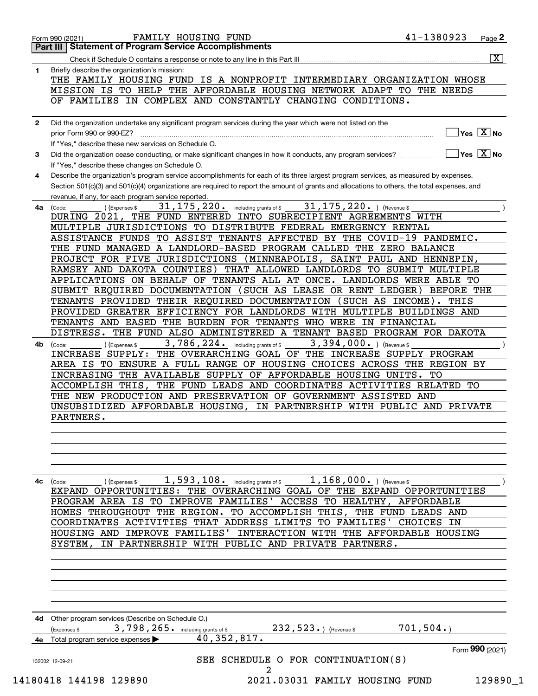|              | THE FAMILY HOUSING FUND IS A NONPROFIT INTERMEDIARY ORGANIZATION WHOSE<br>MISSION IS TO HELP THE AFFORDABLE HOUSING NETWORK ADAPT TO THE NEEDS<br>OF FAMILIES IN COMPLEX AND CONSTANTLY CHANGING CONDITIONS. |
|--------------|--------------------------------------------------------------------------------------------------------------------------------------------------------------------------------------------------------------|
|              |                                                                                                                                                                                                              |
| $\mathbf{2}$ | Did the organization undertake any significant program services during the year which were not listed on the                                                                                                 |
|              | $]$ Yes $[\overline{\mathrm{X}}]$ No<br>prior Form 990 or 990-EZ?                                                                                                                                            |
|              | If "Yes," describe these new services on Schedule O.                                                                                                                                                         |
| 3            | $\boxed{\phantom{1}}$ Yes $\boxed{\text{X}}$ No<br>Did the organization cease conducting, or make significant changes in how it conducts, any program services?                                              |
|              |                                                                                                                                                                                                              |
|              | If "Yes," describe these changes on Schedule O.<br>Describe the organization's program service accomplishments for each of its three largest program services, as measured by expenses.                      |
| 4            | Section 501(c)(3) and 501(c)(4) organizations are required to report the amount of grants and allocations to others, the total expenses, and                                                                 |
|              | revenue, if any, for each program service reported.                                                                                                                                                          |
| 4a l         | 31, 175, 220. $ $ (Revenue \$<br>31, 175, 220. including grants of \$<br>) (Expenses \$<br>(Code:                                                                                                            |
|              | DURING 2021, THE FUND ENTERED INTO SUBRECIPIENT AGREEMENTS WITH                                                                                                                                              |
|              | MULTIPLE JURISDICTIONS TO DISTRIBUTE FEDERAL EMERGENCY RENTAL                                                                                                                                                |
|              | ASSISTANCE FUNDS TO ASSIST TENANTS AFFECTED BY THE COVID-19 PANDEMIC.                                                                                                                                        |
|              | THE FUND MANAGED A LANDLORD-BASED PROGRAM CALLED THE ZERO BALANCE                                                                                                                                            |
|              | PROJECT FOR FIVE JURISDICTIONS (MINNEAPOLIS, SAINT PAUL AND HENNEPIN,                                                                                                                                        |
|              | RAMSEY AND DAKOTA COUNTIES) THAT ALLOWED LANDLORDS TO SUBMIT MULTIPLE                                                                                                                                        |
|              | APPLICATIONS ON BEHALF OF TENANTS ALL AT ONCE. LANDLORDS WERE ABLE TO                                                                                                                                        |
|              | SUBMIT REQUIRED DOCUMENTATION (SUCH AS LEASE OR RENT LEDGER) BEFORE THE                                                                                                                                      |
|              | TENANTS PROVIDED THEIR REQUIRED DOCUMENTATION (SUCH AS INCOME). THIS                                                                                                                                         |
|              | PROVIDED GREATER EFFICIENCY FOR LANDLORDS WITH MULTIPLE BUILDINGS AND                                                                                                                                        |
|              | TENANTS AND EASED THE BURDEN FOR TENANTS WHO WERE IN FINANCIAL                                                                                                                                               |
|              | DISTRESS. THE FUND ALSO ADMINISTERED A TENANT BASED PROGRAM FOR DAKOTA                                                                                                                                       |
| 4b.          | 3,786,224. including grants of \$<br>3, 394, 000. ) (Revenue \$<br>) (Expenses \$<br>(Code:                                                                                                                  |
|              | INCREASE SUPPLY: THE OVERARCHING GOAL OF THE INCREASE SUPPLY PROGRAM                                                                                                                                         |
|              | AREA IS TO ENSURE A FULL RANGE OF HOUSING CHOICES ACROSS THE REGION BY                                                                                                                                       |
|              | INCREASING THE AVAILABLE SUPPLY OF AFFORDABLE HOUSING UNITS. TO                                                                                                                                              |
|              | ACCOMPLISH THIS, THE FUND LEADS AND COORDINATES ACTIVITIES RELATED TO                                                                                                                                        |
|              | THE NEW PRODUCTION AND PRESERVATION OF GOVERNMENT ASSISTED AND                                                                                                                                               |
|              | UNSUBSIDIZED AFFORDABLE HOUSING, IN PARTNERSHIP WITH PUBLIC AND PRIVATE                                                                                                                                      |
|              | PARTNERS.                                                                                                                                                                                                    |
|              |                                                                                                                                                                                                              |
|              |                                                                                                                                                                                                              |
|              |                                                                                                                                                                                                              |
|              |                                                                                                                                                                                                              |
|              |                                                                                                                                                                                                              |
| 4с           | 1,593,108. including grants of \$<br>$1,168,000.$ ) (Revenue \$<br>) (Expenses \$<br>(Code:                                                                                                                  |
|              | EXPAND OPPORTUNITIES: THE OVERARCHING GOAL OF THE EXPAND OPPORTUNITIES                                                                                                                                       |
|              | PROGRAM AREA IS TO IMPROVE FAMILIES' ACCESS TO HEALTHY, AFFORDABLE                                                                                                                                           |
|              |                                                                                                                                                                                                              |
|              | HOMES THROUGHOUT THE REGION. TO ACCOMPLISH THIS, THE FUND LEADS AND                                                                                                                                          |
|              | COORDINATES ACTIVITIES THAT ADDRESS LIMITS TO FAMILIES'<br>CHOICES IN                                                                                                                                        |
|              | HOUSING AND IMPROVE FAMILIES' INTERACTION WITH THE AFFORDABLE HOUSING                                                                                                                                        |
|              | IN PARTNERSHIP WITH PUBLIC AND PRIVATE PARTNERS.<br>SYSTEM,                                                                                                                                                  |
|              |                                                                                                                                                                                                              |
|              |                                                                                                                                                                                                              |
|              |                                                                                                                                                                                                              |
|              |                                                                                                                                                                                                              |
|              |                                                                                                                                                                                                              |
|              |                                                                                                                                                                                                              |
| 4d -         | Other program services (Describe on Schedule O.)                                                                                                                                                             |
|              | 701,504.<br>3,798,265. including grants of \$<br>$232, 523.$ (Revenue \$<br>Expenses \$                                                                                                                      |
| 4e           | 40, 352, 817.<br>Total program service expenses                                                                                                                                                              |
|              |                                                                                                                                                                                                              |
|              | SEE SCHEDULE O FOR CONTINUATION(S)<br>132002 12-09-21<br>2                                                                                                                                                   |
|              | Form 990 (2021)<br>14180418 144198 129890<br>129890_1<br>2021.03031 FAMILY HOUSING FUND                                                                                                                      |

Form 990 (2021) Page FAMILY HOUSING FUND 41-1380923 Form 990 (2021) **2021** FAMILY HOUSING FUND<br> **Part III** Statement of Program Service Accomplishments<br> **Part III** Statement of Program Service Accomplishments

Check if Schedule O contains a response or note to any line in this Part III X

|  | Form 990 (2021) |
|--|-----------------|
|  |                 |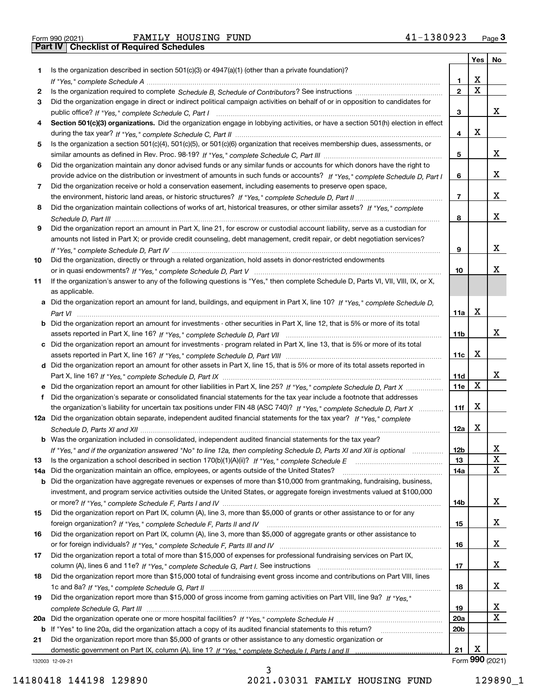|  | Form 990 (2021 |
|--|----------------|

Form 990 (2021) FAMILY HOUSING FUND 41-1380923 <sub>Page</sub> 3<br>**Part IV | Checklist of Required Schedules** 

|     |                                                                                                                                       |                 | Yes | No              |
|-----|---------------------------------------------------------------------------------------------------------------------------------------|-----------------|-----|-----------------|
| 1   | Is the organization described in section $501(c)(3)$ or $4947(a)(1)$ (other than a private foundation)?                               |                 |     |                 |
|     |                                                                                                                                       | 1               | x   |                 |
| 2   |                                                                                                                                       | $\overline{2}$  | X   |                 |
| 3   | Did the organization engage in direct or indirect political campaign activities on behalf of or in opposition to candidates for       |                 |     |                 |
|     |                                                                                                                                       | 3               |     | x               |
| 4   | Section 501(c)(3) organizations. Did the organization engage in lobbying activities, or have a section 501(h) election in effect      |                 |     |                 |
|     |                                                                                                                                       | 4               | x   |                 |
| 5   | Is the organization a section 501(c)(4), 501(c)(5), or 501(c)(6) organization that receives membership dues, assessments, or          |                 |     |                 |
|     |                                                                                                                                       | 5               |     | x               |
| 6   | Did the organization maintain any donor advised funds or any similar funds or accounts for which donors have the right to             |                 |     |                 |
|     | provide advice on the distribution or investment of amounts in such funds or accounts? If "Yes," complete Schedule D, Part I          | 6               |     | x               |
| 7   | Did the organization receive or hold a conservation easement, including easements to preserve open space,                             |                 |     |                 |
|     |                                                                                                                                       | $\overline{7}$  |     | x               |
| 8   | Did the organization maintain collections of works of art, historical treasures, or other similar assets? If "Yes," complete          |                 |     |                 |
|     |                                                                                                                                       | 8               |     | x               |
| 9   | Did the organization report an amount in Part X, line 21, for escrow or custodial account liability, serve as a custodian for         |                 |     |                 |
|     | amounts not listed in Part X; or provide credit counseling, debt management, credit repair, or debt negotiation services?             |                 |     |                 |
|     |                                                                                                                                       | 9               |     | x               |
| 10  | Did the organization, directly or through a related organization, hold assets in donor-restricted endowments                          |                 |     |                 |
|     |                                                                                                                                       | 10              |     | x               |
|     |                                                                                                                                       |                 |     |                 |
| 11  | If the organization's answer to any of the following questions is "Yes," then complete Schedule D, Parts VI, VII, VIII, IX, or X,     |                 |     |                 |
|     | as applicable.                                                                                                                        |                 |     |                 |
|     | a Did the organization report an amount for land, buildings, and equipment in Part X, line 10? If "Yes." complete Schedule D.         |                 | х   |                 |
|     |                                                                                                                                       | 11a             |     |                 |
|     | <b>b</b> Did the organization report an amount for investments - other securities in Part X, line 12, that is 5% or more of its total |                 |     |                 |
|     |                                                                                                                                       | 11b             |     | x               |
|     | c Did the organization report an amount for investments - program related in Part X, line 13, that is 5% or more of its total         |                 |     |                 |
|     |                                                                                                                                       | 11с             | x   |                 |
|     | d Did the organization report an amount for other assets in Part X, line 15, that is 5% or more of its total assets reported in       |                 |     |                 |
|     |                                                                                                                                       | 11d             |     | x               |
|     |                                                                                                                                       | 11e             | х   |                 |
| f   | Did the organization's separate or consolidated financial statements for the tax year include a footnote that addresses               |                 |     |                 |
|     | the organization's liability for uncertain tax positions under FIN 48 (ASC 740)? If "Yes," complete Schedule D, Part X                | 11f             | X   |                 |
|     | 12a Did the organization obtain separate, independent audited financial statements for the tax year? If "Yes," complete               |                 |     |                 |
|     |                                                                                                                                       | 12a             | X   |                 |
|     | <b>b</b> Was the organization included in consolidated, independent audited financial statements for the tax year?                    |                 |     |                 |
|     | If "Yes," and if the organization answered "No" to line 12a, then completing Schedule D, Parts XI and XII is optional                 | 12 <sub>b</sub> |     | х               |
| 13  | Is the organization a school described in section 170(b)(1)(A)(ii)? If "Yes," complete Schedule E                                     | 13              |     | X               |
| 14a | Did the organization maintain an office, employees, or agents outside of the United States?                                           | 14a             |     | х               |
| b   | Did the organization have aggregate revenues or expenses of more than \$10,000 from grantmaking, fundraising, business,               |                 |     |                 |
|     | investment, and program service activities outside the United States, or aggregate foreign investments valued at \$100,000            |                 |     |                 |
|     |                                                                                                                                       | 14b             |     | x               |
| 15  | Did the organization report on Part IX, column (A), line 3, more than \$5,000 of grants or other assistance to or for any             |                 |     |                 |
|     |                                                                                                                                       | 15              |     | x               |
| 16  | Did the organization report on Part IX, column (A), line 3, more than \$5,000 of aggregate grants or other assistance to              |                 |     |                 |
|     |                                                                                                                                       | 16              |     | x               |
| 17  | Did the organization report a total of more than \$15,000 of expenses for professional fundraising services on Part IX,               |                 |     |                 |
|     |                                                                                                                                       | 17              |     | x               |
| 18  | Did the organization report more than \$15,000 total of fundraising event gross income and contributions on Part VIII, lines          |                 |     |                 |
|     |                                                                                                                                       | 18              |     | x               |
| 19  | Did the organization report more than \$15,000 of gross income from gaming activities on Part VIII, line 9a? If "Yes."                |                 |     |                 |
|     |                                                                                                                                       | 19              |     | x               |
| 20a |                                                                                                                                       | 20a             |     | X               |
|     | b If "Yes" to line 20a, did the organization attach a copy of its audited financial statements to this return?                        | 20 <sub>b</sub> |     |                 |
| 21  | Did the organization report more than \$5,000 of grants or other assistance to any domestic organization or                           |                 |     |                 |
|     |                                                                                                                                       | 21              | х   |                 |
|     | 132003 12-09-21                                                                                                                       |                 |     | Form 990 (2021) |

132003 12-09-21

14180418 144198 129890 2021.03031 FAMILY HOUSING FUND 129890\_1

3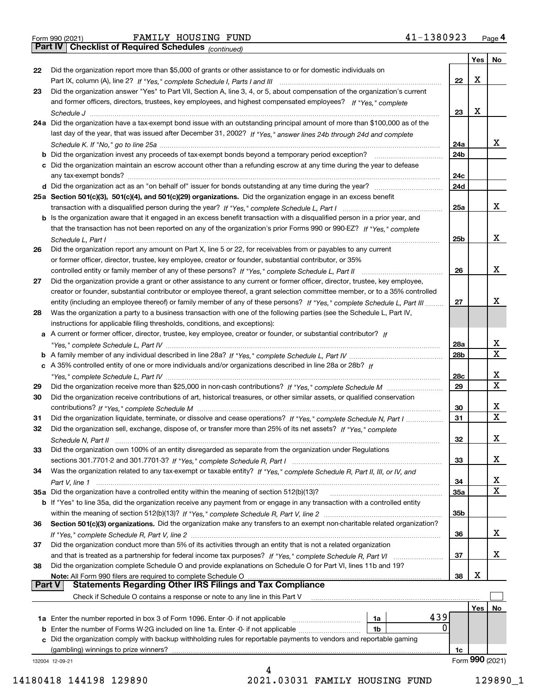|  | Form 990 (2021) |  |
|--|-----------------|--|
|  |                 |  |

Form 990 (2021) Page **4Part IV Checklist of Required Schedules** FAMILY HOUSING FUND 41-1380923

*(continued)*

|               |                                                                                                                              |     | Yes        | <b>No</b>       |
|---------------|------------------------------------------------------------------------------------------------------------------------------|-----|------------|-----------------|
| 22            | Did the organization report more than \$5,000 of grants or other assistance to or for domestic individuals on                |     |            |                 |
|               |                                                                                                                              | 22  | х          |                 |
| 23            | Did the organization answer "Yes" to Part VII, Section A, line 3, 4, or 5, about compensation of the organization's current  |     |            |                 |
|               | and former officers, directors, trustees, key employees, and highest compensated employees? If "Yes," complete               |     |            |                 |
|               |                                                                                                                              | 23  | x          |                 |
|               | 24a Did the organization have a tax-exempt bond issue with an outstanding principal amount of more than \$100,000 as of the  |     |            |                 |
|               | last day of the year, that was issued after December 31, 2002? If "Yes," answer lines 24b through 24d and complete           |     |            |                 |
|               |                                                                                                                              | 24a |            | x               |
|               | b Did the organization invest any proceeds of tax-exempt bonds beyond a temporary period exception?                          | 24b |            |                 |
|               | c Did the organization maintain an escrow account other than a refunding escrow at any time during the year to defease       |     |            |                 |
|               | any tax-exempt bonds?                                                                                                        | 24c |            |                 |
|               |                                                                                                                              | 24d |            |                 |
|               | 25a Section 501(c)(3), 501(c)(4), and 501(c)(29) organizations. Did the organization engage in an excess benefit             |     |            |                 |
|               |                                                                                                                              | 25a |            | x               |
|               | b Is the organization aware that it engaged in an excess benefit transaction with a disqualified person in a prior year, and |     |            |                 |
|               | that the transaction has not been reported on any of the organization's prior Forms 990 or 990-EZ? If "Yes," complete        |     |            |                 |
|               |                                                                                                                              |     |            | х               |
|               | Schedule L. Part I                                                                                                           | 25b |            |                 |
| 26            | Did the organization report any amount on Part X, line 5 or 22, for receivables from or payables to any current              |     |            |                 |
|               | or former officer, director, trustee, key employee, creator or founder, substantial contributor, or 35%                      |     |            |                 |
|               |                                                                                                                              | 26  |            | х               |
| 27            | Did the organization provide a grant or other assistance to any current or former officer, director, trustee, key employee,  |     |            |                 |
|               | creator or founder, substantial contributor or employee thereof, a grant selection committee member, or to a 35% controlled  |     |            |                 |
|               | entity (including an employee thereof) or family member of any of these persons? If "Yes," complete Schedule L, Part III     | 27  |            | x               |
| 28            | Was the organization a party to a business transaction with one of the following parties (see the Schedule L, Part IV,       |     |            |                 |
|               | instructions for applicable filing thresholds, conditions, and exceptions):                                                  |     |            |                 |
|               | a A current or former officer, director, trustee, key employee, creator or founder, or substantial contributor? If           |     |            |                 |
|               |                                                                                                                              | 28a |            | х               |
|               |                                                                                                                              | 28b |            | $\mathbf X$     |
|               | c A 35% controlled entity of one or more individuals and/or organizations described in line 28a or 28b? If                   |     |            |                 |
|               |                                                                                                                              | 28c |            | х               |
| 29            |                                                                                                                              | 29  |            | X               |
| 30            | Did the organization receive contributions of art, historical treasures, or other similar assets, or qualified conservation  |     |            |                 |
|               |                                                                                                                              | 30  |            | х               |
| 31            | Did the organization liquidate, terminate, or dissolve and cease operations? If "Yes," complete Schedule N, Part I           | 31  |            | $\mathbf x$     |
| 32            | Did the organization sell, exchange, dispose of, or transfer more than 25% of its net assets? If "Yes," complete             |     |            |                 |
|               | Schedule N, Part II                                                                                                          | 32  |            | х               |
| 33            | Did the organization own 100% of an entity disregarded as separate from the organization under Regulations                   |     |            |                 |
|               |                                                                                                                              | 33  |            | х               |
| 34            | Was the organization related to any tax-exempt or taxable entity? If "Yes," complete Schedule R, Part II, III, or IV, and    |     |            |                 |
|               |                                                                                                                              | 34  |            | x               |
|               | 35a Did the organization have a controlled entity within the meaning of section 512(b)(13)?                                  | 35a |            | х               |
|               | b If "Yes" to line 35a, did the organization receive any payment from or engage in any transaction with a controlled entity  |     |            |                 |
|               |                                                                                                                              | 35b |            |                 |
| 36            | Section 501(c)(3) organizations. Did the organization make any transfers to an exempt non-charitable related organization?   |     |            |                 |
|               |                                                                                                                              | 36  |            | х               |
| 37            | Did the organization conduct more than 5% of its activities through an entity that is not a related organization             |     |            |                 |
|               | and that is treated as a partnership for federal income tax purposes? If "Yes," complete Schedule R, Part VI                 | 37  |            | х               |
| 38            | Did the organization complete Schedule O and provide explanations on Schedule O for Part VI, lines 11b and 19?               |     |            |                 |
|               | Note: All Form 990 filers are required to complete Schedule O                                                                | 38  | х          |                 |
| <b>Part V</b> | <b>Statements Regarding Other IRS Filings and Tax Compliance</b>                                                             |     |            |                 |
|               | Check if Schedule O contains a response or note to any line in this Part V                                                   |     |            |                 |
|               |                                                                                                                              |     | <b>Yes</b> | No              |
|               | 439<br><b>1a</b> Enter the number reported in box 3 of Form 1096. Enter 0 if not applicable <i>mummumumum</i><br>1a          |     |            |                 |
|               | 0<br><b>b</b> Enter the number of Forms W-2G included on line 1a. Enter -0- if not applicable <i>manumumum</i><br>1b         |     |            |                 |
|               | c Did the organization comply with backup withholding rules for reportable payments to vendors and reportable gaming         |     |            |                 |
|               | (gambling) winnings to prize winners?                                                                                        | 1c  |            |                 |
|               | 132004 12-09-21                                                                                                              |     |            | Form 990 (2021) |
|               |                                                                                                                              |     |            |                 |

14180418 144198 129890 2021.03031 FAMILY HOUSING FUND 129890\_1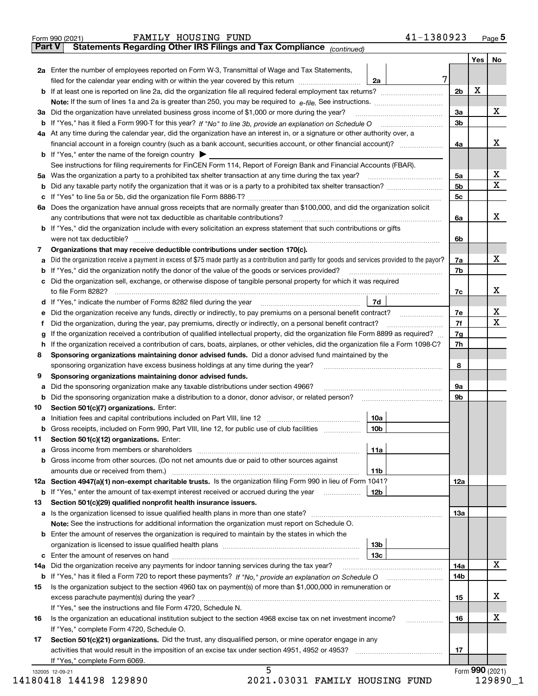|    | Statements Regarding Other IRS Filings and Tax Compliance (continued)                                                                           |                 |                | <b>Yes</b> | No                          |
|----|-------------------------------------------------------------------------------------------------------------------------------------------------|-----------------|----------------|------------|-----------------------------|
|    | 2a Enter the number of employees reported on Form W-3, Transmittal of Wage and Tax Statements,                                                  |                 |                |            |                             |
|    | filed for the calendar year ending with or within the year covered by this return                                                               | 7<br>2a         |                |            |                             |
|    |                                                                                                                                                 |                 | 2 <sub>b</sub> | x          |                             |
|    |                                                                                                                                                 |                 |                |            |                             |
|    | 3a Did the organization have unrelated business gross income of \$1,000 or more during the year?                                                |                 | 3a             |            | X                           |
|    |                                                                                                                                                 |                 | 3 <sub>b</sub> |            |                             |
|    | 4a At any time during the calendar year, did the organization have an interest in, or a signature or other authority over, a                    |                 |                |            |                             |
|    | financial account in a foreign country (such as a bank account, securities account, or other financial account)?                                |                 | 4a             |            | х                           |
|    | <b>b</b> If "Yes," enter the name of the foreign country $\blacktriangleright$                                                                  |                 |                |            |                             |
|    | See instructions for filing requirements for FinCEN Form 114, Report of Foreign Bank and Financial Accounts (FBAR).                             |                 |                |            |                             |
|    |                                                                                                                                                 |                 | 5a             |            | х                           |
| b  |                                                                                                                                                 |                 | 5 <sub>b</sub> |            | $\overline{\mathbf{X}}$     |
|    |                                                                                                                                                 |                 | 5с             |            |                             |
|    | 6a Does the organization have annual gross receipts that are normally greater than \$100,000, and did the organization solicit                  |                 |                |            |                             |
|    | any contributions that were not tax deductible as charitable contributions?                                                                     |                 | 6a             |            | X                           |
|    | <b>b</b> If "Yes," did the organization include with every solicitation an express statement that such contributions or gifts                   |                 |                |            |                             |
|    |                                                                                                                                                 |                 |                |            |                             |
|    |                                                                                                                                                 |                 | 6b             |            |                             |
| 7  | Organizations that may receive deductible contributions under section 170(c).                                                                   |                 |                |            | х                           |
| а  | Did the organization receive a payment in excess of \$75 made partly as a contribution and partly for goods and services provided to the payor? |                 | 7a             |            |                             |
| b  | If "Yes," did the organization notify the donor of the value of the goods or services provided?                                                 |                 | 7b             |            |                             |
|    | c Did the organization sell, exchange, or otherwise dispose of tangible personal property for which it was required                             |                 |                |            |                             |
|    |                                                                                                                                                 |                 | 7c             |            | X                           |
|    | d If "Yes," indicate the number of Forms 8282 filed during the year [11] [11] No. 2010 [12] Henry Manuscover, 1                                 | 7d              |                |            |                             |
| е  | Did the organization receive any funds, directly or indirectly, to pay premiums on a personal benefit contract?                                 |                 | 7e             |            | $\mathbf{x}$<br>$\mathbf X$ |
| f  | Did the organization, during the year, pay premiums, directly or indirectly, on a personal benefit contract?                                    |                 | 7f             |            |                             |
| g  | If the organization received a contribution of qualified intellectual property, did the organization file Form 8899 as required?                |                 | 7g             |            |                             |
| h  | If the organization received a contribution of cars, boats, airplanes, or other vehicles, did the organization file a Form 1098-C?              |                 | 7h             |            |                             |
| 8  | Sponsoring organizations maintaining donor advised funds. Did a donor advised fund maintained by the                                            |                 |                |            |                             |
|    | sponsoring organization have excess business holdings at any time during the year?                                                              |                 | 8              |            |                             |
| 9  | Sponsoring organizations maintaining donor advised funds.                                                                                       |                 |                |            |                             |
| а  | Did the sponsoring organization make any taxable distributions under section 4966?                                                              |                 | 9a             |            |                             |
| b  | Did the sponsoring organization make a distribution to a donor, donor advisor, or related person? [[[[[[[[[[[                                   |                 | 9b             |            |                             |
| 10 | Section 501(c)(7) organizations. Enter:                                                                                                         |                 |                |            |                             |
|    |                                                                                                                                                 | 10a             |                |            |                             |
|    | Gross receipts, included on Form 990, Part VIII, line 12, for public use of club facilities                                                     | 10b             |                |            |                             |
| 11 | Section 501(c)(12) organizations. Enter:                                                                                                        |                 |                |            |                             |
|    |                                                                                                                                                 | 11a             |                |            |                             |
|    | b Gross income from other sources. (Do not net amounts due or paid to other sources against                                                     |                 |                |            |                             |
|    |                                                                                                                                                 | 11b             |                |            |                             |
|    | 12a Section 4947(a)(1) non-exempt charitable trusts. Is the organization filing Form 990 in lieu of Form 1041?                                  |                 | 12a            |            |                             |
|    | <b>b</b> If "Yes," enter the amount of tax-exempt interest received or accrued during the year                                                  | 12b             |                |            |                             |
| 13 | Section 501(c)(29) qualified nonprofit health insurance issuers.                                                                                |                 |                |            |                             |
|    | <b>a</b> Is the organization licensed to issue qualified health plans in more than one state?                                                   |                 | 13а            |            |                             |
|    | Note: See the instructions for additional information the organization must report on Schedule O.                                               |                 |                |            |                             |
|    | <b>b</b> Enter the amount of reserves the organization is required to maintain by the states in which the                                       |                 |                |            |                             |
|    |                                                                                                                                                 | 13 <sub>b</sub> |                |            |                             |
|    |                                                                                                                                                 | 13с             |                |            |                             |
|    | 14a Did the organization receive any payments for indoor tanning services during the tax year?                                                  |                 | 14a            |            | X                           |
|    |                                                                                                                                                 |                 | 14b            |            |                             |
| 15 | Is the organization subject to the section 4960 tax on payment(s) of more than \$1,000,000 in remuneration or                                   |                 |                |            |                             |
|    |                                                                                                                                                 |                 | 15             |            | x                           |
|    | If "Yes," see the instructions and file Form 4720, Schedule N.                                                                                  |                 |                |            |                             |
| 16 | Is the organization an educational institution subject to the section 4968 excise tax on net investment income?                                 |                 | 16             |            | х                           |
|    | If "Yes," complete Form 4720, Schedule O.                                                                                                       |                 |                |            |                             |
| 17 | Section 501(c)(21) organizations. Did the trust, any disqualified person, or mine operator engage in any                                        |                 |                |            |                             |
|    |                                                                                                                                                 |                 | 17             |            |                             |
|    |                                                                                                                                                 |                 |                |            |                             |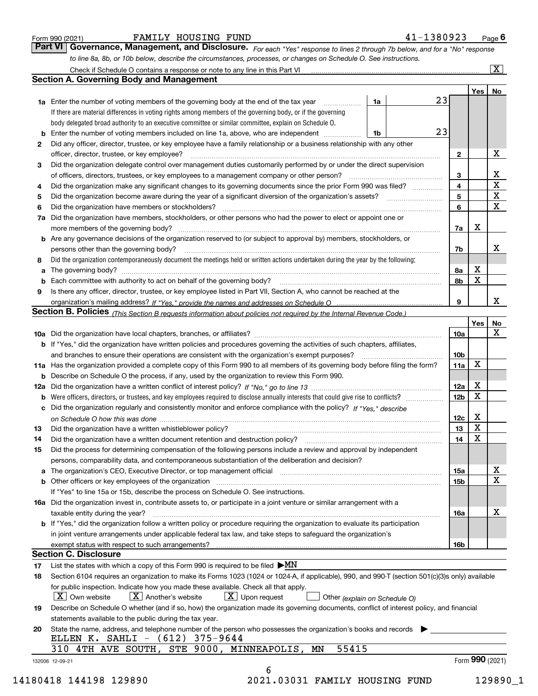|  | Form 990 (2021) |
|--|-----------------|
|  |                 |

*For each "Yes" response to lines 2 through 7b below, and for a "No" response to line 8a, 8b, or 10b below, describe the circumstances, processes, or changes on Schedule O. See instructions.* Form 990 (2021) **FAMILY HOUSING FUND** 41-1380923 Page 6<br>**Part VI Governance, Management, and Disclosure.** For each "Yes" response to lines 2 through 7b below, and for a "No" response

|     |                                                                                                                                                                                                                                |    |   |                         | Yes <sub>1</sub> | No          |
|-----|--------------------------------------------------------------------------------------------------------------------------------------------------------------------------------------------------------------------------------|----|---|-------------------------|------------------|-------------|
|     | <b>1a</b> Enter the number of voting members of the governing body at the end of the tax year <i>manumum</i>                                                                                                                   | 1a |   | 23                      |                  |             |
|     | If there are material differences in voting rights among members of the governing body, or if the governing                                                                                                                    |    |   |                         |                  |             |
|     | body delegated broad authority to an executive committee or similar committee, explain on Schedule O.                                                                                                                          |    |   |                         |                  |             |
|     | Enter the number of voting members included on line 1a, above, who are independent                                                                                                                                             | 1b |   | 23                      |                  |             |
| 2   | Did any officer, director, trustee, or key employee have a family relationship or a business relationship with any other                                                                                                       |    |   |                         |                  |             |
|     | officer, director, trustee, or key employee?                                                                                                                                                                                   |    |   | $\mathbf{2}$            |                  | х           |
| 3   | Did the organization delegate control over management duties customarily performed by or under the direct supervision                                                                                                          |    |   |                         |                  |             |
|     |                                                                                                                                                                                                                                |    |   | 3                       |                  | х           |
| 4   | Did the organization make any significant changes to its governing documents since the prior Form 990 was filed?                                                                                                               |    |   | $\overline{\mathbf{4}}$ |                  | $\mathbf X$ |
| 5   |                                                                                                                                                                                                                                |    | 5 |                         | $\mathbf X$      |             |
| 6   | Did the organization have members or stockholders?                                                                                                                                                                             |    |   | 6                       |                  | $\mathbf X$ |
| 7a  | Did the organization have members, stockholders, or other persons who had the power to elect or appoint one or                                                                                                                 |    |   |                         |                  |             |
|     |                                                                                                                                                                                                                                |    |   | 7a                      | х                |             |
|     | <b>b</b> Are any governance decisions of the organization reserved to (or subject to approval by) members, stockholders, or                                                                                                    |    |   |                         |                  |             |
|     | persons other than the governing body?                                                                                                                                                                                         |    |   | 7b                      |                  | х           |
| 8   | Did the organization contemporaneously document the meetings held or written actions undertaken during the year by the following:                                                                                              |    |   |                         |                  |             |
| a   |                                                                                                                                                                                                                                |    |   | 8a                      | х                |             |
|     |                                                                                                                                                                                                                                |    |   | 8b                      | X                |             |
| 9   | Is there any officer, director, trustee, or key employee listed in Part VII, Section A, who cannot be reached at the                                                                                                           |    |   |                         |                  |             |
|     |                                                                                                                                                                                                                                |    |   | 9                       |                  | х           |
|     | Section B. Policies (This Section B requests information about policies not required by the Internal Revenue Code.)                                                                                                            |    |   |                         |                  |             |
|     |                                                                                                                                                                                                                                |    |   |                         | Yes              | No          |
|     |                                                                                                                                                                                                                                |    |   | 10a                     |                  | X           |
|     | <b>b</b> If "Yes," did the organization have written policies and procedures governing the activities of such chapters, affiliates,                                                                                            |    |   |                         |                  |             |
|     |                                                                                                                                                                                                                                |    |   | 10 <sub>b</sub>         |                  |             |
|     | 11a Has the organization provided a complete copy of this Form 990 to all members of its governing body before filing the form?                                                                                                |    |   | 11a                     | X                |             |
|     | <b>b</b> Describe on Schedule O the process, if any, used by the organization to review this Form 990.                                                                                                                         |    |   |                         |                  |             |
| 12a |                                                                                                                                                                                                                                |    |   | <b>12a</b>              | х                |             |
| b   |                                                                                                                                                                                                                                |    |   | 12b                     | X                |             |
|     | c Did the organization regularly and consistently monitor and enforce compliance with the policy? If "Yes," describe                                                                                                           |    |   |                         |                  |             |
|     |                                                                                                                                                                                                                                |    |   | 12c                     | х                |             |
| 13  | Did the organization have a written whistleblower policy?                                                                                                                                                                      |    |   | 13                      | X                |             |
|     |                                                                                                                                                                                                                                |    |   | 14                      | X                |             |
| 14  | Did the organization have a written document retention and destruction policy? manufactured and the organization have a written document retention and destruction policy?                                                     |    |   |                         |                  |             |
| 15  | Did the process for determining compensation of the following persons include a review and approval by independent                                                                                                             |    |   |                         |                  |             |
|     | persons, comparability data, and contemporaneous substantiation of the deliberation and decision?                                                                                                                              |    |   |                         |                  | х           |
|     | a The organization's CEO, Executive Director, or top management official [11] [12] The organization's CEO, Executive Director, or top management official [12] [12] [12] [12] The organization's CEO, Executive Director, or t |    |   | 15a                     |                  | $\mathbf x$ |
|     |                                                                                                                                                                                                                                |    |   | 15 <sub>b</sub>         |                  |             |
|     | If "Yes" to line 15a or 15b, describe the process on Schedule O. See instructions.                                                                                                                                             |    |   |                         |                  |             |
|     | 16a Did the organization invest in, contribute assets to, or participate in a joint venture or similar arrangement with a                                                                                                      |    |   |                         |                  |             |
|     | taxable entity during the year?                                                                                                                                                                                                |    |   | 16a                     |                  | х           |
|     | b If "Yes," did the organization follow a written policy or procedure requiring the organization to evaluate its participation                                                                                                 |    |   |                         |                  |             |
|     | in joint venture arrangements under applicable federal tax law, and take steps to safeguard the organization's                                                                                                                 |    |   |                         |                  |             |
|     |                                                                                                                                                                                                                                |    |   | 16b                     |                  |             |
|     | <b>Section C. Disclosure</b>                                                                                                                                                                                                   |    |   |                         |                  |             |
| 17  | List the states with which a copy of this Form 990 is required to be filed $\blacktriangleright MN$                                                                                                                            |    |   |                         |                  |             |
| 18  | Section 6104 requires an organization to make its Forms 1023 (1024 or 1024-A, if applicable), 990, and 990-T (section 501(c)(3)s only) available                                                                               |    |   |                         |                  |             |
|     | for public inspection. Indicate how you made these available. Check all that apply.                                                                                                                                            |    |   |                         |                  |             |
|     | $ X $ Own website<br>$X$ Another's website<br>$X$ Upon request<br>Other (explain on Schedule O)                                                                                                                                |    |   |                         |                  |             |
| 19  | Describe on Schedule O whether (and if so, how) the organization made its governing documents, conflict of interest policy, and financial                                                                                      |    |   |                         |                  |             |
|     | statements available to the public during the tax year.                                                                                                                                                                        |    |   |                         |                  |             |
| 20  | State the name, address, and telephone number of the person who possesses the organization's books and records                                                                                                                 |    |   |                         |                  |             |
|     | ELLEN K. SAHLI - (612) 375-9644                                                                                                                                                                                                |    |   |                         |                  |             |
|     | 55415<br>310 4TH AVE SOUTH, STE 9000, MINNEAPOLIS, MN                                                                                                                                                                          |    |   |                         |                  |             |
|     | 132006 12-09-21                                                                                                                                                                                                                |    |   |                         | Form 990 (2021)  |             |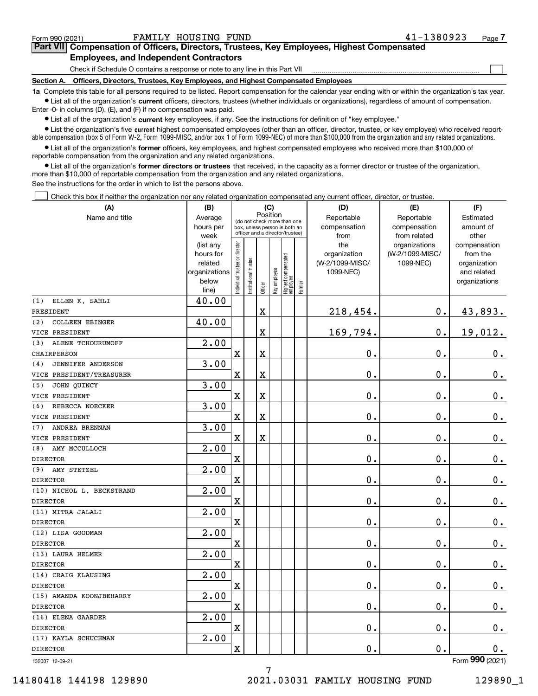$\mathcal{L}^{\text{max}}$ 

# **7Part VII Compensation of Officers, Directors, Trustees, Key Employees, Highest Compensated Employees, and Independent Contractors**

Check if Schedule O contains a response or note to any line in this Part VII

**Section A. Officers, Directors, Trustees, Key Employees, and Highest Compensated Employees**

**1a**  Complete this table for all persons required to be listed. Report compensation for the calendar year ending with or within the organization's tax year. **•** List all of the organization's current officers, directors, trustees (whether individuals or organizations), regardless of amount of compensation.

Enter -0- in columns (D), (E), and (F) if no compensation was paid.

 $\bullet$  List all of the organization's  $\sf current$  key employees, if any. See the instructions for definition of "key employee."

**•** List the organization's five current highest compensated employees (other than an officer, director, trustee, or key employee) who received reportable compensation (box 5 of Form W-2, Form 1099-MISC, and/or box 1 of Form 1099-NEC) of more than \$100,000 from the organization and any related organizations.

**•** List all of the organization's former officers, key employees, and highest compensated employees who received more than \$100,000 of reportable compensation from the organization and any related organizations.

**former directors or trustees**  ¥ List all of the organization's that received, in the capacity as a former director or trustee of the organization, more than \$10,000 of reportable compensation from the organization and any related organizations.

See the instructions for the order in which to list the persons above.

Check this box if neither the organization nor any related organization compensated any current officer, director, or trustee.  $\mathcal{L}^{\text{max}}$ 

| (A)                             | (B)                    |                               |                                                                  |             | (C)          |                                  |        | (D)                 | (E)                              | (F)                      |
|---------------------------------|------------------------|-------------------------------|------------------------------------------------------------------|-------------|--------------|----------------------------------|--------|---------------------|----------------------------------|--------------------------|
| Name and title                  | Average                |                               | (do not check more than one                                      |             | Position     |                                  |        | Reportable          | Reportable                       | Estimated                |
|                                 | hours per              |                               | box, unless person is both an<br>officer and a director/trustee) |             |              |                                  |        | compensation        | compensation                     | amount of                |
|                                 | week                   |                               |                                                                  |             |              |                                  |        | from                | from related                     | other                    |
|                                 | (list any<br>hours for |                               |                                                                  |             |              |                                  |        | the<br>organization | organizations<br>(W-2/1099-MISC/ | compensation<br>from the |
|                                 | related                |                               |                                                                  |             |              |                                  |        | (W-2/1099-MISC/     | 1099-NEC)                        | organization             |
|                                 | organizations          |                               |                                                                  |             |              |                                  |        | 1099-NEC)           |                                  | and related              |
|                                 | below                  | ndividual trustee or director | nstitutional trustee                                             |             | Key employee |                                  |        |                     |                                  | organizations            |
|                                 | line)                  |                               |                                                                  | Officer     |              | Highest compensated<br> employee | Former |                     |                                  |                          |
| ELLEN K. SAHLI<br>(1)           | 40.00                  |                               |                                                                  |             |              |                                  |        |                     |                                  |                          |
| PRESIDENT                       |                        |                               |                                                                  | $\mathbf X$ |              |                                  |        | 218,454.            | $\mathbf 0$ .                    | 43,893.                  |
| COLLEEN EBINGER<br>(2)          | 40.00                  |                               |                                                                  |             |              |                                  |        |                     |                                  |                          |
| VICE PRESIDENT                  |                        |                               |                                                                  | $\rm X$     |              |                                  |        | 169,794.            | $\mathbf 0$ .                    | 19,012.                  |
| ALENE TCHOURUMOFF<br>(3)        | $\overline{2.00}$      |                               |                                                                  |             |              |                                  |        |                     |                                  |                          |
| CHAIRPERSON                     |                        | $\rm X$                       |                                                                  | $\rm X$     |              |                                  |        | 0.                  | $\mathbf 0$ .                    | 0.                       |
| <b>JENNIFER ANDERSON</b><br>(4) | 3.00                   |                               |                                                                  |             |              |                                  |        |                     |                                  |                          |
| VICE PRESIDENT/TREASURER        |                        | $\overline{\mathbf{X}}$       |                                                                  | $\rm X$     |              |                                  |        | 0.                  | $\mathbf 0$ .                    | $\mathbf 0$ .            |
| (5)<br>JOHN QUINCY              | 3.00                   |                               |                                                                  |             |              |                                  |        |                     |                                  |                          |
| VICE PRESIDENT                  |                        | $\overline{\text{X}}$         |                                                                  | $\mathbf X$ |              |                                  |        | $\mathbf 0$ .       | $\mathbf 0$ .                    | $\mathbf 0$ .            |
| REBECCA NOECKER<br>(6)          | 3.00                   |                               |                                                                  |             |              |                                  |        |                     |                                  |                          |
| VICE PRESIDENT                  |                        | $\overline{\mathbf{X}}$       |                                                                  | $\mathbf X$ |              |                                  |        | 0.                  | $\mathbf 0$ .                    | $\mathbf 0$ .            |
| ANDREA BRENNAN<br>(7)           | 3.00                   |                               |                                                                  |             |              |                                  |        |                     |                                  |                          |
| VICE PRESIDENT                  |                        | $\mathbf x$                   |                                                                  | $\rm X$     |              |                                  |        | 0.                  | $\mathbf 0$ .                    | $\mathbf 0$ .            |
| (8)<br>AMY MCCULLOCH            | $\overline{2.00}$      |                               |                                                                  |             |              |                                  |        |                     |                                  |                          |
| <b>DIRECTOR</b>                 |                        | $\overline{\mathbf{X}}$       |                                                                  |             |              |                                  |        | 0.                  | $\mathbf 0$ .                    | $0$ .                    |
| (9)<br>AMY STETZEL              | $\overline{2.00}$      |                               |                                                                  |             |              |                                  |        |                     |                                  |                          |
| <b>DIRECTOR</b>                 |                        | $\mathbf X$                   |                                                                  |             |              |                                  |        | 0.                  | 0.                               | $\mathbf 0$ .            |
| (10) NICHOL L. BECKSTRAND       | 2.00                   |                               |                                                                  |             |              |                                  |        |                     |                                  |                          |
| <b>DIRECTOR</b>                 |                        | $\mathbf X$                   |                                                                  |             |              |                                  |        | 0.                  | $\mathbf 0$ .                    | $\mathbf 0$ .            |
| (11) MITRA JALALI               | $\overline{2.00}$      |                               |                                                                  |             |              |                                  |        |                     |                                  |                          |
| <b>DIRECTOR</b>                 |                        | $\overline{\mathbf{X}}$       |                                                                  |             |              |                                  |        | 0.                  | $\mathbf 0$ .                    | $0_{.}$                  |
| (12) LISA GOODMAN               | 2.00                   |                               |                                                                  |             |              |                                  |        |                     |                                  |                          |
| <b>DIRECTOR</b>                 |                        | $\rm X$                       |                                                                  |             |              |                                  |        | 0.                  | 0.                               | $\mathbf 0$ .            |
| (13) LAURA HELMER               | 2.00                   |                               |                                                                  |             |              |                                  |        |                     |                                  |                          |
| <b>DIRECTOR</b>                 |                        | $\overline{\textbf{X}}$       |                                                                  |             |              |                                  |        | 0.                  | $\mathbf 0$ .                    | $0$ .                    |
| (14) CRAIG KLAUSING             | 2.00                   |                               |                                                                  |             |              |                                  |        |                     |                                  |                          |
| <b>DIRECTOR</b>                 |                        | $\mathbf X$                   |                                                                  |             |              |                                  |        | 0.                  | $\mathbf 0$ .                    | 0.                       |
| (15) AMANDA KOONJBEHARRY        | 2.00                   |                               |                                                                  |             |              |                                  |        |                     |                                  |                          |
| <b>DIRECTOR</b>                 |                        | $\overline{\mathbf{X}}$       |                                                                  |             |              |                                  |        | 0.                  | $\mathbf 0$ .                    | $\mathbf 0$ .            |
| (16) ELENA GAARDER              | $\overline{2.00}$      |                               |                                                                  |             |              |                                  |        |                     |                                  |                          |
| <b>DIRECTOR</b>                 |                        | $\overline{\mathbf{X}}$       |                                                                  |             |              |                                  |        | 0.                  | $\mathbf 0$ .                    | $0_{.}$                  |
| (17) KAYLA SCHUCHMAN            | 2.00                   |                               |                                                                  |             |              |                                  |        |                     |                                  |                          |
| <b>DIRECTOR</b>                 |                        | $\overline{\mathbf{X}}$       |                                                                  |             |              |                                  |        | 0.                  | $\mathbf 0$ .                    | 0.                       |
|                                 |                        |                               |                                                                  |             |              |                                  |        |                     |                                  | nnn.                     |

7

132007 12-09-21

Form (2021) **990**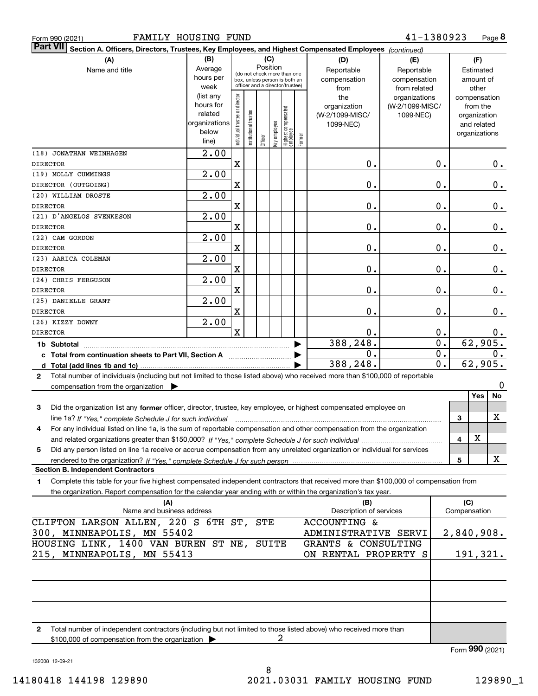|  | Form 990 (2021) |
|--|-----------------|
|  |                 |

| FAMILY HOUSING FUND<br>Form 990 (2021)                                                                                                                                                                                                                       |                        |                               |                      |                                                              |              |                                 |        |                                | 41-1380923      |                  |                     |                       | Page 8 |
|--------------------------------------------------------------------------------------------------------------------------------------------------------------------------------------------------------------------------------------------------------------|------------------------|-------------------------------|----------------------|--------------------------------------------------------------|--------------|---------------------------------|--------|--------------------------------|-----------------|------------------|---------------------|-----------------------|--------|
| <b>Part VII</b><br>Section A. Officers, Directors, Trustees, Key Employees, and Highest Compensated Employees (continued)                                                                                                                                    |                        |                               |                      |                                                              |              |                                 |        |                                |                 |                  |                     |                       |        |
| (A)                                                                                                                                                                                                                                                          | (B)                    |                               |                      | (C)                                                          |              |                                 |        | (D)                            | (E)             |                  |                     | (F)                   |        |
| Name and title                                                                                                                                                                                                                                               | Average                |                               |                      | Position                                                     |              |                                 |        | Reportable                     | Reportable      |                  |                     | Estimated             |        |
|                                                                                                                                                                                                                                                              | hours per              |                               |                      | (do not check more than one<br>box, unless person is both an |              |                                 |        | compensation                   | compensation    |                  |                     | amount of             |        |
|                                                                                                                                                                                                                                                              | week                   |                               |                      | officer and a director/trustee)                              |              |                                 |        | from                           | from related    |                  |                     | other                 |        |
|                                                                                                                                                                                                                                                              | (list any              |                               |                      |                                                              |              |                                 |        | the                            | organizations   |                  |                     | compensation          |        |
|                                                                                                                                                                                                                                                              | hours for              |                               |                      |                                                              |              |                                 |        | organization                   | (W-2/1099-MISC/ |                  |                     | from the              |        |
|                                                                                                                                                                                                                                                              | related                |                               |                      |                                                              |              |                                 |        | (W-2/1099-MISC/                | 1099-NEC)       |                  |                     | organization          |        |
|                                                                                                                                                                                                                                                              | organizations<br>below |                               |                      |                                                              |              |                                 |        | 1099-NEC)                      |                 |                  |                     | and related           |        |
|                                                                                                                                                                                                                                                              | line)                  | ndividual trustee or director | nstitutional trustee | Officer                                                      | Key employee | Highest compensated<br>employee | Former |                                |                 |                  |                     | organizations         |        |
| (18) JONATHAN WEINHAGEN                                                                                                                                                                                                                                      | 2.00                   |                               |                      |                                                              |              |                                 |        |                                |                 |                  |                     |                       |        |
| <b>DIRECTOR</b>                                                                                                                                                                                                                                              |                        | X                             |                      |                                                              |              |                                 |        | $\mathbf 0$ .                  |                 | 0.               |                     |                       | 0.     |
| (19) MOLLY CUMMINGS                                                                                                                                                                                                                                          | 2.00                   |                               |                      |                                                              |              |                                 |        |                                |                 |                  |                     |                       |        |
| DIRECTOR (OUTGOING)                                                                                                                                                                                                                                          |                        | X                             |                      |                                                              |              |                                 |        | 0.                             |                 | 0.               |                     |                       | 0.     |
| (20) WILLIAM DROSTE                                                                                                                                                                                                                                          | 2.00                   |                               |                      |                                                              |              |                                 |        |                                |                 |                  |                     |                       |        |
| <b>DIRECTOR</b>                                                                                                                                                                                                                                              |                        | X                             |                      |                                                              |              |                                 |        | 0.                             |                 | 0.               |                     |                       |        |
| (21) D'ANGELOS SVENKESON                                                                                                                                                                                                                                     | 2.00                   |                               |                      |                                                              |              |                                 |        |                                |                 |                  |                     |                       | 0.     |
| <b>DIRECTOR</b>                                                                                                                                                                                                                                              |                        | X                             |                      |                                                              |              |                                 |        | 0.                             |                 | 0.               |                     |                       |        |
| (22) CAM GORDON                                                                                                                                                                                                                                              | 2.00                   |                               |                      |                                                              |              |                                 |        |                                |                 |                  |                     |                       | 0.     |
| <b>DIRECTOR</b>                                                                                                                                                                                                                                              |                        | X                             |                      |                                                              |              |                                 |        | 0.                             |                 | 0.               |                     |                       | 0.     |
| (23) AARICA COLEMAN                                                                                                                                                                                                                                          | 2.00                   |                               |                      |                                                              |              |                                 |        |                                |                 |                  |                     |                       |        |
| <b>DIRECTOR</b>                                                                                                                                                                                                                                              |                        | X                             |                      |                                                              |              |                                 |        | 0.                             |                 | 0.               |                     |                       | 0.     |
| (24) CHRIS FERGUSON                                                                                                                                                                                                                                          | 2.00                   |                               |                      |                                                              |              |                                 |        |                                |                 |                  |                     |                       |        |
| <b>DIRECTOR</b>                                                                                                                                                                                                                                              |                        | X                             |                      |                                                              |              |                                 |        | 0.                             |                 | $\mathbf 0$ .    |                     |                       | 0.     |
| (25) DANIELLE GRANT                                                                                                                                                                                                                                          | 2.00                   |                               |                      |                                                              |              |                                 |        |                                |                 |                  |                     |                       |        |
| <b>DIRECTOR</b>                                                                                                                                                                                                                                              |                        | X                             |                      |                                                              |              |                                 |        | 0.                             |                 | $\mathbf 0$ .    |                     |                       | 0.     |
| (26) KIZZY DOWNY                                                                                                                                                                                                                                             | 2.00                   |                               |                      |                                                              |              |                                 |        |                                |                 |                  |                     |                       |        |
| <b>DIRECTOR</b>                                                                                                                                                                                                                                              |                        | $\mathbf x$                   |                      |                                                              |              |                                 |        | Ο.                             |                 | 0.               |                     |                       |        |
|                                                                                                                                                                                                                                                              |                        |                               |                      |                                                              |              |                                 |        | 388,248.                       |                 | $\overline{0}$ . |                     | $6\overline{2,905}$ . | 0.     |
| 1b Subtotal                                                                                                                                                                                                                                                  |                        |                               |                      |                                                              |              |                                 |        | 0.                             |                 | 0.               |                     |                       | 0.     |
|                                                                                                                                                                                                                                                              |                        |                               |                      |                                                              |              |                                 |        | 388,248.                       |                 | 0.               |                     | 62,905.               |        |
|                                                                                                                                                                                                                                                              |                        |                               |                      |                                                              |              |                                 |        |                                |                 |                  |                     |                       |        |
| Total number of individuals (including but not limited to those listed above) who received more than \$100,000 of reportable<br>$\mathbf{2}$                                                                                                                 |                        |                               |                      |                                                              |              |                                 |        |                                |                 |                  |                     |                       | 0      |
| compensation from the organization $\blacktriangleright$                                                                                                                                                                                                     |                        |                               |                      |                                                              |              |                                 |        |                                |                 |                  |                     | Yes                   | No     |
|                                                                                                                                                                                                                                                              |                        |                               |                      |                                                              |              |                                 |        |                                |                 |                  |                     |                       |        |
| 3<br>Did the organization list any former officer, director, trustee, key employee, or highest compensated employee on                                                                                                                                       |                        |                               |                      |                                                              |              |                                 |        |                                |                 |                  |                     |                       |        |
| line 1a? If "Yes," complete Schedule J for such individual manufactured contained and the line 1a? If "Yes," complete Schedule J for such individual                                                                                                         |                        |                               |                      |                                                              |              |                                 |        |                                |                 |                  | 3                   |                       | x      |
| For any individual listed on line 1a, is the sum of reportable compensation and other compensation from the organization                                                                                                                                     |                        |                               |                      |                                                              |              |                                 |        |                                |                 |                  |                     |                       |        |
|                                                                                                                                                                                                                                                              |                        |                               |                      |                                                              |              |                                 |        |                                |                 |                  | 4                   | х                     |        |
| Did any person listed on line 1a receive or accrue compensation from any unrelated organization or individual for services<br>5                                                                                                                              |                        |                               |                      |                                                              |              |                                 |        |                                |                 |                  |                     |                       | x      |
| <b>Section B. Independent Contractors</b>                                                                                                                                                                                                                    |                        |                               |                      |                                                              |              |                                 |        |                                |                 |                  | 5                   |                       |        |
|                                                                                                                                                                                                                                                              |                        |                               |                      |                                                              |              |                                 |        |                                |                 |                  |                     |                       |        |
| Complete this table for your five highest compensated independent contractors that received more than \$100,000 of compensation from<br>1.<br>the organization. Report compensation for the calendar year ending with or within the organization's tax year. |                        |                               |                      |                                                              |              |                                 |        |                                |                 |                  |                     |                       |        |
|                                                                                                                                                                                                                                                              |                        |                               |                      |                                                              |              |                                 |        |                                |                 |                  |                     |                       |        |
| (A)<br>Name and business address                                                                                                                                                                                                                             |                        |                               |                      |                                                              |              |                                 |        | (B)<br>Description of services |                 |                  | (C)<br>Compensation |                       |        |
| CLIFTON LARSON ALLEN, 220 S 6TH ST, STE                                                                                                                                                                                                                      |                        |                               |                      |                                                              |              |                                 |        | <b>ACCOUNTING &amp;</b>        |                 |                  |                     |                       |        |
| 300, MINNEAPOLIS, MN 55402                                                                                                                                                                                                                                   |                        |                               |                      |                                                              |              |                                 |        | ADMINISTRATIVE SERVI           |                 |                  | 2,840,908.          |                       |        |
| HOUSING LINK, 1400 VAN BUREN ST NE, SUITE                                                                                                                                                                                                                    |                        |                               |                      |                                                              |              |                                 |        | GRANTS & CONSULTING            |                 |                  |                     |                       |        |
| 215, MINNEAPOLIS, MN 55413                                                                                                                                                                                                                                   |                        |                               |                      |                                                              |              |                                 |        | ON RENTAL PROPERTY S           |                 |                  |                     | 191,321.              |        |
|                                                                                                                                                                                                                                                              |                        |                               |                      |                                                              |              |                                 |        |                                |                 |                  |                     |                       |        |
|                                                                                                                                                                                                                                                              |                        |                               |                      |                                                              |              |                                 |        |                                |                 |                  |                     |                       |        |
|                                                                                                                                                                                                                                                              |                        |                               |                      |                                                              |              |                                 |        |                                |                 |                  |                     |                       |        |

**2**Total number of independent contractors (including but not limited to those listed above) who received more than \$100,000 of compensation from the organization  $\blacktriangleright$ 2

Form (2021) **990**

132008 12-09-21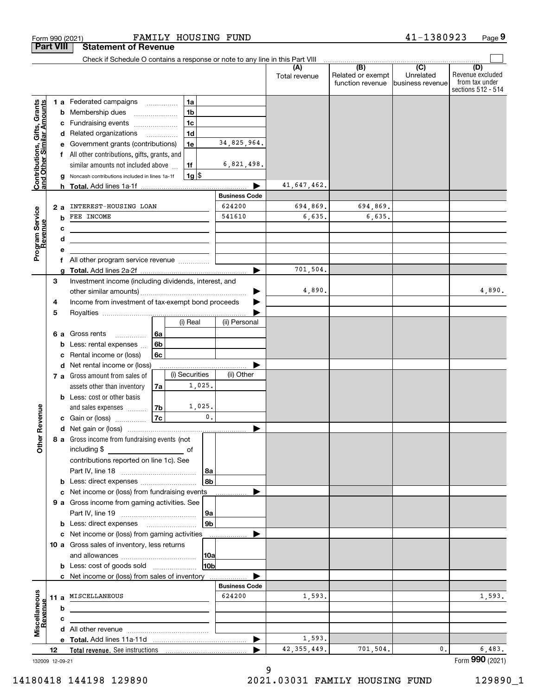|                                                           |    |         | Form 990 (2021)                                                               |                          | FAMILY HOUSING FUND |                      |                      |                      |                                              | 41-1380923                                         | Page 9                                                          |
|-----------------------------------------------------------|----|---------|-------------------------------------------------------------------------------|--------------------------|---------------------|----------------------|----------------------|----------------------|----------------------------------------------|----------------------------------------------------|-----------------------------------------------------------------|
| <b>Part VIII</b>                                          |    |         | <b>Statement of Revenue</b>                                                   |                          |                     |                      |                      |                      |                                              |                                                    |                                                                 |
|                                                           |    |         | Check if Schedule O contains a response or note to any line in this Part VIII |                          |                     |                      |                      |                      |                                              |                                                    |                                                                 |
|                                                           |    |         |                                                                               |                          |                     |                      |                      | (A)<br>Total revenue | (B)<br>Related or exempt<br>function revenue | $\overline{(C)}$<br>Unrelated<br>lbusiness revenue | (D)<br>Revenue excluded<br>from tax under<br>sections 512 - 514 |
|                                                           |    |         | <b>1 a</b> Federated campaigns                                                |                          | 1a                  |                      |                      |                      |                                              |                                                    |                                                                 |
| Contributions, Gifts, Grants<br>and Other Similar Amounts |    |         | <b>b</b> Membership dues                                                      |                          | 1 <sub>b</sub>      |                      |                      |                      |                                              |                                                    |                                                                 |
|                                                           |    |         | c Fundraising events                                                          |                          | 1 <sub>c</sub>      |                      |                      |                      |                                              |                                                    |                                                                 |
|                                                           |    |         | d Related organizations                                                       | $\overline{\phantom{a}}$ | 1 <sub>d</sub>      |                      |                      |                      |                                              |                                                    |                                                                 |
|                                                           |    |         | e Government grants (contributions)                                           |                          | 1e                  |                      | 34,825,964.          |                      |                                              |                                                    |                                                                 |
|                                                           |    |         | f All other contributions, gifts, grants, and                                 |                          |                     |                      |                      |                      |                                              |                                                    |                                                                 |
|                                                           |    |         | similar amounts not included above                                            |                          | 1f                  |                      | 6,821,498.           |                      |                                              |                                                    |                                                                 |
|                                                           |    |         | Noncash contributions included in lines 1a-1f                                 |                          | $1g$ \$             |                      |                      |                      |                                              |                                                    |                                                                 |
|                                                           |    |         |                                                                               |                          |                     |                      | <b>Business Code</b> | 41,647,462.          |                                              |                                                    |                                                                 |
|                                                           |    |         | INTEREST-HOUSING LOAN                                                         |                          |                     |                      | 624200               | 694,869.             | 694,869.                                     |                                                    |                                                                 |
| Program Service<br>Revenue                                |    | 2a<br>b | FEE INCOME                                                                    |                          |                     |                      | 541610               | 6,635.               | 6,635.                                       |                                                    |                                                                 |
|                                                           |    | c       |                                                                               |                          |                     |                      |                      |                      |                                              |                                                    |                                                                 |
|                                                           |    | d       |                                                                               |                          |                     |                      |                      |                      |                                              |                                                    |                                                                 |
|                                                           |    |         |                                                                               |                          |                     |                      |                      |                      |                                              |                                                    |                                                                 |
|                                                           |    |         | All other program service revenue                                             |                          |                     |                      |                      |                      |                                              |                                                    |                                                                 |
|                                                           |    | a       |                                                                               |                          |                     |                      | ▶                    | 701,504.             |                                              |                                                    |                                                                 |
|                                                           | 3  |         | Investment income (including dividends, interest, and                         |                          |                     |                      |                      |                      |                                              |                                                    |                                                                 |
|                                                           |    |         |                                                                               |                          |                     |                      |                      | 4,890.               |                                              |                                                    | 4,890.                                                          |
|                                                           | 4  |         | Income from investment of tax-exempt bond proceeds                            |                          |                     |                      |                      |                      |                                              |                                                    |                                                                 |
|                                                           | 5  |         |                                                                               |                          |                     |                      |                      |                      |                                              |                                                    |                                                                 |
|                                                           |    |         |                                                                               |                          | (i) Real            |                      | (ii) Personal        |                      |                                              |                                                    |                                                                 |
|                                                           |    |         | 6 a Gross rents<br>.                                                          | 6а                       |                     |                      |                      |                      |                                              |                                                    |                                                                 |
|                                                           |    | b       | Less: rental expenses                                                         | 6b                       |                     |                      |                      |                      |                                              |                                                    |                                                                 |
|                                                           |    | с       | Rental income or (loss)                                                       | <b>6c</b>                |                     |                      |                      |                      |                                              |                                                    |                                                                 |
|                                                           |    |         | d Net rental income or (loss)<br>7 a Gross amount from sales of               |                          | (i) Securities      |                      | (ii) Other           |                      |                                              |                                                    |                                                                 |
|                                                           |    |         | assets other than inventory                                                   | 7a                       | 1,025.              |                      |                      |                      |                                              |                                                    |                                                                 |
|                                                           |    |         | <b>b</b> Less: cost or other basis                                            |                          |                     |                      |                      |                      |                                              |                                                    |                                                                 |
|                                                           |    |         | and sales expenses                                                            | 7b                       | 1,025.              |                      |                      |                      |                                              |                                                    |                                                                 |
| wenue                                                     |    |         | c Gain or (loss)                                                              | 7c                       |                     | 0.                   |                      |                      |                                              |                                                    |                                                                 |
| ၕ                                                         |    |         |                                                                               |                          |                     |                      |                      |                      |                                              |                                                    |                                                                 |
| Other                                                     |    |         | 8 a Gross income from fundraising events (not                                 |                          |                     |                      |                      |                      |                                              |                                                    |                                                                 |
|                                                           |    |         |                                                                               |                          |                     |                      |                      |                      |                                              |                                                    |                                                                 |
|                                                           |    |         | contributions reported on line 1c). See                                       |                          |                     |                      |                      |                      |                                              |                                                    |                                                                 |
|                                                           |    |         |                                                                               |                          |                     | 8a                   |                      |                      |                                              |                                                    |                                                                 |
|                                                           |    |         | b Less: direct expenses                                                       |                          |                     | 8b                   |                      |                      |                                              |                                                    |                                                                 |
|                                                           |    |         | c Net income or (loss) from fundraising events                                |                          |                     |                      |                      |                      |                                              |                                                    |                                                                 |
|                                                           |    |         | 9 a Gross income from gaming activities. See                                  |                          |                     |                      |                      |                      |                                              |                                                    |                                                                 |
|                                                           |    |         |                                                                               |                          |                     | 9а<br>9 <sub>b</sub> |                      |                      |                                              |                                                    |                                                                 |
|                                                           |    |         | c Net income or (loss) from gaming activities                                 |                          |                     |                      |                      |                      |                                              |                                                    |                                                                 |
|                                                           |    |         | 10 a Gross sales of inventory, less returns                                   |                          |                     |                      |                      |                      |                                              |                                                    |                                                                 |
|                                                           |    |         |                                                                               |                          |                     | 10a                  |                      |                      |                                              |                                                    |                                                                 |
|                                                           |    |         | <b>b</b> Less: cost of goods sold                                             |                          |                     | 10b                  |                      |                      |                                              |                                                    |                                                                 |
|                                                           |    |         | c Net income or (loss) from sales of inventory                                |                          |                     |                      |                      |                      |                                              |                                                    |                                                                 |
|                                                           |    |         |                                                                               |                          |                     |                      | <b>Business Code</b> |                      |                                              |                                                    |                                                                 |
| Miscellaneous<br>Revenue                                  |    | 11 a    | MISCELLANEOUS                                                                 |                          |                     |                      | 624200               | 1,593.               |                                              |                                                    | 1,593.                                                          |
|                                                           |    | b       |                                                                               |                          |                     |                      |                      |                      |                                              |                                                    |                                                                 |
|                                                           |    | c       |                                                                               |                          |                     |                      |                      |                      |                                              |                                                    |                                                                 |
|                                                           |    |         |                                                                               |                          |                     |                      |                      |                      |                                              |                                                    |                                                                 |
|                                                           |    |         |                                                                               |                          |                     |                      | ▶                    | 1,593.               |                                              |                                                    |                                                                 |
|                                                           | 12 |         |                                                                               |                          |                     |                      |                      | 42, 355, 449.        | 701,504.                                     | 0.                                                 | 6,483.                                                          |
| 132009 12-09-21                                           |    |         |                                                                               |                          |                     |                      |                      |                      |                                              |                                                    | Form 990 (2021)                                                 |

# 132009 12-09-21

9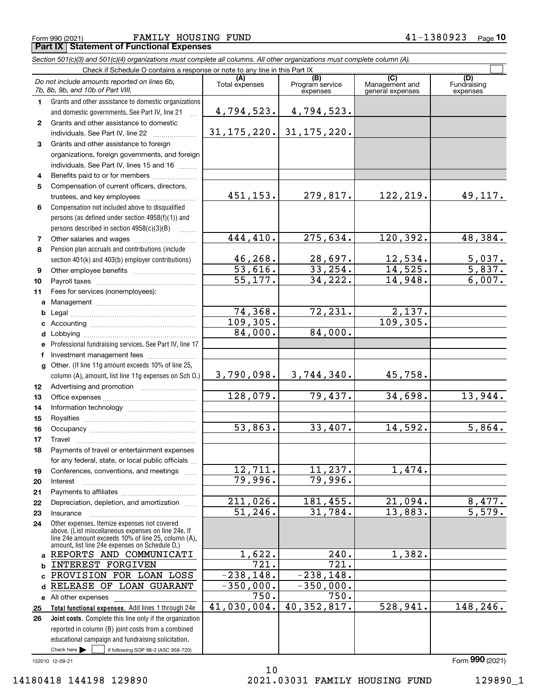*Section 501(c)(3) and 501(c)(4) organizations must complete all columns. All other organizations must complete column (A).* Check if Schedule O contains a response or note to any line in this Part IX

|                 | Check if Schedule O contains a response or note to any line in this Part IX                                                                                |                       |                                    |                                           |                                |
|-----------------|------------------------------------------------------------------------------------------------------------------------------------------------------------|-----------------------|------------------------------------|-------------------------------------------|--------------------------------|
|                 | Do not include amounts reported on lines 6b,<br>7b, 8b, 9b, and 10b of Part VIII.                                                                          | (A)<br>Total expenses | (B)<br>Program service<br>expenses | (C)<br>Management and<br>general expenses | (D)<br>Fundraising<br>expenses |
| $\mathbf 1$     | Grants and other assistance to domestic organizations                                                                                                      |                       |                                    |                                           |                                |
|                 | and domestic governments. See Part IV, line 21                                                                                                             | 4,794,523.            | 4,794,523.                         |                                           |                                |
| $\mathbf{2}$    | Grants and other assistance to domestic                                                                                                                    |                       |                                    |                                           |                                |
|                 | individuals. See Part IV, line 22                                                                                                                          |                       | $31, 175, 220.$ 31, 175, 220.      |                                           |                                |
| 3               | Grants and other assistance to foreign                                                                                                                     |                       |                                    |                                           |                                |
|                 | organizations, foreign governments, and foreign                                                                                                            |                       |                                    |                                           |                                |
|                 | individuals. See Part IV, lines 15 and 16                                                                                                                  |                       |                                    |                                           |                                |
| 4               | Benefits paid to or for members                                                                                                                            |                       |                                    |                                           |                                |
| 5               | Compensation of current officers, directors,                                                                                                               |                       |                                    |                                           |                                |
|                 | trustees, and key employees                                                                                                                                | 451, 153.             | 279,817.                           | 122,219.                                  | 49,117.                        |
| 6               | Compensation not included above to disqualified                                                                                                            |                       |                                    |                                           |                                |
|                 | persons (as defined under section 4958(f)(1)) and                                                                                                          |                       |                                    |                                           |                                |
|                 | persons described in section 4958(c)(3)(B)                                                                                                                 |                       |                                    |                                           |                                |
| 7               |                                                                                                                                                            | 444,410.              | 275,634.                           | 120,392.                                  | 48,384.                        |
| 8               | Pension plan accruals and contributions (include                                                                                                           |                       |                                    |                                           |                                |
|                 | section 401(k) and 403(b) employer contributions)                                                                                                          | 46,268.               | 28,697.                            | 12,534.                                   | 5,037.                         |
| 9               |                                                                                                                                                            | $\overline{53,616}$ . | 33,254.                            | 14,525.                                   | 5,837.                         |
| 10              |                                                                                                                                                            | $\overline{55,177}$ . | 34,222.                            | 14,948.                                   | 6,007.                         |
| 11              | Fees for services (nonemployees):                                                                                                                          |                       |                                    |                                           |                                |
|                 |                                                                                                                                                            |                       |                                    |                                           |                                |
|                 |                                                                                                                                                            | 74,368.               | 72,231.                            | 2,137.                                    |                                |
|                 |                                                                                                                                                            | 109, 305.             |                                    | 109, 305.                                 |                                |
| d               |                                                                                                                                                            | 84,000.               | 84,000.                            |                                           |                                |
| e.              | Professional fundraising services. See Part IV, line 17                                                                                                    |                       |                                    |                                           |                                |
| f               | Investment management fees                                                                                                                                 |                       |                                    |                                           |                                |
|                 | g Other. (If line 11g amount exceeds 10% of line 25,                                                                                                       |                       |                                    |                                           |                                |
|                 | column (A), amount, list line 11g expenses on Sch O.)                                                                                                      | 3,790,098.            | 3,744,340.                         | 45,758.                                   |                                |
| 12 <sup>°</sup> |                                                                                                                                                            | 128,079.              | 79,437.                            | 34,698.                                   | 13,944.                        |
| 13              |                                                                                                                                                            |                       |                                    |                                           |                                |
| 14              |                                                                                                                                                            |                       |                                    |                                           |                                |
| 15              |                                                                                                                                                            | 53,863.               | 33,407.                            | 14,592.                                   | 5,864.                         |
| 16              |                                                                                                                                                            |                       |                                    |                                           |                                |
| 17<br>18        | Travel<br>Payments of travel or entertainment expenses                                                                                                     |                       |                                    |                                           |                                |
|                 | for any federal, state, or local public officials                                                                                                          |                       |                                    |                                           |                                |
| 19              | Conferences, conventions, and meetings                                                                                                                     | 12,711.               | 11,237.                            | 1,474.                                    |                                |
| 20              | Interest                                                                                                                                                   | 79,996.               | 79,996.                            |                                           |                                |
| 21              |                                                                                                                                                            |                       |                                    |                                           |                                |
| 22              | Depreciation, depletion, and amortization                                                                                                                  | 211,026.              | 181,455.                           | 21,094.                                   | 8,477.                         |
| 23              | Insurance                                                                                                                                                  | 51, 246.              | 31,784.                            | 13,883.                                   | 5,579.                         |
| 24              | Other expenses. Itemize expenses not covered<br>above. (List miscellaneous expenses on line 24e. If<br>line 24e amount exceeds 10% of line 25, column (A), |                       |                                    |                                           |                                |
|                 | amount, list line 24e expenses on Schedule O.)                                                                                                             |                       |                                    |                                           |                                |
| a               | REPORTS AND COMMUNICATI                                                                                                                                    | 1,622.                | 240.                               | 1,382.                                    |                                |
| b               | INTEREST FORGIVEN                                                                                                                                          | 721.                  | $\overline{721}$ .                 |                                           |                                |
| C               | PROVISION FOR LOAN LOSS                                                                                                                                    | $-238, 148.$          | $-238, 148.$                       |                                           |                                |
| d               | RELEASE OF LOAN<br><b>GUARANT</b>                                                                                                                          | $-350,000.$           | $-350,000.$<br>750.                |                                           |                                |
| е               | All other expenses                                                                                                                                         | 750.<br>41,030,004.   | 40, 352, 817.                      | 528,941.                                  | 148,246.                       |
| 25              | Total functional expenses. Add lines 1 through 24e                                                                                                         |                       |                                    |                                           |                                |
| 26              | Joint costs. Complete this line only if the organization<br>reported in column (B) joint costs from a combined                                             |                       |                                    |                                           |                                |
|                 | educational campaign and fundraising solicitation.                                                                                                         |                       |                                    |                                           |                                |
|                 | Check here $\blacktriangleright$<br>if following SOP 98-2 (ASC 958-720)                                                                                    |                       |                                    |                                           |                                |
|                 | 132010 12-09-21                                                                                                                                            |                       |                                    |                                           | Form 990 (2021)                |

14180418 144198 129890 2021.03031 FAMILY HOUSING FUND 129890\_1

10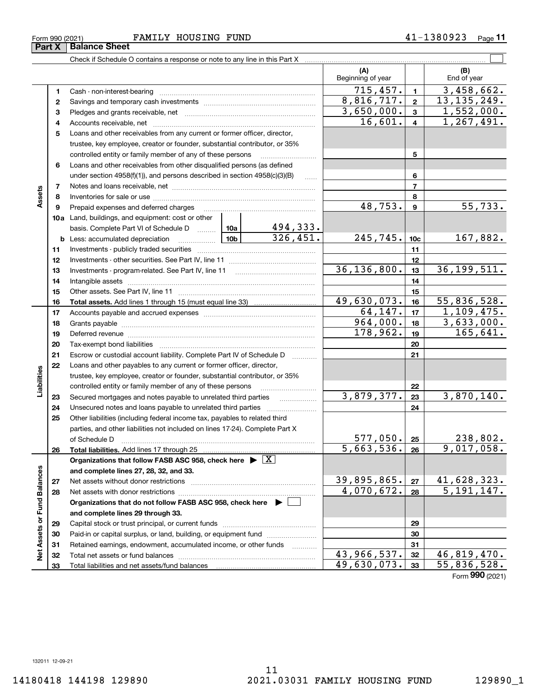|                             |          |                                                                                                                                                                                                                                |                 |                        | (A)<br>Beginning of year |                         | (B)<br>End of year |
|-----------------------------|----------|--------------------------------------------------------------------------------------------------------------------------------------------------------------------------------------------------------------------------------|-----------------|------------------------|--------------------------|-------------------------|--------------------|
|                             | 1        |                                                                                                                                                                                                                                |                 |                        | 715,457.                 | $\mathbf{1}$            | 3,458,662.         |
|                             | 2        |                                                                                                                                                                                                                                |                 |                        | 8,816,717.               | $\overline{\mathbf{2}}$ | 13, 135, 249.      |
|                             | з        |                                                                                                                                                                                                                                |                 |                        | 3,650,000.               | $\overline{\mathbf{3}}$ | 1,552,000.         |
|                             | 4        |                                                                                                                                                                                                                                |                 |                        | 16,601.                  | $\overline{\mathbf{4}}$ | 1, 267, 491.       |
|                             | 5        | Loans and other receivables from any current or former officer, director,                                                                                                                                                      |                 |                        |                          |                         |                    |
|                             |          | trustee, key employee, creator or founder, substantial contributor, or 35%                                                                                                                                                     |                 |                        |                          |                         |                    |
|                             |          | controlled entity or family member of any of these persons                                                                                                                                                                     |                 |                        |                          | 5                       |                    |
|                             | 6        | Loans and other receivables from other disqualified persons (as defined                                                                                                                                                        |                 |                        |                          |                         |                    |
|                             |          | under section $4958(f)(1)$ , and persons described in section $4958(c)(3)(B)$                                                                                                                                                  |                 | $\ldots$               |                          | 6                       |                    |
|                             | 7        |                                                                                                                                                                                                                                |                 |                        |                          | $\overline{7}$          |                    |
| Assets                      | 8        |                                                                                                                                                                                                                                |                 |                        |                          | 8                       |                    |
|                             | 9        | Prepaid expenses and deferred charges                                                                                                                                                                                          |                 |                        | 48,753.                  | $\overline{9}$          | 55,733.            |
|                             |          | 10a Land, buildings, and equipment: cost or other                                                                                                                                                                              |                 |                        |                          |                         |                    |
|                             |          | basis. Complete Part VI of Schedule D  10a                                                                                                                                                                                     |                 | <u>494,333.</u>        |                          |                         |                    |
|                             |          | <b>b</b> Less: accumulated depreciation                                                                                                                                                                                        | 10 <sub>b</sub> | $\overline{326,451}$ . | 245,745.                 | 10 <sub>c</sub>         | 167,882.           |
|                             | 11       |                                                                                                                                                                                                                                |                 |                        |                          | 11                      |                    |
|                             | 12       |                                                                                                                                                                                                                                |                 |                        |                          | 12                      |                    |
|                             | 13       |                                                                                                                                                                                                                                |                 |                        | 36, 136, 800.            | 13                      | 36, 199, 511.      |
|                             | 14       |                                                                                                                                                                                                                                |                 |                        |                          | 14                      |                    |
|                             | 15       |                                                                                                                                                                                                                                |                 |                        |                          | 15                      |                    |
|                             | 16       | Total assets. Add lines 1 through 15 (must equal line 33) [111] [121] Total assets. Add lines 1 through 15 (must equal line 33)                                                                                                |                 |                        | 49,630,073.              | 16                      | 55,836,528.        |
|                             | 17       |                                                                                                                                                                                                                                |                 |                        | 64, 147.                 | 17                      | 1,109,475.         |
|                             | 18       |                                                                                                                                                                                                                                |                 |                        | 964,000.<br>178,962.     | 18                      | 3,633,000.         |
|                             | 19       | Deferred revenue manual contracts and contracts are all the manual contracts and contracts are contracted and contracts are contracted and contract are contracted and contract are contracted and contract are contracted and |                 |                        |                          | 19                      | 165,641.           |
|                             | 20       |                                                                                                                                                                                                                                |                 |                        |                          | 20                      |                    |
|                             | 21       | Escrow or custodial account liability. Complete Part IV of Schedule D                                                                                                                                                          |                 | 1.1.1.1.1.1.1.1.1.1    |                          | 21                      |                    |
|                             | 22       | Loans and other payables to any current or former officer, director,                                                                                                                                                           |                 |                        |                          |                         |                    |
| Liabilities                 |          | trustee, key employee, creator or founder, substantial contributor, or 35%                                                                                                                                                     |                 |                        |                          |                         |                    |
|                             |          | controlled entity or family member of any of these persons                                                                                                                                                                     |                 |                        | 3,879,377.               | 22<br>23                | 3,870,140.         |
|                             | 23       | Secured mortgages and notes payable to unrelated third parties<br>Unsecured notes and loans payable to unrelated third parties                                                                                                 |                 |                        |                          | 24                      |                    |
|                             | 24<br>25 | Other liabilities (including federal income tax, payables to related third                                                                                                                                                     |                 |                        |                          |                         |                    |
|                             |          | parties, and other liabilities not included on lines 17-24). Complete Part X                                                                                                                                                   |                 |                        |                          |                         |                    |
|                             |          | of Schedule D                                                                                                                                                                                                                  |                 |                        | $577,050$ . 25           |                         | 238,802.           |
|                             | 26       | Total liabilities. Add lines 17 through 25 [11, 12, 13, 13, 13, 14, 14, 15, 16, 17, 18, 18, 18, 18, 18, 18, 1                                                                                                                  |                 |                        | 5,663,536.               | 26                      | 9,017,058.         |
|                             |          | Organizations that follow FASB ASC 958, check here $\blacktriangleright \boxed{X}$                                                                                                                                             |                 |                        |                          |                         |                    |
|                             |          | and complete lines 27, 28, 32, and 33.                                                                                                                                                                                         |                 |                        |                          |                         |                    |
|                             | 27       |                                                                                                                                                                                                                                |                 |                        | 39,895,865.              | 27                      | 41,628,323.        |
|                             | 28       |                                                                                                                                                                                                                                |                 |                        | 4,070,672.               | 28                      | 5, 191, 147.       |
|                             |          | Organizations that do not follow FASB ASC 958, check here $\blacktriangleright$                                                                                                                                                |                 |                        |                          |                         |                    |
|                             |          | and complete lines 29 through 33.                                                                                                                                                                                              |                 |                        |                          |                         |                    |
|                             | 29       |                                                                                                                                                                                                                                |                 |                        |                          | 29                      |                    |
|                             | 30       | Paid-in or capital surplus, or land, building, or equipment fund                                                                                                                                                               |                 |                        |                          | 30                      |                    |
| Net Assets or Fund Balances | 31       | Retained earnings, endowment, accumulated income, or other funds                                                                                                                                                               |                 |                        |                          | 31                      |                    |
|                             | 32       | Total net assets or fund balances                                                                                                                                                                                              |                 |                        | 43,966,537.              | 32                      | 46,819,470.        |
|                             | 33       |                                                                                                                                                                                                                                |                 |                        | 49,630,073.              | 33                      | 55,836,528.        |
|                             |          |                                                                                                                                                                                                                                |                 |                        |                          |                         | Form 990 (2021)    |

Form 990 (2021) Page FAMILY HOUSING FUND 41-1380923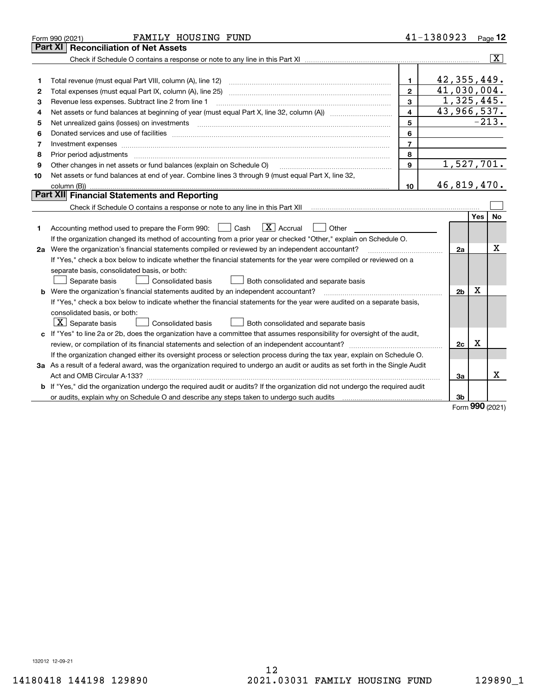|    | FAMILY HOUSING FUND<br>Form 990 (2021)                                                                                                                                                                                         |                | 41-1380923                |     | Page $12$               |
|----|--------------------------------------------------------------------------------------------------------------------------------------------------------------------------------------------------------------------------------|----------------|---------------------------|-----|-------------------------|
|    | <b>Reconciliation of Net Assets</b><br>Part XI                                                                                                                                                                                 |                |                           |     |                         |
|    |                                                                                                                                                                                                                                |                |                           |     | $\overline{\mathbf{x}}$ |
|    |                                                                                                                                                                                                                                |                |                           |     |                         |
| 1  | Total revenue (must equal Part VIII, column (A), line 12)                                                                                                                                                                      | $\mathbf{1}$   | 42, 355, 449.             |     |                         |
| 2  | Total expenses (must equal Part IX, column (A), line 25)                                                                                                                                                                       | $\overline{2}$ | $\overline{41,030,004}$ . |     |                         |
| з  | Revenue less expenses. Subtract line 2 from line 1                                                                                                                                                                             | 3              | 1,325,445.                |     |                         |
| 4  |                                                                                                                                                                                                                                | 4              | 43,966,537.               |     |                         |
| 5  |                                                                                                                                                                                                                                | 5              |                           |     | $-213.$                 |
| 6  | Donated services and use of facilities [111] matter contracts and the service of facilities [11] matter contracts and use of facilities [11] matter contracts and the service of facilities [11] matter contracts and the serv | 6              |                           |     |                         |
| 7  | Investment expenses www.communication.com/www.communication.com/www.communication.com/www.com                                                                                                                                  | $\overline{7}$ |                           |     |                         |
| 8  | Prior period adjustments                                                                                                                                                                                                       | 8              |                           |     |                         |
| 9  | Other changes in net assets or fund balances (explain on Schedule O)                                                                                                                                                           | $\mathbf{9}$   | 1,527,701.                |     |                         |
| 10 | Net assets or fund balances at end of year. Combine lines 3 through 9 (must equal Part X, line 32,                                                                                                                             |                |                           |     |                         |
|    | column (B))                                                                                                                                                                                                                    | 10             | 46,819,470.               |     |                         |
|    | Part XII Financial Statements and Reporting                                                                                                                                                                                    |                |                           |     |                         |
|    |                                                                                                                                                                                                                                |                |                           |     |                         |
|    |                                                                                                                                                                                                                                |                |                           | Yes | No                      |
| 1. | $\vert X \vert$ Accrual<br>Accounting method used to prepare the Form 990: <u>I</u> Cash<br>Other                                                                                                                              |                |                           |     |                         |
|    | If the organization changed its method of accounting from a prior year or checked "Other," explain on Schedule O.                                                                                                              |                |                           |     |                         |
|    | 2a Were the organization's financial statements compiled or reviewed by an independent accountant?                                                                                                                             |                | 2a                        |     | х                       |
|    | If "Yes," check a box below to indicate whether the financial statements for the year were compiled or reviewed on a                                                                                                           |                |                           |     |                         |
|    | separate basis, consolidated basis, or both:                                                                                                                                                                                   |                |                           |     |                         |
|    | Separate basis<br><b>Consolidated basis</b><br>Both consolidated and separate basis                                                                                                                                            |                |                           |     |                         |
|    | <b>b</b> Were the organization's financial statements audited by an independent accountant?                                                                                                                                    |                | 2 <sub>b</sub>            | X   |                         |
|    | If "Yes," check a box below to indicate whether the financial statements for the year were audited on a separate basis,                                                                                                        |                |                           |     |                         |
|    | consolidated basis, or both:                                                                                                                                                                                                   |                |                           |     |                         |
|    | $\vert$ X $\vert$ Separate basis<br>Consolidated basis<br>Both consolidated and separate basis                                                                                                                                 |                |                           |     |                         |
|    | c If "Yes" to line 2a or 2b, does the organization have a committee that assumes responsibility for oversight of the audit,                                                                                                    |                |                           |     |                         |
|    |                                                                                                                                                                                                                                |                | 2c                        | x   |                         |
|    | If the organization changed either its oversight process or selection process during the tax year, explain on Schedule O.                                                                                                      |                |                           |     |                         |
|    | 3a As a result of a federal award, was the organization required to undergo an audit or audits as set forth in the Single Audit                                                                                                |                |                           |     |                         |
|    |                                                                                                                                                                                                                                |                | 3a                        |     | x                       |
|    | b If "Yes," did the organization undergo the required audit or audits? If the organization did not undergo the required audit                                                                                                  |                |                           |     |                         |
|    |                                                                                                                                                                                                                                |                | 3b                        |     |                         |

Form (2021) **990**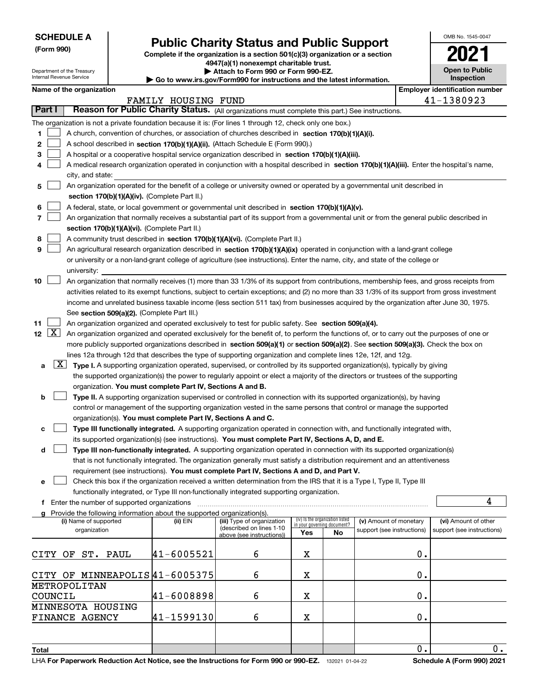Department of the Treasury Internal Revenue Service

**(Form 990)**

# **Public Charity Status and Public Support**

**Complete if the organization is a section 501(c)(3) organization or a section**

**4947(a)(1) nonexempt charitable trust. | Attach to Form 990 or Form 990-EZ.** 

**| Go to www.irs.gov/Form990 for instructions and the latest information.**

| OMB No. 1545-0047                   |
|-------------------------------------|
|                                     |
| <b>Open to Public</b><br>Inspection |

| Name of the organization |
|--------------------------|
|--------------------------|

| Name of the organization                                                                                                                        |                     |                                                        |                             |                                 |                            |    | <b>Employer identification number</b> |
|-------------------------------------------------------------------------------------------------------------------------------------------------|---------------------|--------------------------------------------------------|-----------------------------|---------------------------------|----------------------------|----|---------------------------------------|
|                                                                                                                                                 | FAMILY HOUSING FUND |                                                        |                             |                                 |                            |    | 41-1380923                            |
| Part I<br>Reason for Public Charity Status. (All organizations must complete this part.) See instructions.                                      |                     |                                                        |                             |                                 |                            |    |                                       |
| The organization is not a private foundation because it is: (For lines 1 through 12, check only one box.)                                       |                     |                                                        |                             |                                 |                            |    |                                       |
| 1.<br>A church, convention of churches, or association of churches described in section 170(b)(1)(A)(i).                                        |                     |                                                        |                             |                                 |                            |    |                                       |
| 2<br>A school described in section 170(b)(1)(A)(ii). (Attach Schedule E (Form 990).)                                                            |                     |                                                        |                             |                                 |                            |    |                                       |
| A hospital or a cooperative hospital service organization described in section 170(b)(1)(A)(iii).<br>з                                          |                     |                                                        |                             |                                 |                            |    |                                       |
| A medical research organization operated in conjunction with a hospital described in section 170(b)(1)(A)(iii). Enter the hospital's name,<br>4 |                     |                                                        |                             |                                 |                            |    |                                       |
| city, and state:                                                                                                                                |                     |                                                        |                             |                                 |                            |    |                                       |
| An organization operated for the benefit of a college or university owned or operated by a governmental unit described in<br>5                  |                     |                                                        |                             |                                 |                            |    |                                       |
| section 170(b)(1)(A)(iv). (Complete Part II.)                                                                                                   |                     |                                                        |                             |                                 |                            |    |                                       |
| A federal, state, or local government or governmental unit described in section 170(b)(1)(A)(v).<br>6                                           |                     |                                                        |                             |                                 |                            |    |                                       |
| 7<br>An organization that normally receives a substantial part of its support from a governmental unit or from the general public described in  |                     |                                                        |                             |                                 |                            |    |                                       |
| section 170(b)(1)(A)(vi). (Complete Part II.)                                                                                                   |                     |                                                        |                             |                                 |                            |    |                                       |
| A community trust described in section 170(b)(1)(A)(vi). (Complete Part II.)<br>8                                                               |                     |                                                        |                             |                                 |                            |    |                                       |
| 9<br>An agricultural research organization described in section 170(b)(1)(A)(ix) operated in conjunction with a land-grant college              |                     |                                                        |                             |                                 |                            |    |                                       |
| or university or a non-land-grant college of agriculture (see instructions). Enter the name, city, and state of the college or                  |                     |                                                        |                             |                                 |                            |    |                                       |
| university:                                                                                                                                     |                     |                                                        |                             |                                 |                            |    |                                       |
| An organization that normally receives (1) more than 33 1/3% of its support from contributions, membership fees, and gross receipts from<br>10  |                     |                                                        |                             |                                 |                            |    |                                       |
| activities related to its exempt functions, subject to certain exceptions; and (2) no more than 33 1/3% of its support from gross investment    |                     |                                                        |                             |                                 |                            |    |                                       |
| income and unrelated business taxable income (less section 511 tax) from businesses acquired by the organization after June 30, 1975.           |                     |                                                        |                             |                                 |                            |    |                                       |
| See section 509(a)(2). (Complete Part III.)                                                                                                     |                     |                                                        |                             |                                 |                            |    |                                       |
| 11<br>An organization organized and operated exclusively to test for public safety. See section 509(a)(4).                                      |                     |                                                        |                             |                                 |                            |    |                                       |
| 12 $X$                                                                                                                                          |                     |                                                        |                             |                                 |                            |    |                                       |
| An organization organized and operated exclusively for the benefit of, to perform the functions of, or to carry out the purposes of one or      |                     |                                                        |                             |                                 |                            |    |                                       |
| more publicly supported organizations described in section 509(a)(1) or section 509(a)(2). See section 509(a)(3). Check the box on              |                     |                                                        |                             |                                 |                            |    |                                       |
| lines 12a through 12d that describes the type of supporting organization and complete lines 12e, 12f, and 12g.                                  |                     |                                                        |                             |                                 |                            |    |                                       |
| X <br>Type I. A supporting organization operated, supervised, or controlled by its supported organization(s), typically by giving<br>а          |                     |                                                        |                             |                                 |                            |    |                                       |
| the supported organization(s) the power to regularly appoint or elect a majority of the directors or trustees of the supporting                 |                     |                                                        |                             |                                 |                            |    |                                       |
| organization. You must complete Part IV, Sections A and B.                                                                                      |                     |                                                        |                             |                                 |                            |    |                                       |
| Type II. A supporting organization supervised or controlled in connection with its supported organization(s), by having<br>b                    |                     |                                                        |                             |                                 |                            |    |                                       |
| control or management of the supporting organization vested in the same persons that control or manage the supported                            |                     |                                                        |                             |                                 |                            |    |                                       |
| organization(s). You must complete Part IV, Sections A and C.                                                                                   |                     |                                                        |                             |                                 |                            |    |                                       |
| Type III functionally integrated. A supporting organization operated in connection with, and functionally integrated with,<br>с                 |                     |                                                        |                             |                                 |                            |    |                                       |
| its supported organization(s) (see instructions). You must complete Part IV, Sections A, D, and E.                                              |                     |                                                        |                             |                                 |                            |    |                                       |
| Type III non-functionally integrated. A supporting organization operated in connection with its supported organization(s)<br>d                  |                     |                                                        |                             |                                 |                            |    |                                       |
| that is not functionally integrated. The organization generally must satisfy a distribution requirement and an attentiveness                    |                     |                                                        |                             |                                 |                            |    |                                       |
| requirement (see instructions). You must complete Part IV, Sections A and D, and Part V.                                                        |                     |                                                        |                             |                                 |                            |    |                                       |
| Check this box if the organization received a written determination from the IRS that it is a Type I, Type II, Type III                         |                     |                                                        |                             |                                 |                            |    |                                       |
| functionally integrated, or Type III non-functionally integrated supporting organization.                                                       |                     |                                                        |                             |                                 |                            |    |                                       |
| f Enter the number of supported organizations                                                                                                   |                     |                                                        |                             |                                 |                            |    | 4                                     |
| g Provide the following information about the supported organization(s).                                                                        |                     |                                                        |                             |                                 |                            |    |                                       |
| (i) Name of supported                                                                                                                           | (ii) EIN            | (iii) Type of organization<br>(described on lines 1-10 | in your governing document? | (iv) Is the organization listed | (v) Amount of monetary     |    | (vi) Amount of other                  |
| organization                                                                                                                                    |                     | above (see instructions))                              | Yes                         | No                              | support (see instructions) |    | support (see instructions)            |
|                                                                                                                                                 |                     |                                                        |                             |                                 |                            |    |                                       |
| CITY<br>OF ST. PAUL                                                                                                                             | 41-6005521          | 6                                                      | х                           |                                 |                            | 0. |                                       |
|                                                                                                                                                 |                     |                                                        |                             |                                 |                            |    |                                       |
| CITY OF MINNEAPOLIS41-6005375                                                                                                                   |                     | 6                                                      | х                           |                                 |                            | 0. |                                       |
| METROPOLITAN                                                                                                                                    |                     |                                                        |                             |                                 |                            |    |                                       |
| COUNCIL                                                                                                                                         | 41-6008898          | 6                                                      | X                           |                                 |                            | 0. |                                       |
| MINNESOTA HOUSING                                                                                                                               |                     |                                                        |                             |                                 |                            |    |                                       |
| <b>FINANCE AGENCY</b>                                                                                                                           | 41-1599130          | 6                                                      | X                           |                                 |                            | 0. |                                       |
|                                                                                                                                                 |                     |                                                        |                             |                                 |                            |    |                                       |
|                                                                                                                                                 |                     |                                                        |                             |                                 |                            |    |                                       |
| Total                                                                                                                                           |                     |                                                        |                             |                                 |                            | 0. | $0$ .                                 |
| LHA For Paperwork Reduction Act Notice, see the Instructions for Form 990 or 990-EZ. 132021 01-04-22                                            |                     |                                                        |                             |                                 |                            |    | Schedule A (Form 990) 2021            |
|                                                                                                                                                 |                     |                                                        |                             |                                 |                            |    |                                       |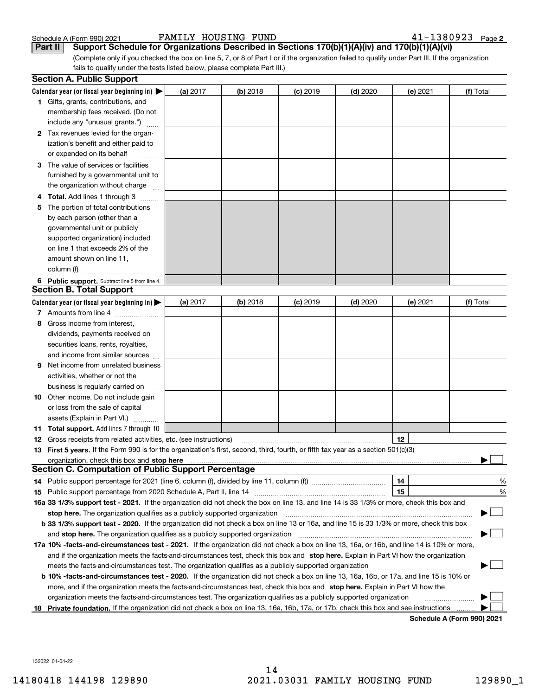| Schedule A (Form 990) 202 |  |  |
|---------------------------|--|--|
|                           |  |  |

**Part II** Support Schedule for Organizations Described in Sections 170(b)(1)(A)(iv) and 170(b)(1)(A)(vi)

(Complete only if you checked the box on line 5, 7, or 8 of Part I or if the organization failed to qualify under Part III. If the organization fails to qualify under the tests listed below, please complete Part III.)

|    | <b>Section A. Public Support</b>                                                                                                               |          |            |            |            |          |                            |
|----|------------------------------------------------------------------------------------------------------------------------------------------------|----------|------------|------------|------------|----------|----------------------------|
|    | Calendar year (or fiscal year beginning in) $\blacktriangleright$                                                                              | (a) 2017 | $(b)$ 2018 | $(c)$ 2019 | $(d)$ 2020 | (e) 2021 | (f) Total                  |
|    | <b>1</b> Gifts, grants, contributions, and                                                                                                     |          |            |            |            |          |                            |
|    | membership fees received. (Do not                                                                                                              |          |            |            |            |          |                            |
|    | include any "unusual grants.")                                                                                                                 |          |            |            |            |          |                            |
|    | 2 Tax revenues levied for the organ-                                                                                                           |          |            |            |            |          |                            |
|    | ization's benefit and either paid to                                                                                                           |          |            |            |            |          |                            |
|    | or expended on its behalf                                                                                                                      |          |            |            |            |          |                            |
|    | 3 The value of services or facilities                                                                                                          |          |            |            |            |          |                            |
|    | furnished by a governmental unit to                                                                                                            |          |            |            |            |          |                            |
|    | the organization without charge                                                                                                                |          |            |            |            |          |                            |
|    | 4 Total. Add lines 1 through 3                                                                                                                 |          |            |            |            |          |                            |
| 5  | The portion of total contributions                                                                                                             |          |            |            |            |          |                            |
|    | by each person (other than a                                                                                                                   |          |            |            |            |          |                            |
|    | governmental unit or publicly                                                                                                                  |          |            |            |            |          |                            |
|    | supported organization) included                                                                                                               |          |            |            |            |          |                            |
|    | on line 1 that exceeds 2% of the                                                                                                               |          |            |            |            |          |                            |
|    | amount shown on line 11,                                                                                                                       |          |            |            |            |          |                            |
|    | column (f)                                                                                                                                     |          |            |            |            |          |                            |
|    | 6 Public support. Subtract line 5 from line 4.                                                                                                 |          |            |            |            |          |                            |
|    | <b>Section B. Total Support</b>                                                                                                                |          |            |            |            |          |                            |
|    | Calendar year (or fiscal year beginning in) $\blacktriangleright$                                                                              | (a) 2017 | (b) 2018   | $(c)$ 2019 | $(d)$ 2020 | (e) 2021 | (f) Total                  |
|    | 7 Amounts from line 4                                                                                                                          |          |            |            |            |          |                            |
|    | 8 Gross income from interest,                                                                                                                  |          |            |            |            |          |                            |
|    | dividends, payments received on                                                                                                                |          |            |            |            |          |                            |
|    | securities loans, rents, royalties,                                                                                                            |          |            |            |            |          |                            |
|    | and income from similar sources                                                                                                                |          |            |            |            |          |                            |
| 9. | Net income from unrelated business                                                                                                             |          |            |            |            |          |                            |
|    | activities, whether or not the                                                                                                                 |          |            |            |            |          |                            |
|    | business is regularly carried on                                                                                                               |          |            |            |            |          |                            |
|    | <b>10</b> Other income. Do not include gain                                                                                                    |          |            |            |            |          |                            |
|    | or loss from the sale of capital                                                                                                               |          |            |            |            |          |                            |
|    | assets (Explain in Part VI.)                                                                                                                   |          |            |            |            |          |                            |
|    | <b>11 Total support.</b> Add lines 7 through 10                                                                                                |          |            |            |            |          |                            |
|    | <b>12</b> Gross receipts from related activities, etc. (see instructions)                                                                      |          |            |            |            | 12       |                            |
|    | 13 First 5 years. If the Form 990 is for the organization's first, second, third, fourth, or fifth tax year as a section 501(c)(3)             |          |            |            |            |          |                            |
|    |                                                                                                                                                |          |            |            |            |          |                            |
|    | <b>Section C. Computation of Public Support Percentage</b>                                                                                     |          |            |            |            |          |                            |
|    | 14 Public support percentage for 2021 (line 6, column (f), divided by line 11, column (f) <i>mummumumum</i>                                    |          |            |            |            | 14       | %                          |
|    |                                                                                                                                                |          |            |            |            | 15       | %                          |
|    | 16a 33 1/3% support test - 2021. If the organization did not check the box on line 13, and line 14 is 33 1/3% or more, check this box and      |          |            |            |            |          |                            |
|    | stop here. The organization qualifies as a publicly supported organization                                                                     |          |            |            |            |          |                            |
|    | b 33 1/3% support test - 2020. If the organization did not check a box on line 13 or 16a, and line 15 is 33 1/3% or more, check this box       |          |            |            |            |          |                            |
|    | and stop here. The organization qualifies as a publicly supported organization                                                                 |          |            |            |            |          |                            |
|    | 17a 10% -facts-and-circumstances test - 2021. If the organization did not check a box on line 13, 16a, or 16b, and line 14 is 10% or more,     |          |            |            |            |          |                            |
|    | and if the organization meets the facts-and-circumstances test, check this box and stop here. Explain in Part VI how the organization          |          |            |            |            |          |                            |
|    | meets the facts-and-circumstances test. The organization qualifies as a publicly supported organization                                        |          |            |            |            |          |                            |
|    | <b>b 10% -facts-and-circumstances test - 2020.</b> If the organization did not check a box on line 13, 16a, 16b, or 17a, and line 15 is 10% or |          |            |            |            |          |                            |
|    | more, and if the organization meets the facts-and-circumstances test, check this box and stop here. Explain in Part VI how the                 |          |            |            |            |          |                            |
|    | organization meets the facts-and-circumstances test. The organization qualifies as a publicly supported organization                           |          |            |            |            |          |                            |
| 18 | Private foundation. If the organization did not check a box on line 13, 16a, 16b, 17a, or 17b, check this box and see instructions             |          |            |            |            |          | Schedule A (Form 990) 2021 |
|    |                                                                                                                                                |          |            |            |            |          |                            |

**Schedule A (Form 990) 2021**

132022 01-04-22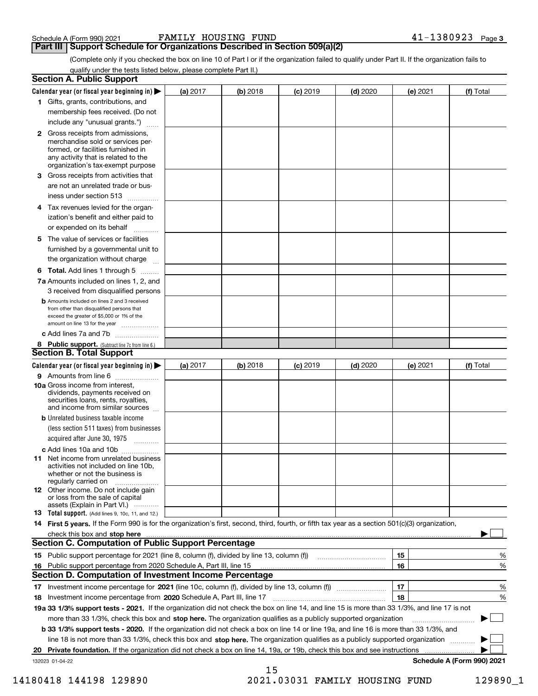**Part III Support Schedule for Organizations Described in Section 509(a)(2)** 

(Complete only if you checked the box on line 10 of Part I or if the organization failed to qualify under Part II. If the organization fails to qualify under the tests listed below, please complete Part II.)

| <b>Section A. Public Support</b>                                                                                                                                                                |            |          |                 |            |          |                            |
|-------------------------------------------------------------------------------------------------------------------------------------------------------------------------------------------------|------------|----------|-----------------|------------|----------|----------------------------|
| Calendar year (or fiscal year beginning in) $\blacktriangleright$                                                                                                                               | (a) 2017   | (b) 2018 | $(c)$ 2019      | $(d)$ 2020 | (e) 2021 | (f) Total                  |
| 1 Gifts, grants, contributions, and                                                                                                                                                             |            |          |                 |            |          |                            |
| membership fees received. (Do not                                                                                                                                                               |            |          |                 |            |          |                            |
| include any "unusual grants.")                                                                                                                                                                  |            |          |                 |            |          |                            |
| <b>2</b> Gross receipts from admissions,<br>merchandise sold or services per-<br>formed, or facilities furnished in<br>any activity that is related to the<br>organization's tax-exempt purpose |            |          |                 |            |          |                            |
| 3 Gross receipts from activities that                                                                                                                                                           |            |          |                 |            |          |                            |
| are not an unrelated trade or bus-                                                                                                                                                              |            |          |                 |            |          |                            |
| iness under section 513                                                                                                                                                                         |            |          |                 |            |          |                            |
| 4 Tax revenues levied for the organ-                                                                                                                                                            |            |          |                 |            |          |                            |
| ization's benefit and either paid to                                                                                                                                                            |            |          |                 |            |          |                            |
| or expended on its behalf<br>.                                                                                                                                                                  |            |          |                 |            |          |                            |
| 5 The value of services or facilities<br>furnished by a governmental unit to                                                                                                                    |            |          |                 |            |          |                            |
| the organization without charge                                                                                                                                                                 |            |          |                 |            |          |                            |
| <b>6 Total.</b> Add lines 1 through 5                                                                                                                                                           |            |          |                 |            |          |                            |
| 7a Amounts included on lines 1, 2, and<br>3 received from disqualified persons                                                                                                                  |            |          |                 |            |          |                            |
| <b>b</b> Amounts included on lines 2 and 3 received<br>from other than disqualified persons that<br>exceed the greater of \$5,000 or 1% of the<br>amount on line 13 for the year                |            |          |                 |            |          |                            |
| c Add lines 7a and 7b                                                                                                                                                                           |            |          |                 |            |          |                            |
| 8 Public support. (Subtract line 7c from line 6.)<br>Section B. Total Support                                                                                                                   |            |          |                 |            |          |                            |
| Calendar year (or fiscal year beginning in)                                                                                                                                                     | (a) $2017$ | (b) 2018 | <b>(c)</b> 2019 | $(d)$ 2020 | (e) 2021 | (f) Total                  |
| 9 Amounts from line 6                                                                                                                                                                           |            |          |                 |            |          |                            |
| <b>10a</b> Gross income from interest,<br>dividends, payments received on<br>securities loans, rents, royalties,<br>and income from similar sources                                             |            |          |                 |            |          |                            |
| <b>b</b> Unrelated business taxable income                                                                                                                                                      |            |          |                 |            |          |                            |
| (less section 511 taxes) from businesses                                                                                                                                                        |            |          |                 |            |          |                            |
| acquired after June 30, 1975                                                                                                                                                                    |            |          |                 |            |          |                            |
| c Add lines 10a and 10b                                                                                                                                                                         |            |          |                 |            |          |                            |
| 11 Net income from unrelated business<br>activities not included on line 10b.<br>whether or not the business is<br>regularly carried on                                                         |            |          |                 |            |          |                            |
| 12 Other income. Do not include gain<br>or loss from the sale of capital<br>assets (Explain in Part VI.)                                                                                        |            |          |                 |            |          |                            |
| <b>13</b> Total support. (Add lines 9, 10c, 11, and 12.)                                                                                                                                        |            |          |                 |            |          |                            |
| 14 First 5 years. If the Form 990 is for the organization's first, second, third, fourth, or fifth tax year as a section 501(c)(3) organization,                                                |            |          |                 |            |          |                            |
| check this box and <b>stop here</b> with an accommutation of the contract of the state of the contract of the contract of                                                                       |            |          |                 |            |          |                            |
| <b>Section C. Computation of Public Support Percentage</b>                                                                                                                                      |            |          |                 |            |          |                            |
|                                                                                                                                                                                                 |            |          |                 |            | 15       | %                          |
| 16 Public support percentage from 2020 Schedule A, Part III, line 15                                                                                                                            |            |          |                 |            | 16       | %                          |
| <b>Section D. Computation of Investment Income Percentage</b>                                                                                                                                   |            |          |                 |            |          |                            |
| 17 Investment income percentage for 2021 (line 10c, column (f), divided by line 13, column (f))                                                                                                 |            |          |                 |            | 17       | %                          |
| 18 Investment income percentage from 2020 Schedule A, Part III, line 17                                                                                                                         |            |          |                 |            | 18       | %                          |
| 19a 33 1/3% support tests - 2021. If the organization did not check the box on line 14, and line 15 is more than 33 1/3%, and line 17 is not                                                    |            |          |                 |            |          |                            |
| more than 33 1/3%, check this box and stop here. The organization qualifies as a publicly supported organization                                                                                |            |          |                 |            |          |                            |
| b 33 1/3% support tests - 2020. If the organization did not check a box on line 14 or line 19a, and line 16 is more than 33 1/3%, and                                                           |            |          |                 |            |          |                            |
| line 18 is not more than 33 1/3%, check this box and stop here. The organization qualifies as a publicly supported organization                                                                 |            |          |                 |            |          |                            |
| 20 Private foundation. If the organization did not check a box on line 14, 19a, or 19b, check this box and see instructions                                                                     |            |          |                 |            |          |                            |
| 132023 01-04-22                                                                                                                                                                                 |            |          |                 |            |          | Schedule A (Form 990) 2021 |
|                                                                                                                                                                                                 |            | 15       |                 |            |          |                            |

 <sup>14180418 144198 129890 2021.03031</sup> FAMILY HOUSING FUND 129890\_1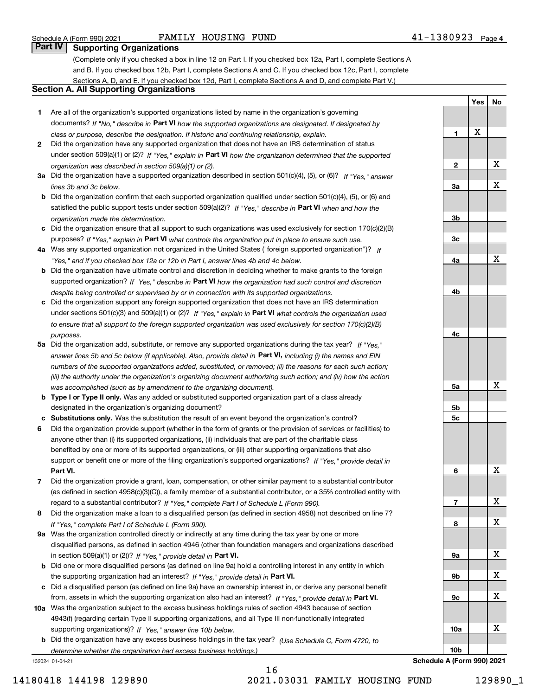**Yes**

**No**

# **Part IV Supporting Organizations**

(Complete only if you checked a box in line 12 on Part I. If you checked box 12a, Part I, complete Sections A and B. If you checked box 12b, Part I, complete Sections A and C. If you checked box 12c, Part I, complete Sections A, D, and E. If you checked box 12d, Part I, complete Sections A and D, and complete Part V.)

# **Section A. All Supporting Organizations**

- **1** Are all of the organization's supported organizations listed by name in the organization's governing documents? If "No," describe in **Part VI** how the supported organizations are designated. If designated by *class or purpose, describe the designation. If historic and continuing relationship, explain.*
- **2** Did the organization have any supported organization that does not have an IRS determination of status under section 509(a)(1) or (2)? If "Yes," explain in Part VI how the organization determined that the supported *organization was described in section 509(a)(1) or (2).*
- **3a** Did the organization have a supported organization described in section 501(c)(4), (5), or (6)? If "Yes," answer *lines 3b and 3c below.*
- **b** Did the organization confirm that each supported organization qualified under section 501(c)(4), (5), or (6) and satisfied the public support tests under section 509(a)(2)? If "Yes," describe in **Part VI** when and how the *organization made the determination.*
- **c**Did the organization ensure that all support to such organizations was used exclusively for section 170(c)(2)(B) purposes? If "Yes," explain in **Part VI** what controls the organization put in place to ensure such use.
- **4a***If* Was any supported organization not organized in the United States ("foreign supported organization")? *"Yes," and if you checked box 12a or 12b in Part I, answer lines 4b and 4c below.*
- **b** Did the organization have ultimate control and discretion in deciding whether to make grants to the foreign supported organization? If "Yes," describe in **Part VI** how the organization had such control and discretion *despite being controlled or supervised by or in connection with its supported organizations.*
- **c** Did the organization support any foreign supported organization that does not have an IRS determination under sections 501(c)(3) and 509(a)(1) or (2)? If "Yes," explain in **Part VI** what controls the organization used *to ensure that all support to the foreign supported organization was used exclusively for section 170(c)(2)(B) purposes.*
- **5a** Did the organization add, substitute, or remove any supported organizations during the tax year? If "Yes," answer lines 5b and 5c below (if applicable). Also, provide detail in **Part VI,** including (i) the names and EIN *numbers of the supported organizations added, substituted, or removed; (ii) the reasons for each such action; (iii) the authority under the organization's organizing document authorizing such action; and (iv) how the action was accomplished (such as by amendment to the organizing document).*
- **b** Type I or Type II only. Was any added or substituted supported organization part of a class already designated in the organization's organizing document?
- **cSubstitutions only.**  Was the substitution the result of an event beyond the organization's control?
- **6** Did the organization provide support (whether in the form of grants or the provision of services or facilities) to **Part VI.** *If "Yes," provide detail in* support or benefit one or more of the filing organization's supported organizations? anyone other than (i) its supported organizations, (ii) individuals that are part of the charitable class benefited by one or more of its supported organizations, or (iii) other supporting organizations that also
- **7**Did the organization provide a grant, loan, compensation, or other similar payment to a substantial contributor regard to a substantial contributor? If "Yes," complete Part I of Schedule L (Form 990). (as defined in section 4958(c)(3)(C)), a family member of a substantial contributor, or a 35% controlled entity with
- **8** Did the organization make a loan to a disqualified person (as defined in section 4958) not described on line 7? *If "Yes," complete Part I of Schedule L (Form 990).*
- **9a** Was the organization controlled directly or indirectly at any time during the tax year by one or more in section 509(a)(1) or (2))? If "Yes," *provide detail in* <code>Part VI.</code> disqualified persons, as defined in section 4946 (other than foundation managers and organizations described
- **b**the supporting organization had an interest? If "Yes," provide detail in P**art VI**. Did one or more disqualified persons (as defined on line 9a) hold a controlling interest in any entity in which
- **c**Did a disqualified person (as defined on line 9a) have an ownership interest in, or derive any personal benefit from, assets in which the supporting organization also had an interest? If "Yes," provide detail in P**art VI.**
- **10a** Was the organization subject to the excess business holdings rules of section 4943 because of section supporting organizations)? If "Yes," answer line 10b below. 4943(f) (regarding certain Type II supporting organizations, and all Type III non-functionally integrated
- **b** Did the organization have any excess business holdings in the tax year? (Use Schedule C, Form 4720, to *determine whether the organization had excess business holdings.)*

132024 01-04-21



**Schedule A (Form 990) 2021**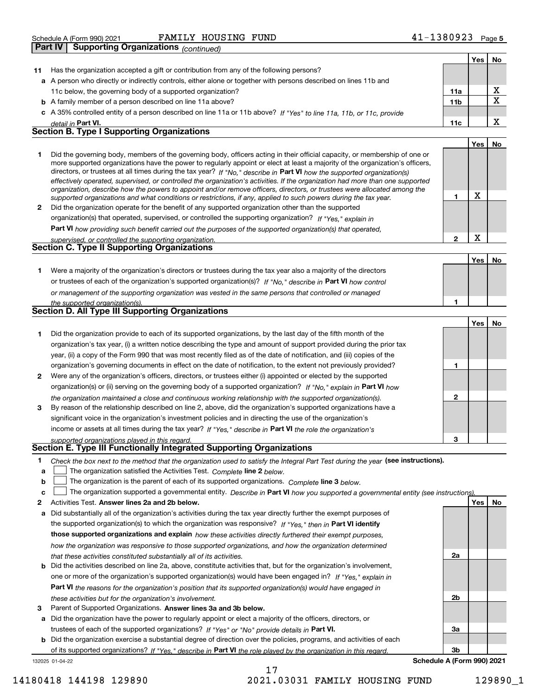| 1380923<br>HOUSING FUND<br>FAMILY<br>Schedule A (Form 990) 2021 | Page 5 |
|-----------------------------------------------------------------|--------|
|-----------------------------------------------------------------|--------|

|              | Supporting Organizations (continued)<br><b>Part IV</b>                                                                                                                                                                                                                                                                                                                                                                                                                                                                                                                                                                                               |                 |     |           |
|--------------|------------------------------------------------------------------------------------------------------------------------------------------------------------------------------------------------------------------------------------------------------------------------------------------------------------------------------------------------------------------------------------------------------------------------------------------------------------------------------------------------------------------------------------------------------------------------------------------------------------------------------------------------------|-----------------|-----|-----------|
|              |                                                                                                                                                                                                                                                                                                                                                                                                                                                                                                                                                                                                                                                      |                 | Yes | No.       |
| 11           | Has the organization accepted a gift or contribution from any of the following persons?                                                                                                                                                                                                                                                                                                                                                                                                                                                                                                                                                              |                 |     |           |
|              | a A person who directly or indirectly controls, either alone or together with persons described on lines 11b and                                                                                                                                                                                                                                                                                                                                                                                                                                                                                                                                     |                 |     |           |
|              | 11c below, the governing body of a supported organization?                                                                                                                                                                                                                                                                                                                                                                                                                                                                                                                                                                                           | 11a             |     | x         |
|              | <b>b</b> A family member of a person described on line 11a above?                                                                                                                                                                                                                                                                                                                                                                                                                                                                                                                                                                                    | 11 <sub>b</sub> |     | X         |
|              | c A 35% controlled entity of a person described on line 11a or 11b above? If "Yes" to line 11a, 11b, or 11c, provide                                                                                                                                                                                                                                                                                                                                                                                                                                                                                                                                 |                 |     |           |
|              | detail in Part VI.                                                                                                                                                                                                                                                                                                                                                                                                                                                                                                                                                                                                                                   | 11c             |     | X         |
|              | <b>Section B. Type I Supporting Organizations</b>                                                                                                                                                                                                                                                                                                                                                                                                                                                                                                                                                                                                    |                 |     |           |
|              |                                                                                                                                                                                                                                                                                                                                                                                                                                                                                                                                                                                                                                                      |                 | Yes | No        |
| 1            | Did the governing body, members of the governing body, officers acting in their official capacity, or membership of one or<br>more supported organizations have the power to regularly appoint or elect at least a majority of the organization's officers,<br>directors, or trustees at all times during the tax year? If "No," describe in Part VI how the supported organization(s)<br>effectively operated, supervised, or controlled the organization's activities. If the organization had more than one supported<br>organization, describe how the powers to appoint and/or remove officers, directors, or trustees were allocated among the |                 |     |           |
|              | supported organizations and what conditions or restrictions, if any, applied to such powers during the tax year.                                                                                                                                                                                                                                                                                                                                                                                                                                                                                                                                     | 1               | X   |           |
| $\mathbf{2}$ | Did the organization operate for the benefit of any supported organization other than the supported                                                                                                                                                                                                                                                                                                                                                                                                                                                                                                                                                  |                 |     |           |
|              | organization(s) that operated, supervised, or controlled the supporting organization? If "Yes," explain in                                                                                                                                                                                                                                                                                                                                                                                                                                                                                                                                           |                 |     |           |
|              | Part VI how providing such benefit carried out the purposes of the supported organization(s) that operated,                                                                                                                                                                                                                                                                                                                                                                                                                                                                                                                                          |                 |     |           |
|              | supervised, or controlled the supporting organization.                                                                                                                                                                                                                                                                                                                                                                                                                                                                                                                                                                                               | $\overline{2}$  | x   |           |
|              | <b>Section C. Type II Supporting Organizations</b>                                                                                                                                                                                                                                                                                                                                                                                                                                                                                                                                                                                                   |                 |     |           |
|              |                                                                                                                                                                                                                                                                                                                                                                                                                                                                                                                                                                                                                                                      |                 | Yes | <b>No</b> |
| 1            | Were a majority of the organization's directors or trustees during the tax year also a majority of the directors                                                                                                                                                                                                                                                                                                                                                                                                                                                                                                                                     |                 |     |           |
|              | or trustees of each of the organization's supported organization(s)? If "No," describe in Part VI how control                                                                                                                                                                                                                                                                                                                                                                                                                                                                                                                                        |                 |     |           |
|              | or management of the supporting organization was vested in the same persons that controlled or managed                                                                                                                                                                                                                                                                                                                                                                                                                                                                                                                                               |                 |     |           |
|              | the supported organization(s).                                                                                                                                                                                                                                                                                                                                                                                                                                                                                                                                                                                                                       | 1               |     |           |
|              | Section D. All Type III Supporting Organizations                                                                                                                                                                                                                                                                                                                                                                                                                                                                                                                                                                                                     |                 |     |           |
|              |                                                                                                                                                                                                                                                                                                                                                                                                                                                                                                                                                                                                                                                      |                 | Yes | No        |
|              | Did the organization provide to each of its supported organizations, by the last day of the fifth month of the                                                                                                                                                                                                                                                                                                                                                                                                                                                                                                                                       |                 |     |           |

|              | Did the organization provide to each of its supported organizations, by the last day of the fifth month of the<br>organization's tax year, (i) a written notice describing the type and amount of support provided during the prior tax |  |  |
|--------------|-----------------------------------------------------------------------------------------------------------------------------------------------------------------------------------------------------------------------------------------|--|--|
|              | year, (ii) a copy of the Form 990 that was most recently filed as of the date of notification, and (iii) copies of the                                                                                                                  |  |  |
|              | organization's governing documents in effect on the date of notification, to the extent not previously provided?                                                                                                                        |  |  |
| $\mathbf{2}$ | Were any of the organization's officers, directors, or trustees either (i) appointed or elected by the supported                                                                                                                        |  |  |
|              | organization(s) or (ii) serving on the governing body of a supported organization? If "No," explain in Part VI how                                                                                                                      |  |  |
|              | the organization maintained a close and continuous working relationship with the supported organization(s).                                                                                                                             |  |  |
| 3            | By reason of the relationship described on line 2, above, did the organization's supported organizations have a                                                                                                                         |  |  |
|              | significant voice in the organization's investment policies and in directing the use of the organization's                                                                                                                              |  |  |
|              | income or assets at all times during the tax year? If "Yes," describe in Part VI the role the organization's                                                                                                                            |  |  |
|              | supported organizations played in this regard.                                                                                                                                                                                          |  |  |

# *supported organizations played in this regard.* **Section E. Type III Functionally Integrated Supporting Organizations**

| Check the box next to the method that the organization used to satisfy the Integral Part Test during the year (see instructions). |  |
|-----------------------------------------------------------------------------------------------------------------------------------|--|
|                                                                                                                                   |  |

**alinupy** The organization satisfied the Activities Test. Complete line 2 below.

|  |  |  |  | <b>b</b> $\Box$ The organization is the parent of each of its supported organizations. Complete line 3 below. |  |  |
|--|--|--|--|---------------------------------------------------------------------------------------------------------------|--|--|
|--|--|--|--|---------------------------------------------------------------------------------------------------------------|--|--|

|  |  | $c$ The organization supported a governmental entity. Describe in Part VI how you supported a governmental entity (see instructions). |  |
|--|--|---------------------------------------------------------------------------------------------------------------------------------------|--|
|--|--|---------------------------------------------------------------------------------------------------------------------------------------|--|

17

- **2Answer lines 2a and 2b below. Yes No** Activities Test.
- **a** Did substantially all of the organization's activities during the tax year directly further the exempt purposes of the supported organization(s) to which the organization was responsive? If "Yes," then in **Part VI identify those supported organizations and explain**  *how these activities directly furthered their exempt purposes, how the organization was responsive to those supported organizations, and how the organization determined that these activities constituted substantially all of its activities.*
- **b** Did the activities described on line 2a, above, constitute activities that, but for the organization's involvement, **Part VI**  *the reasons for the organization's position that its supported organization(s) would have engaged in* one or more of the organization's supported organization(s) would have been engaged in? If "Yes," e*xplain in these activities but for the organization's involvement.*
- **3** Parent of Supported Organizations. Answer lines 3a and 3b below.

**a** Did the organization have the power to regularly appoint or elect a majority of the officers, directors, or trustees of each of the supported organizations? If "Yes" or "No" provide details in P**art VI.** 

132025 01-04-22 **b** Did the organization exercise a substantial degree of direction over the policies, programs, and activities of each of its supported organizations? If "Yes," describe in Part VI the role played by the organization in this regard.

**3bSchedule A (Form 990) 2021**

**2a**

**2b**

**3a**

14180418 144198 129890 2021.03031 FAMILY HOUSING FUND 129890\_1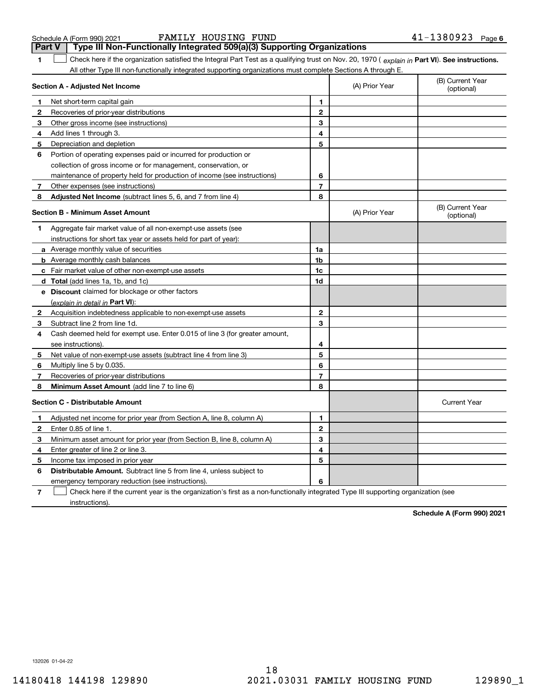**1Part VI** Check here if the organization satisfied the Integral Part Test as a qualifying trust on Nov. 20, 1970 ( explain in Part **VI**). See instructions. Schedule A (Form 990) 2021 Page FAMILY HOUSING FUND 41-1380923 **Part V Type III Non-Functionally Integrated 509(a)(3) Supporting Organizations**   $\mathcal{L}^{\text{max}}$ 

All other Type III non-functionally integrated supporting organizations must complete Sections A through E.

**Section A - Adjusted Net Income 12** Recoveries of prior-year distributions **3** Other gross income (see instructions) **4**Add lines 1 through 3. **56** Portion of operating expenses paid or incurred for production or **7** Other expenses (see instructions) **8** Adjusted Net Income (subtract lines 5, 6, and 7 from line 4) **8 8 1234567Section B - Minimum Asset Amount 1**Aggregate fair market value of all non-exempt-use assets (see **2**Acquisition indebtedness applicable to non-exempt-use assets **3** Subtract line 2 from line 1d. **4**Cash deemed held for exempt use. Enter 0.015 of line 3 (for greater amount, **5** Net value of non-exempt-use assets (subtract line 4 from line 3) **678a** Average monthly value of securities **b** Average monthly cash balances **c**Fair market value of other non-exempt-use assets **dTotal**  (add lines 1a, 1b, and 1c) **eDiscount** claimed for blockage or other factors **1a1b1c1d2345678**(explain in detail in Part VI): **Minimum Asset Amount**  (add line 7 to line 6) **Section C - Distributable Amount 12**Enter 0.85 of line 1. **3**Minimum asset amount for prior year (from Section B, line 8, column A) **456123456Distributable Amount.** Subtract line 5 from line 4, unless subject to (B) Current Year (optional)(A) Prior Year Net short-term capital gain Depreciation and depletion collection of gross income or for management, conservation, or maintenance of property held for production of income (see instructions) (B) Current Year (optional)(A) Prior Year instructions for short tax year or assets held for part of year): see instructions). Multiply line 5 by 0.035. Recoveries of prior-year distributions Current Year Adjusted net income for prior year (from Section A, line 8, column A) Enter greater of line 2 or line 3. Income tax imposed in prior year emergency temporary reduction (see instructions).

**7**Check here if the current year is the organization's first as a non-functionally integrated Type III supporting organization (see instructions). $\mathcal{L}^{\text{max}}$ 

**Schedule A (Form 990) 2021**

132026 01-04-22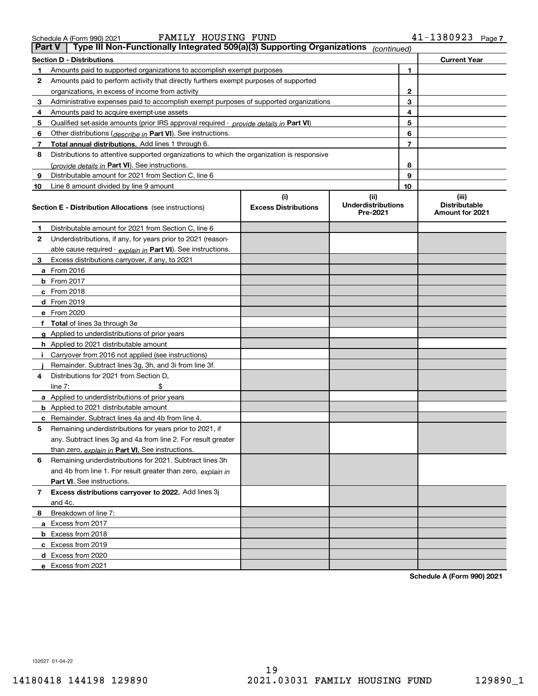# **Section D - Distributions Current Year**

FAMILY HOUSING FUND

|   | Secuon D - Distributions                                                               |
|---|----------------------------------------------------------------------------------------|
|   | Amounts paid to supported organizations to accomplish exempt purposes                  |
| 2 | Amounts paid to perform activity that directly furthers exempt purposes of supported   |
|   | organizations, in excess of income from activity                                       |
| з | Administrative expenses paid to accomplish exempt purposes of supported organizations  |
| 4 | Amounts paid to acquire exempt-use assets                                              |
| 5 | Qualified set-aside amounts (prior IRS approval required - provide details in Part VI) |
| 6 | Other distributions ( <i>describe in</i> Part VI). See instructions.                   |
|   |                                                                                        |

| 8            | Distributions to attentive supported organizations to which the organization is responsive |                                    |                                               |   |                                                  |
|--------------|--------------------------------------------------------------------------------------------|------------------------------------|-----------------------------------------------|---|--------------------------------------------------|
|              | (provide details in Part VI). See instructions.                                            |                                    |                                               | 8 |                                                  |
| 9            | Distributable amount for 2021 from Section C, line 6                                       |                                    | 9                                             |   |                                                  |
| 10           | Line 8 amount divided by line 9 amount                                                     |                                    | 10                                            |   |                                                  |
|              | <b>Section E - Distribution Allocations</b> (see instructions)                             | (i)<br><b>Excess Distributions</b> | (ii)<br><b>Underdistributions</b><br>Pre-2021 |   | (iii)<br><b>Distributable</b><br>Amount for 2021 |
| 1            | Distributable amount for 2021 from Section C, line 6                                       |                                    |                                               |   |                                                  |
| $\mathbf{2}$ | Underdistributions, if any, for years prior to 2021 (reason-                               |                                    |                                               |   |                                                  |
|              | able cause required - explain in Part VI). See instructions.                               |                                    |                                               |   |                                                  |
| 3            | Excess distributions carryover, if any, to 2021                                            |                                    |                                               |   |                                                  |
|              | <b>a</b> From 2016                                                                         |                                    |                                               |   |                                                  |
|              | $b$ From 2017                                                                              |                                    |                                               |   |                                                  |
|              | c From 2018                                                                                |                                    |                                               |   |                                                  |
|              | d From 2019                                                                                |                                    |                                               |   |                                                  |
|              | e From 2020                                                                                |                                    |                                               |   |                                                  |
|              | f Total of lines 3a through 3e                                                             |                                    |                                               |   |                                                  |
|              | g Applied to underdistributions of prior years                                             |                                    |                                               |   |                                                  |
|              | h Applied to 2021 distributable amount                                                     |                                    |                                               |   |                                                  |
|              | i Carryover from 2016 not applied (see instructions)                                       |                                    |                                               |   |                                                  |
|              | Remainder. Subtract lines 3g, 3h, and 3i from line 3f.                                     |                                    |                                               |   |                                                  |
| 4            | Distributions for 2021 from Section D,                                                     |                                    |                                               |   |                                                  |
|              | \$<br>line $7:$                                                                            |                                    |                                               |   |                                                  |
|              | <b>a</b> Applied to underdistributions of prior years                                      |                                    |                                               |   |                                                  |
|              | <b>b</b> Applied to 2021 distributable amount                                              |                                    |                                               |   |                                                  |
|              | c Remainder. Subtract lines 4a and 4b from line 4.                                         |                                    |                                               |   |                                                  |
| 5            | Remaining underdistributions for years prior to 2021, if                                   |                                    |                                               |   |                                                  |
|              | any. Subtract lines 3g and 4a from line 2. For result greater                              |                                    |                                               |   |                                                  |
|              | than zero, $explain$ in Part VI. See instructions.                                         |                                    |                                               |   |                                                  |
| 6            | Remaining underdistributions for 2021. Subtract lines 3h                                   |                                    |                                               |   |                                                  |
|              | and 4b from line 1. For result greater than zero, explain in                               |                                    |                                               |   |                                                  |
|              | Part VI. See instructions.                                                                 |                                    |                                               |   |                                                  |
| 7            | <b>Excess distributions carryover to 2022.</b> Add lines 3j                                |                                    |                                               |   |                                                  |
|              | and 4c.                                                                                    |                                    |                                               |   |                                                  |
| 8            | Breakdown of line 7:                                                                       |                                    |                                               |   |                                                  |
|              | a Excess from 2017                                                                         |                                    |                                               |   |                                                  |
|              | <b>b</b> Excess from 2018                                                                  |                                    |                                               |   |                                                  |
|              | c Excess from 2019                                                                         |                                    |                                               |   |                                                  |
|              | d Excess from 2020                                                                         |                                    |                                               |   |                                                  |
|              | e Excess from 2021                                                                         |                                    |                                               |   |                                                  |

**Schedule A (Form 990) 2021**

**1**

**Part V Type III Non-Functionally Integrated 509(a)(3) Supporting Organizations** *(continued)* 

**Total annual distributions.** Add lines 1 through 6.

**6 7**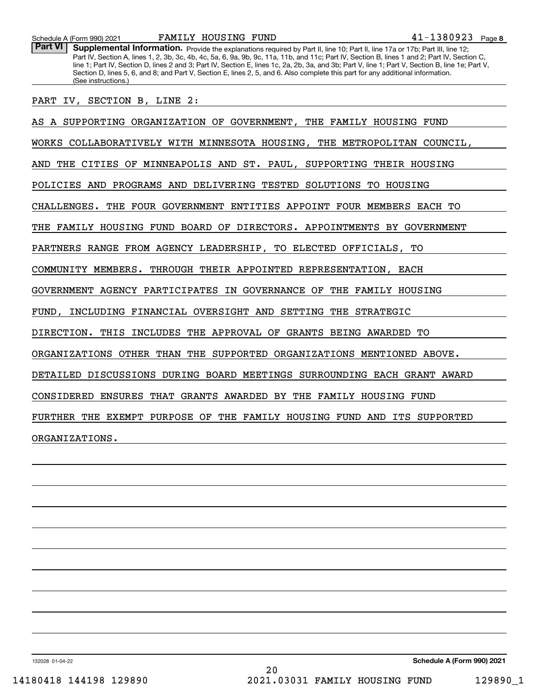Part VI | Supplemental Information. Provide the explanations required by Part II, line 10; Part II, line 17a or 17b; Part III, line 12; Part IV, Section A, lines 1, 2, 3b, 3c, 4b, 4c, 5a, 6, 9a, 9b, 9c, 11a, 11b, and 11c; Part IV, Section B, lines 1 and 2; Part IV, Section C, line 1; Part IV, Section D, lines 2 and 3; Part IV, Section E, lines 1c, 2a, 2b, 3a, and 3b; Part V, line 1; Part V, Section B, line 1e; Part V, Section D, lines 5, 6, and 8; and Part V, Section E, lines 2, 5, and 6. Also complete this part for any additional information. (See instructions.)

PART IV, SECTION B, LINE 2:

AS A SUPPORTING ORGANIZATION OF GOVERNMENT, THE FAMILY HOUSING FUND WORKS COLLABORATIVELY WITH MINNESOTA HOUSING, THE METROPOLITAN COUNCIL, AND THE CITIES OF MINNEAPOLIS AND ST. PAUL, SUPPORTING THEIR HOUSING POLICIES AND PROGRAMS AND DELIVERING TESTED SOLUTIONS TO HOUSING CHALLENGES. THE FOUR GOVERNMENT ENTITIES APPOINT FOUR MEMBERS EACH TO THE FAMILY HOUSING FUND BOARD OF DIRECTORS. APPOINTMENTS BY GOVERNMENT PARTNERS RANGE FROM AGENCY LEADERSHIP, TO ELECTED OFFICIALS, TO COMMUNITY MEMBERS. THROUGH THEIR APPOINTED REPRESENTATION, EACH GOVERNMENT AGENCY PARTICIPATES IN GOVERNANCE OF THE FAMILY HOUSING FUND, INCLUDING FINANCIAL OVERSIGHT AND SETTING THE STRATEGIC DIRECTION. THIS INCLUDES THE APPROVAL OF GRANTS BEING AWARDED TO ORGANIZATIONS OTHER THAN THE SUPPORTED ORGANIZATIONS MENTIONED ABOVE. DETAILED DISCUSSIONS DURING BOARD MEETINGS SURROUNDING EACH GRANT AWARD CONSIDERED ENSURES THAT GRANTS AWARDED BY THE FAMILY HOUSING FUND FURTHER THE EXEMPT PURPOSE OF THE FAMILY HOUSING FUND AND ITS SUPPORTED ORGANIZATIONS.

132028 01-04-22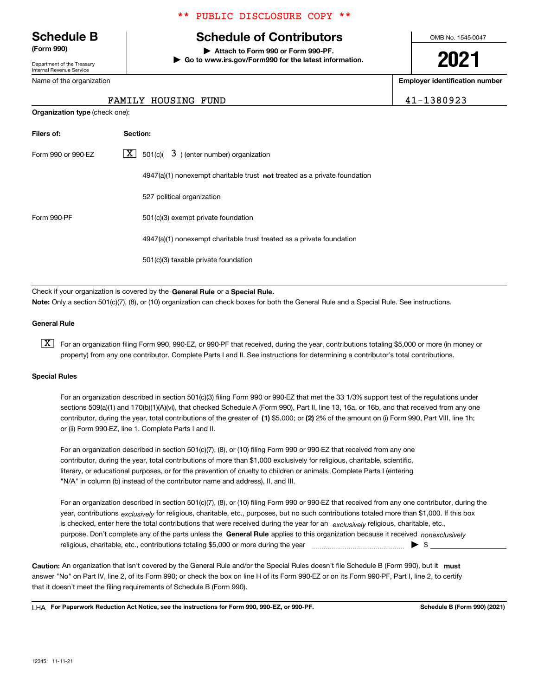Department of the Treasury Internal Revenue Service

Name of the organization

# \*\* PUBLIC DISCLOSURE COPY \*\*

# **Schedule B Schedule of Contributors**

**(Form 990) | Attach to Form 990 or Form 990-PF. | Go to www.irs.gov/Form990 for the latest information.** OMB No. 1545-0047

**2021**

**Employer identification number**

FAMILY HOUSING FUND 41-1380923

| <b>Organization type (check one):</b> |                                                                             |  |  |  |  |
|---------------------------------------|-----------------------------------------------------------------------------|--|--|--|--|
| Filers of:                            | Section:                                                                    |  |  |  |  |
| Form 990 or 990-EZ                    | $\lfloor x \rfloor$ 501(c)( 3) (enter number) organization                  |  |  |  |  |
|                                       | $4947(a)(1)$ nonexempt charitable trust not treated as a private foundation |  |  |  |  |
|                                       | 527 political organization                                                  |  |  |  |  |
| Form 990-PF                           | 501(c)(3) exempt private foundation                                         |  |  |  |  |
|                                       | 4947(a)(1) nonexempt charitable trust treated as a private foundation       |  |  |  |  |
|                                       | 501(c)(3) taxable private foundation                                        |  |  |  |  |

Check if your organization is covered by the **General Rule** or a **Special Rule.**<br>Nota: Only a section 501(c)(7), (8), or (10) erganization can chock boxes for be **Note:**  Only a section 501(c)(7), (8), or (10) organization can check boxes for both the General Rule and a Special Rule. See instructions.

### **General Rule**

 $\boxed{\textbf{X}}$  For an organization filing Form 990, 990-EZ, or 990-PF that received, during the year, contributions totaling \$5,000 or more (in money or property) from any one contributor. Complete Parts I and II. See instructions for determining a contributor's total contributions.

### **Special Rules**

contributor, during the year, total contributions of the greater of (1**)** \$5,000; or (2) 2% of the amount on (i) Form 990, Part VIII, line 1h; For an organization described in section 501(c)(3) filing Form 990 or 990-EZ that met the 33 1/3% support test of the regulations under sections 509(a)(1) and 170(b)(1)(A)(vi), that checked Schedule A (Form 990), Part II, line 13, 16a, or 16b, and that received from any one or (ii) Form 990-EZ, line 1. Complete Parts I and II.

For an organization described in section 501(c)(7), (8), or (10) filing Form 990 or 990-EZ that received from any one contributor, during the year, total contributions of more than \$1,000 exclusively for religious, charitable, scientific, literary, or educational purposes, or for the prevention of cruelty to children or animals. Complete Parts I (entering "N/A" in column (b) instead of the contributor name and address), II, and III.

purpose. Don't complete any of the parts unless the **General Rule** applies to this organization because it received *nonexclusively* year, contributions <sub>exclusively</sub> for religious, charitable, etc., purposes, but no such contributions totaled more than \$1,000. If this box is checked, enter here the total contributions that were received during the year for an  $\;$ exclusively religious, charitable, etc., For an organization described in section 501(c)(7), (8), or (10) filing Form 990 or 990-EZ that received from any one contributor, during the religious, charitable, etc., contributions totaling \$5,000 or more during the year ~~~~~~~~~~~~~~~ <sup>|</sup> \$

Caution: An organization that isn't covered by the General Rule and/or the Special Rules doesn't file Schedule B (Form 990), but it **must** answer "No" on Part IV, line 2, of its Form 990; or check the box on line H of its Form 990-EZ or on its Form 990-PF, Part I, line 2, to certify that it doesn't meet the filing requirements of Schedule B (Form 990).

LHA For Paperwork Reduction Act Notice, see the instructions for Form 990, 990-EZ, or 990-PF. **In the act and Schedule B** (Form 990) (2021)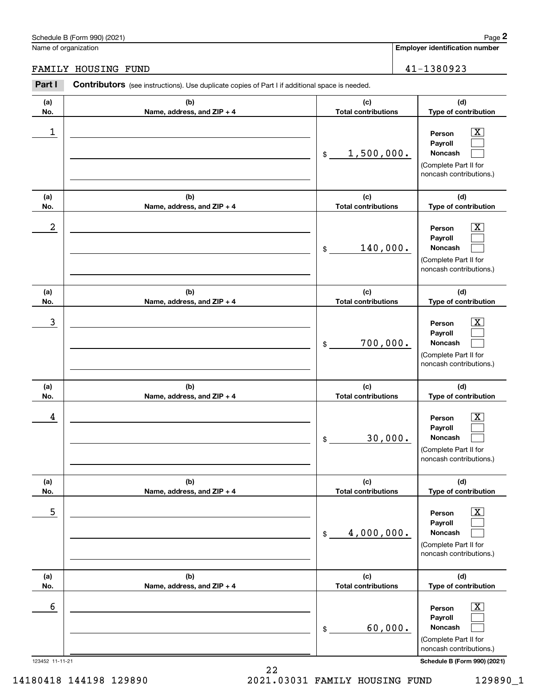# Schedule B (Form 990) (2021) Page 2

|                      | Schedule B (Form 990) (2021)                                                                   |                                   | Page 2                                                                                                                                 |
|----------------------|------------------------------------------------------------------------------------------------|-----------------------------------|----------------------------------------------------------------------------------------------------------------------------------------|
| Name of organization |                                                                                                |                                   | <b>Employer identification number</b>                                                                                                  |
|                      | FAMILY HOUSING FUND                                                                            |                                   | 41-1380923                                                                                                                             |
| Part I               | Contributors (see instructions). Use duplicate copies of Part I if additional space is needed. |                                   |                                                                                                                                        |
| (a)<br>No.           | (b)<br>Name, address, and ZIP + 4                                                              | (c)<br><b>Total contributions</b> | (d)<br>Type of contribution                                                                                                            |
| 1                    |                                                                                                | 1,500,000.<br>\$                  | $\overline{\mathbf{X}}$<br>Person<br>Payroll<br>Noncash<br>(Complete Part II for<br>noncash contributions.)                            |
| (a)<br>No.           | (b)<br>Name, address, and ZIP + 4                                                              | (c)<br><b>Total contributions</b> | (d)<br>Type of contribution                                                                                                            |
| $\boldsymbol{2}$     |                                                                                                | 140,000.<br>\$                    | $\overline{\mathbf{X}}$<br>Person<br>Payroll<br>Noncash<br>(Complete Part II for<br>noncash contributions.)                            |
| (a)<br>No.           | (b)<br>Name, address, and ZIP + 4                                                              | (c)<br><b>Total contributions</b> | (d)<br>Type of contribution                                                                                                            |
| 3                    |                                                                                                | 700,000.<br>\$                    | $\overline{\text{X}}$<br>Person<br>Payroll<br>Noncash<br>(Complete Part II for<br>noncash contributions.)                              |
| (a)<br>No.           | (b)<br>Name, address, and ZIP + 4                                                              | (c)<br><b>Total contributions</b> | (d)<br>Type of contribution                                                                                                            |
| 4                    |                                                                                                | 30,000.<br>\$                     | $\mathbf{X}$<br>Person<br>Payroll<br>Noncash<br>(Complete Part II for<br>noncash contributions.)                                       |
| (a)<br>No.           | (b)<br>Name, address, and ZIP + 4                                                              | (c)<br><b>Total contributions</b> | (d)<br>Type of contribution                                                                                                            |
| 5                    |                                                                                                | 4,000,000.<br>\$                  | $\boxed{\text{X}}$<br>Person<br>Payroll<br>Noncash<br>(Complete Part II for<br>noncash contributions.)                                 |
| (a)<br>No.           | (b)<br>Name, address, and ZIP + 4                                                              | (c)<br><b>Total contributions</b> | (d)<br>Type of contribution                                                                                                            |
| 6<br>123452 11-11-21 |                                                                                                | 60,000.<br>\$                     | $\boxed{\text{X}}$<br>Person<br>Payroll<br>Noncash<br>(Complete Part II for<br>noncash contributions.)<br>Schedule B (Form 990) (2021) |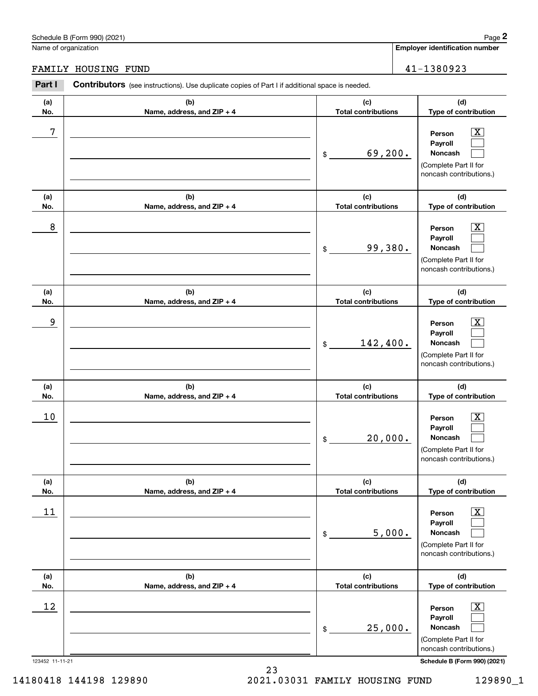# Schedule B (Form 990) (2021) Page 2

| 41-1380 |  |  |
|---------|--|--|

|                       | Schedule B (Form 990) (2021)                                                                          |                                   |        | Page 2                                                                                                                                      |
|-----------------------|-------------------------------------------------------------------------------------------------------|-----------------------------------|--------|---------------------------------------------------------------------------------------------------------------------------------------------|
| Name of organization  |                                                                                                       |                                   |        | <b>Employer identification number</b>                                                                                                       |
|                       | FAMILY HOUSING FUND                                                                                   |                                   |        | 41-1380923                                                                                                                                  |
| Part I                | <b>Contributors</b> (see instructions). Use duplicate copies of Part I if additional space is needed. |                                   |        |                                                                                                                                             |
| (a)<br>No.            | (b)<br>Name, address, and ZIP + 4                                                                     | (c)<br><b>Total contributions</b> |        | (d)<br>Type of contribution                                                                                                                 |
| 7                     |                                                                                                       | 69,200.<br>\$                     |        | $\overline{\mathbf{X}}$<br>Person<br>Payroll<br>Noncash<br>(Complete Part II for<br>noncash contributions.)                                 |
| (a)<br>No.            | (b)<br>Name, address, and ZIP + 4                                                                     | (c)<br><b>Total contributions</b> |        | (d)<br>Type of contribution                                                                                                                 |
| 8                     |                                                                                                       | 99,380.<br>\$                     |        | X<br>Person<br>Payroll<br>Noncash<br>(Complete Part II for<br>noncash contributions.)                                                       |
| (a)<br>No.            | (b)<br>Name, address, and ZIP + 4                                                                     | (c)<br><b>Total contributions</b> |        | (d)<br>Type of contribution                                                                                                                 |
| 9                     |                                                                                                       | 142,400.<br>\$                    |        | X<br>Person<br>Payroll<br>Noncash<br>(Complete Part II for<br>noncash contributions.)                                                       |
| (a)<br>No.            | (b)<br>Name, address, and ZIP + 4                                                                     | (c)<br><b>Total contributions</b> |        | (d)<br>Type of contribution                                                                                                                 |
| 10                    |                                                                                                       | 20,000.<br>\$                     |        | $\mathbf{X}$<br>Person<br>Payroll<br>Noncash<br>(Complete Part II for<br>noncash contributions.)                                            |
| (a)<br>No.            | (b)<br>Name, address, and ZIP + 4                                                                     | (c)<br><b>Total contributions</b> |        | (d)<br>Type of contribution                                                                                                                 |
| 11                    |                                                                                                       | \$                                | 5,000. | $\overline{\mathbf{X}}$<br>Person<br>Payroll<br>Noncash<br>(Complete Part II for<br>noncash contributions.)                                 |
| (a)<br>No.            | (b)<br>Name, address, and ZIP + 4                                                                     | (c)<br><b>Total contributions</b> |        | (d)<br>Type of contribution                                                                                                                 |
| 12<br>123452 11-11-21 |                                                                                                       | 25,000.<br>\$                     |        | $\overline{\mathbf{X}}$<br>Person<br>Payroll<br>Noncash<br>(Complete Part II for<br>noncash contributions.)<br>Schedule B (Form 990) (2021) |

14180418 144198 129890 2021.03031 FAMILY HOUSING FUND 129890\_1

23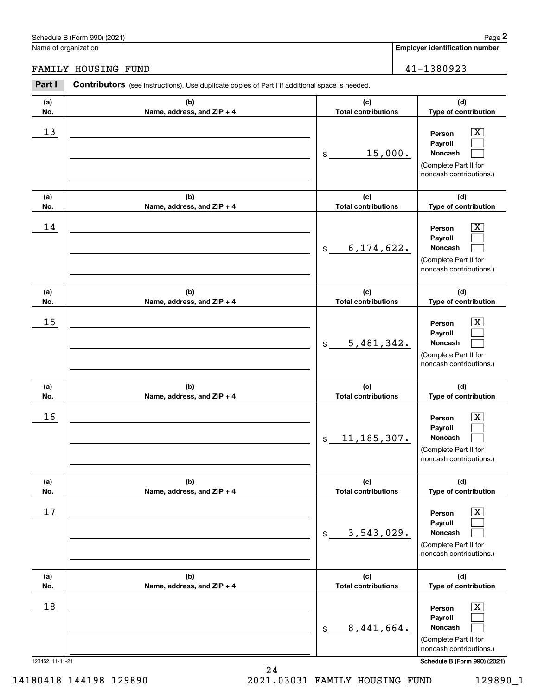# Schedule B (Form 990) (2021) Page 2

Name of organization

FAMILY HOUSING FUND

| chedule B (Form 990) (2021)                                                                                     | Page $2$                              |  |  |
|-----------------------------------------------------------------------------------------------------------------|---------------------------------------|--|--|
| lame of organization                                                                                            | <b>Employer identification number</b> |  |  |
|                                                                                                                 |                                       |  |  |
| 'AMILY HOUSING FUND                                                                                             | 41-1380923                            |  |  |
| Part I<br><b>Contributors</b> (see instructions). Use duplicate copies of Part I if additional space is needed. |                                       |  |  |

| rai Li                | <b>COTTLIBUTOR</b> (See Instructions). Use duplicate copies of Part Fit additional space is needed. |                                   |                                                                                                                                           |
|-----------------------|-----------------------------------------------------------------------------------------------------|-----------------------------------|-------------------------------------------------------------------------------------------------------------------------------------------|
| (a)<br>No.            | (b)<br>Name, address, and ZIP + 4                                                                   | (c)<br><b>Total contributions</b> | (d)<br>Type of contribution                                                                                                               |
| 13                    |                                                                                                     | 15,000.<br>\$                     | $\overline{\textbf{x}}$<br>Person<br>Payroll<br>Noncash<br>(Complete Part II for<br>noncash contributions.)                               |
| (a)<br>No.            | (b)<br>Name, address, and ZIP + 4                                                                   | (c)<br><b>Total contributions</b> | (d)<br>Type of contribution                                                                                                               |
| 14                    |                                                                                                     | 6, 174, 622.<br>$\$\$             | X<br>Person<br>Payroll<br>Noncash<br>(Complete Part II for<br>noncash contributions.)                                                     |
| (a)<br>No.            | (b)<br>Name, address, and ZIP + 4                                                                   | (c)<br><b>Total contributions</b> | (d)<br>Type of contribution                                                                                                               |
| 15                    |                                                                                                     | 5,481,342.<br>\$                  | x<br>Person<br>Payroll<br>Noncash<br>(Complete Part II for<br>noncash contributions.)                                                     |
| (a)<br>No.            | (b)<br>Name, address, and ZIP + 4                                                                   | (c)<br><b>Total contributions</b> | (d)<br>Type of contribution                                                                                                               |
| 16                    |                                                                                                     | 11, 185, 307.<br>$$\circ$$        | x<br>Person<br>Payroll<br>Noncash<br>(Complete Part II for<br>noncash contributions.)                                                     |
| (a)<br>No.            | (b)<br>Name, address, and ZIP + 4                                                                   | (c)<br><b>Total contributions</b> | (d)<br>Type of contribution                                                                                                               |
| 17                    |                                                                                                     | 3,543,029.<br>\$                  | $\overline{\text{X}}$<br>Person<br>Payroll<br>Noncash<br>(Complete Part II for<br>noncash contributions.)                                 |
| (a)<br>No.            | (b)<br>Name, address, and ZIP + 4                                                                   | (c)<br><b>Total contributions</b> | (d)<br>Type of contribution                                                                                                               |
| 18<br>123452 11-11-21 |                                                                                                     | 8,441,664.<br>$$\mathbb{S}$$      | $\overline{\text{X}}$<br>Person<br>Payroll<br>Noncash<br>(Complete Part II for<br>noncash contributions.)<br>Schedule B (Form 990) (2021) |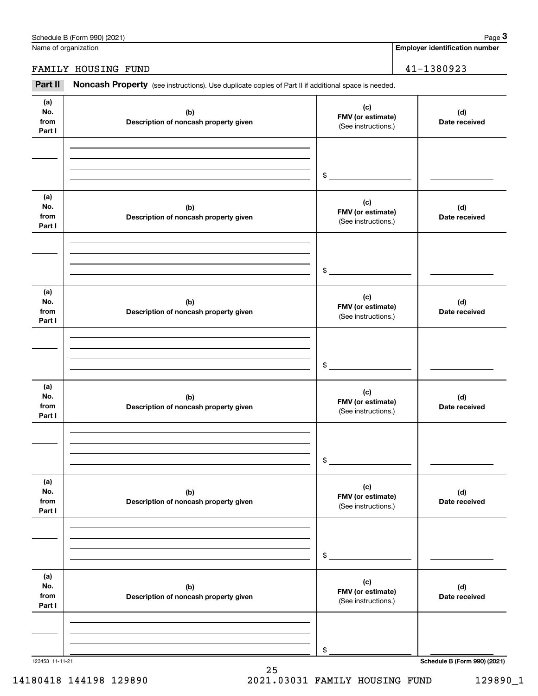| (a)<br>No.<br>from<br>Part I | (b)<br>Description of noncash property given | (c)<br>FMV (or estimate)<br>(See instructions.) | (d)<br>Date received                |
|------------------------------|----------------------------------------------|-------------------------------------------------|-------------------------------------|
|                              |                                              | \$                                              |                                     |
| (a)<br>No.<br>from<br>Part I | (b)<br>Description of noncash property given | (c)<br>FMV (or estimate)<br>(See instructions.) | (d)<br>Date received                |
|                              |                                              | \$                                              |                                     |
| (a)<br>No.<br>from<br>Part I | (b)<br>Description of noncash property given | (c)<br>FMV (or estimate)<br>(See instructions.) | (d)<br>Date received                |
|                              |                                              | \$                                              |                                     |
| (a)<br>No.<br>from<br>Part I | (b)<br>Description of noncash property given | (c)<br>FMV (or estimate)<br>(See instructions.) | (d)<br>Date received                |
|                              |                                              | \$                                              |                                     |
| (a)<br>No.<br>from<br>Part I | (b)<br>Description of noncash property given | (c)<br>FMV (or estimate)<br>(See instructions.) | (d)<br>Date received                |
|                              |                                              | \$                                              |                                     |
| (a)<br>No.<br>from<br>Part I | (b)<br>Description of noncash property given | (c)<br>FMV (or estimate)<br>(See instructions.) | (d)<br>Date received                |
|                              |                                              | \$                                              |                                     |
| 123453 11-11-21              |                                              |                                                 | <b>Schedule B (Form 990) (2021)</b> |

25

Name of organization

Employer identification Page 3<br>
Iame of organization<br> **3Part II Noncash Property** (see instructions). Use duplicate copies of Part II if additional space is needed.

FAMILY HOUSING FUND 41-1380923

14180418 144198 129890 2021.03031 FAMILY HOUSING FUND 129890\_1

**Employer identification number**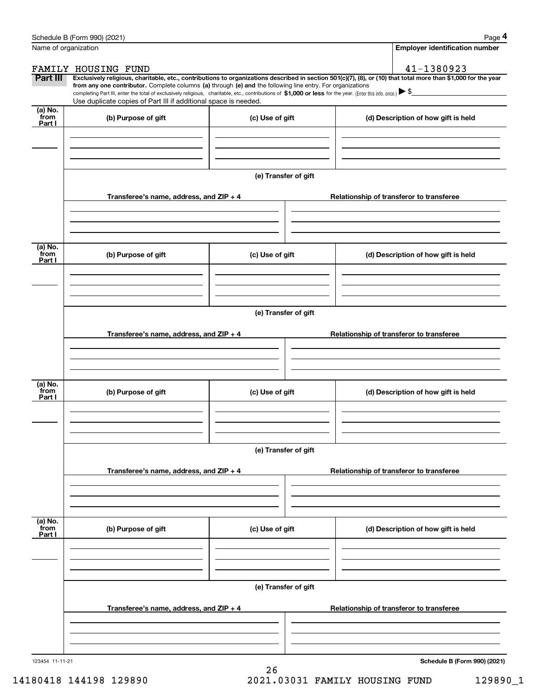|                            | Schedule B (Form 990) (2021)                                                                                                                                                                                                                                                 |                      |                                          | Page 4                                   |  |  |  |  |
|----------------------------|------------------------------------------------------------------------------------------------------------------------------------------------------------------------------------------------------------------------------------------------------------------------------|----------------------|------------------------------------------|------------------------------------------|--|--|--|--|
| Name of organization       |                                                                                                                                                                                                                                                                              |                      |                                          | <b>Employer identification number</b>    |  |  |  |  |
|                            | FAMILY HOUSING FUND                                                                                                                                                                                                                                                          |                      |                                          | 41-1380923                               |  |  |  |  |
| Part III                   | Exclusively religious, charitable, etc., contributions to organizations described in section 501(c)(7), (8), or (10) that total more than \$1,000 for the year<br>from any one contributor. Complete columns (a) through (e) and the following line entry. For organizations |                      |                                          |                                          |  |  |  |  |
|                            | completing Part III, enter the total of exclusively religious, charitable, etc., contributions of \$1,000 or less for the year. (Enter this info. once.) $\blacktriangleright$ \$                                                                                            |                      |                                          |                                          |  |  |  |  |
| (a) No.                    | Use duplicate copies of Part III if additional space is needed.                                                                                                                                                                                                              |                      |                                          |                                          |  |  |  |  |
| from<br>Part I             | (b) Purpose of gift                                                                                                                                                                                                                                                          | (c) Use of gift      |                                          | (d) Description of how gift is held      |  |  |  |  |
|                            | Transferee's name, address, and ZIP + 4                                                                                                                                                                                                                                      | (e) Transfer of gift |                                          | Relationship of transferor to transferee |  |  |  |  |
| (a) No.                    |                                                                                                                                                                                                                                                                              |                      |                                          |                                          |  |  |  |  |
| from<br>Part I             | (b) Purpose of gift                                                                                                                                                                                                                                                          | (c) Use of gift      |                                          | (d) Description of how gift is held      |  |  |  |  |
|                            | (e) Transfer of gift                                                                                                                                                                                                                                                         |                      |                                          |                                          |  |  |  |  |
|                            | Transferee's name, address, and ZIP + 4                                                                                                                                                                                                                                      |                      |                                          | Relationship of transferor to transferee |  |  |  |  |
| (a) No.<br>from            | (b) Purpose of gift                                                                                                                                                                                                                                                          | (c) Use of gift      |                                          | (d) Description of how gift is held      |  |  |  |  |
| Part I                     |                                                                                                                                                                                                                                                                              |                      |                                          |                                          |  |  |  |  |
|                            |                                                                                                                                                                                                                                                                              |                      |                                          |                                          |  |  |  |  |
|                            | Transferee's name, address, and $ZIP + 4$                                                                                                                                                                                                                                    | (e) Transfer of gift | Relationship of transferor to transferee |                                          |  |  |  |  |
|                            |                                                                                                                                                                                                                                                                              |                      |                                          |                                          |  |  |  |  |
| (a) No.<br>`from<br>Part I | (b) Purpose of gift                                                                                                                                                                                                                                                          | (c) Use of gift      |                                          | (d) Description of how gift is held      |  |  |  |  |
|                            |                                                                                                                                                                                                                                                                              |                      |                                          |                                          |  |  |  |  |
|                            | (e) Transfer of gift                                                                                                                                                                                                                                                         |                      |                                          |                                          |  |  |  |  |
|                            | Transferee's name, address, and $ZIP + 4$                                                                                                                                                                                                                                    |                      |                                          | Relationship of transferor to transferee |  |  |  |  |
|                            |                                                                                                                                                                                                                                                                              |                      |                                          |                                          |  |  |  |  |
| 123454 11-11-21            |                                                                                                                                                                                                                                                                              |                      |                                          | Schedule B (Form 990) (2021)             |  |  |  |  |

26 14180418 144198 129890 2021.03031 FAMILY HOUSING FUND 129890\_1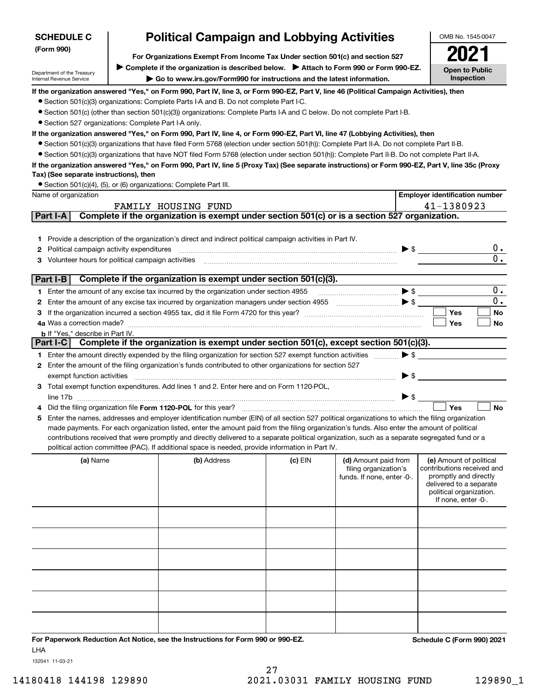| <b>SCHEDULE C</b>                                      |                                                                                                                                                                                                                                 | <b>Political Campaign and Lobbying Activities</b>                                                                                                                                                                                                                                             |                       |                                                                                                     |                                                  | OMB No. 1545-0047         |  |  |  |
|--------------------------------------------------------|---------------------------------------------------------------------------------------------------------------------------------------------------------------------------------------------------------------------------------|-----------------------------------------------------------------------------------------------------------------------------------------------------------------------------------------------------------------------------------------------------------------------------------------------|-----------------------|-----------------------------------------------------------------------------------------------------|--------------------------------------------------|---------------------------|--|--|--|
| (Form 990)                                             |                                                                                                                                                                                                                                 |                                                                                                                                                                                                                                                                                               |                       |                                                                                                     |                                                  |                           |  |  |  |
|                                                        | For Organizations Exempt From Income Tax Under section 501(c) and section 527                                                                                                                                                   |                                                                                                                                                                                                                                                                                               |                       |                                                                                                     |                                                  |                           |  |  |  |
| Department of the Treasury                             | ▶ Complete if the organization is described below. ▶ Attach to Form 990 or Form 990-EZ.                                                                                                                                         |                                                                                                                                                                                                                                                                                               | <b>Open to Public</b> |                                                                                                     |                                                  |                           |  |  |  |
| Internal Revenue Service                               | Inspection<br>Go to www.irs.gov/Form990 for instructions and the latest information.<br>If the organization answered "Yes," on Form 990, Part IV, line 3, or Form 990-EZ, Part V, line 46 (Political Campaign Activities), then |                                                                                                                                                                                                                                                                                               |                       |                                                                                                     |                                                  |                           |  |  |  |
|                                                        |                                                                                                                                                                                                                                 | • Section 501(c)(3) organizations: Complete Parts I-A and B. Do not complete Part I-C.                                                                                                                                                                                                        |                       |                                                                                                     |                                                  |                           |  |  |  |
|                                                        |                                                                                                                                                                                                                                 | ● Section 501(c) (other than section 501(c)(3)) organizations: Complete Parts I-A and C below. Do not complete Part I-B.                                                                                                                                                                      |                       |                                                                                                     |                                                  |                           |  |  |  |
| • Section 527 organizations: Complete Part I-A only.   |                                                                                                                                                                                                                                 |                                                                                                                                                                                                                                                                                               |                       |                                                                                                     |                                                  |                           |  |  |  |
|                                                        |                                                                                                                                                                                                                                 | If the organization answered "Yes," on Form 990, Part IV, line 4, or Form 990-EZ, Part VI, line 47 (Lobbying Activities), then                                                                                                                                                                |                       |                                                                                                     |                                                  |                           |  |  |  |
|                                                        |                                                                                                                                                                                                                                 | • Section 501(c)(3) organizations that have filed Form 5768 (election under section 501(h)): Complete Part II-A. Do not complete Part II-B.                                                                                                                                                   |                       |                                                                                                     |                                                  |                           |  |  |  |
|                                                        |                                                                                                                                                                                                                                 | • Section 501(c)(3) organizations that have NOT filed Form 5768 (election under section 501(h)): Complete Part II-B. Do not complete Part II-A.                                                                                                                                               |                       |                                                                                                     |                                                  |                           |  |  |  |
|                                                        |                                                                                                                                                                                                                                 | If the organization answered "Yes," on Form 990, Part IV, line 5 (Proxy Tax) (See separate instructions) or Form 990-EZ, Part V, line 35c (Proxy                                                                                                                                              |                       |                                                                                                     |                                                  |                           |  |  |  |
| Tax) (See separate instructions), then                 |                                                                                                                                                                                                                                 |                                                                                                                                                                                                                                                                                               |                       |                                                                                                     |                                                  |                           |  |  |  |
|                                                        |                                                                                                                                                                                                                                 | • Section 501(c)(4), (5), or (6) organizations: Complete Part III.                                                                                                                                                                                                                            |                       |                                                                                                     |                                                  |                           |  |  |  |
| Name of organization                                   |                                                                                                                                                                                                                                 |                                                                                                                                                                                                                                                                                               |                       |                                                                                                     | <b>Employer identification number</b>            |                           |  |  |  |
|                                                        |                                                                                                                                                                                                                                 | FAMILY HOUSING FUND                                                                                                                                                                                                                                                                           |                       |                                                                                                     | 41-1380923                                       |                           |  |  |  |
| Part I-A                                               |                                                                                                                                                                                                                                 | Complete if the organization is exempt under section 501(c) or is a section 527 organization.                                                                                                                                                                                                 |                       |                                                                                                     |                                                  |                           |  |  |  |
|                                                        |                                                                                                                                                                                                                                 |                                                                                                                                                                                                                                                                                               |                       |                                                                                                     |                                                  |                           |  |  |  |
|                                                        |                                                                                                                                                                                                                                 | 1 Provide a description of the organization's direct and indirect political campaign activities in Part IV.                                                                                                                                                                                   |                       |                                                                                                     |                                                  |                           |  |  |  |
| Political campaign activity expenditures<br>2          |                                                                                                                                                                                                                                 |                                                                                                                                                                                                                                                                                               |                       | $\triangleright$ \$                                                                                 |                                                  | $0$ .<br>$\overline{0}$ . |  |  |  |
| Volunteer hours for political campaign activities<br>З |                                                                                                                                                                                                                                 |                                                                                                                                                                                                                                                                                               |                       |                                                                                                     |                                                  |                           |  |  |  |
| Part I-B                                               |                                                                                                                                                                                                                                 | Complete if the organization is exempt under section 501(c)(3).                                                                                                                                                                                                                               |                       |                                                                                                     |                                                  |                           |  |  |  |
|                                                        |                                                                                                                                                                                                                                 | 1 Enter the amount of any excise tax incurred by the organization under section 4955                                                                                                                                                                                                          |                       | $\blacktriangleright$ \$                                                                            |                                                  | 0.                        |  |  |  |
| 2                                                      |                                                                                                                                                                                                                                 | Enter the amount of any excise tax incurred by organization managers under section 4955                                                                                                                                                                                                       |                       | $\overline{\phantom{0}}$ $\overline{\phantom{0}}$ $\overline{\phantom{0}}$ $\overline{\phantom{0}}$ |                                                  | 0.                        |  |  |  |
| З                                                      |                                                                                                                                                                                                                                 |                                                                                                                                                                                                                                                                                               |                       |                                                                                                     | <b>Yes</b>                                       | No                        |  |  |  |
|                                                        |                                                                                                                                                                                                                                 |                                                                                                                                                                                                                                                                                               |                       |                                                                                                     | Yes                                              | No                        |  |  |  |
| <b>b</b> If "Yes," describe in Part IV.                |                                                                                                                                                                                                                                 |                                                                                                                                                                                                                                                                                               |                       |                                                                                                     |                                                  |                           |  |  |  |
|                                                        |                                                                                                                                                                                                                                 | Part I-C   Complete if the organization is exempt under section 501(c), except section 501(c)(3).                                                                                                                                                                                             |                       |                                                                                                     |                                                  |                           |  |  |  |
|                                                        |                                                                                                                                                                                                                                 | 1 Enter the amount directly expended by the filing organization for section 527 exempt function activities                                                                                                                                                                                    |                       | $\blacktriangleright$ \$                                                                            |                                                  |                           |  |  |  |
|                                                        |                                                                                                                                                                                                                                 | 2 Enter the amount of the filing organization's funds contributed to other organizations for section 527                                                                                                                                                                                      |                       |                                                                                                     |                                                  |                           |  |  |  |
| exempt function activities                             |                                                                                                                                                                                                                                 |                                                                                                                                                                                                                                                                                               |                       | $\triangleright$ \$                                                                                 |                                                  |                           |  |  |  |
|                                                        |                                                                                                                                                                                                                                 | 3 Total exempt function expenditures. Add lines 1 and 2. Enter here and on Form 1120-POL,                                                                                                                                                                                                     |                       |                                                                                                     |                                                  |                           |  |  |  |
|                                                        |                                                                                                                                                                                                                                 |                                                                                                                                                                                                                                                                                               |                       | $\blacktriangleright$ \$                                                                            |                                                  |                           |  |  |  |
|                                                        |                                                                                                                                                                                                                                 | Did the filing organization file Form 1120-POL for this year?                                                                                                                                                                                                                                 |                       |                                                                                                     | Yes                                              | <b>No</b>                 |  |  |  |
| 5                                                      |                                                                                                                                                                                                                                 | Enter the names, addresses and employer identification number (EIN) of all section 527 political organizations to which the filing organization                                                                                                                                               |                       |                                                                                                     |                                                  |                           |  |  |  |
|                                                        |                                                                                                                                                                                                                                 | made payments. For each organization listed, enter the amount paid from the filing organization's funds. Also enter the amount of political<br>contributions received that were promptly and directly delivered to a separate political organization, such as a separate segregated fund or a |                       |                                                                                                     |                                                  |                           |  |  |  |
|                                                        |                                                                                                                                                                                                                                 | political action committee (PAC). If additional space is needed, provide information in Part IV.                                                                                                                                                                                              |                       |                                                                                                     |                                                  |                           |  |  |  |
| (a) Name                                               |                                                                                                                                                                                                                                 | (b) Address                                                                                                                                                                                                                                                                                   | $(c)$ EIN             | (d) Amount paid from                                                                                | (e) Amount of political                          |                           |  |  |  |
|                                                        |                                                                                                                                                                                                                                 |                                                                                                                                                                                                                                                                                               |                       | filing organization's                                                                               | contributions received and                       |                           |  |  |  |
|                                                        |                                                                                                                                                                                                                                 |                                                                                                                                                                                                                                                                                               |                       | funds. If none, enter -0-.                                                                          | promptly and directly<br>delivered to a separate |                           |  |  |  |
|                                                        |                                                                                                                                                                                                                                 |                                                                                                                                                                                                                                                                                               |                       |                                                                                                     | political organization.                          |                           |  |  |  |
|                                                        |                                                                                                                                                                                                                                 |                                                                                                                                                                                                                                                                                               |                       |                                                                                                     | If none, enter -0-.                              |                           |  |  |  |
|                                                        |                                                                                                                                                                                                                                 |                                                                                                                                                                                                                                                                                               |                       |                                                                                                     |                                                  |                           |  |  |  |
|                                                        |                                                                                                                                                                                                                                 |                                                                                                                                                                                                                                                                                               |                       |                                                                                                     |                                                  |                           |  |  |  |
|                                                        |                                                                                                                                                                                                                                 |                                                                                                                                                                                                                                                                                               |                       |                                                                                                     |                                                  |                           |  |  |  |
|                                                        |                                                                                                                                                                                                                                 |                                                                                                                                                                                                                                                                                               |                       |                                                                                                     |                                                  |                           |  |  |  |
|                                                        |                                                                                                                                                                                                                                 |                                                                                                                                                                                                                                                                                               |                       |                                                                                                     |                                                  |                           |  |  |  |
|                                                        |                                                                                                                                                                                                                                 |                                                                                                                                                                                                                                                                                               |                       |                                                                                                     |                                                  |                           |  |  |  |
|                                                        |                                                                                                                                                                                                                                 |                                                                                                                                                                                                                                                                                               |                       |                                                                                                     |                                                  |                           |  |  |  |
|                                                        |                                                                                                                                                                                                                                 |                                                                                                                                                                                                                                                                                               |                       |                                                                                                     |                                                  |                           |  |  |  |
|                                                        |                                                                                                                                                                                                                                 |                                                                                                                                                                                                                                                                                               |                       |                                                                                                     |                                                  |                           |  |  |  |
|                                                        |                                                                                                                                                                                                                                 |                                                                                                                                                                                                                                                                                               |                       |                                                                                                     |                                                  |                           |  |  |  |
|                                                        |                                                                                                                                                                                                                                 |                                                                                                                                                                                                                                                                                               |                       |                                                                                                     |                                                  |                           |  |  |  |
|                                                        |                                                                                                                                                                                                                                 | For Paperwork Reduction Act Notice, see the Instructions for Form 990 or 990-EZ.                                                                                                                                                                                                              |                       |                                                                                                     | Schedule C (Form 990) 2021                       |                           |  |  |  |

132041 11-03-21

LHA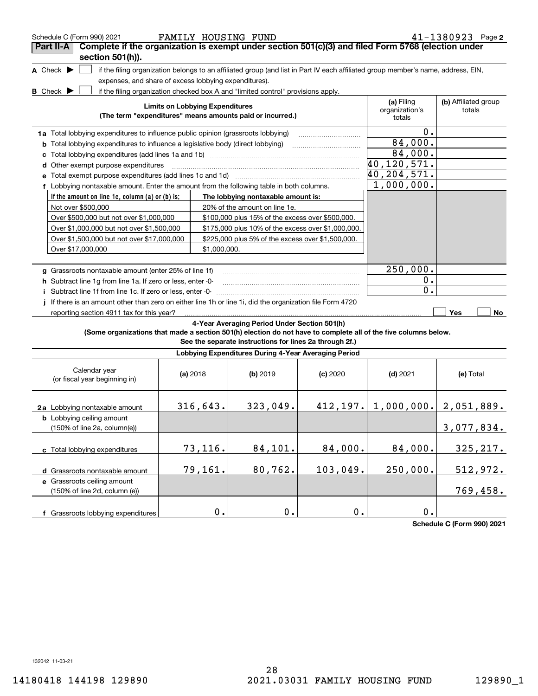| Schedule C (Form 990) 2021                                                                                                          |                                        | FAMILY HOUSING FUND                                                                                     |            |                                                                                                                                   | 41-1380923 Page 2              |
|-------------------------------------------------------------------------------------------------------------------------------------|----------------------------------------|---------------------------------------------------------------------------------------------------------|------------|-----------------------------------------------------------------------------------------------------------------------------------|--------------------------------|
| Complete if the organization is exempt under section 501(c)(3) and filed Form 5768 (election under<br>Part II-A<br>section 501(h)). |                                        |                                                                                                         |            |                                                                                                                                   |                                |
| A Check $\blacktriangleright$                                                                                                       |                                        |                                                                                                         |            | if the filing organization belongs to an affiliated group (and list in Part IV each affiliated group member's name, address, EIN, |                                |
| expenses, and share of excess lobbying expenditures).                                                                               |                                        |                                                                                                         |            |                                                                                                                                   |                                |
| <b>B</b> Check $\blacktriangleright$                                                                                                |                                        | if the filing organization checked box A and "limited control" provisions apply.                        |            |                                                                                                                                   |                                |
|                                                                                                                                     | <b>Limits on Lobbying Expenditures</b> | (The term "expenditures" means amounts paid or incurred.)                                               |            | (a) Filing<br>organization's<br>totals                                                                                            | (b) Affiliated group<br>totals |
| 1a Total lobbying expenditures to influence public opinion (grassroots lobbying)                                                    |                                        |                                                                                                         |            | 0.                                                                                                                                |                                |
| <b>b</b> Total lobbying expenditures to influence a legislative body (direct lobbying)                                              |                                        |                                                                                                         |            | 84,000.                                                                                                                           |                                |
|                                                                                                                                     |                                        |                                                                                                         |            | 84,000.                                                                                                                           |                                |
| Other exempt purpose expenditures<br>d                                                                                              |                                        |                                                                                                         |            | 40,120,571.                                                                                                                       |                                |
| Total exempt purpose expenditures (add lines 1c and 1d)                                                                             |                                        |                                                                                                         |            | 40, 204, 571.                                                                                                                     |                                |
| f Lobbying nontaxable amount. Enter the amount from the following table in both columns.                                            |                                        |                                                                                                         |            | 1,000,000.                                                                                                                        |                                |
| If the amount on line 1e, column (a) or (b) is:                                                                                     |                                        | The lobbying nontaxable amount is:                                                                      |            |                                                                                                                                   |                                |
| Not over \$500,000                                                                                                                  |                                        | 20% of the amount on line 1e.                                                                           |            |                                                                                                                                   |                                |
| Over \$500,000 but not over \$1,000,000                                                                                             |                                        | \$100,000 plus 15% of the excess over \$500,000.                                                        |            |                                                                                                                                   |                                |
| Over \$1,000,000 but not over \$1,500,000                                                                                           |                                        | \$175,000 plus 10% of the excess over \$1,000,000.                                                      |            |                                                                                                                                   |                                |
| Over \$1,500,000 but not over \$17,000,000                                                                                          |                                        | \$225,000 plus 5% of the excess over \$1,500,000.                                                       |            |                                                                                                                                   |                                |
| Over \$17,000,000                                                                                                                   | \$1,000,000.                           |                                                                                                         |            |                                                                                                                                   |                                |
|                                                                                                                                     |                                        |                                                                                                         |            |                                                                                                                                   |                                |
| g Grassroots nontaxable amount (enter 25% of line 1f)                                                                               |                                        |                                                                                                         |            | 250,000.                                                                                                                          |                                |
| h Subtract line 1g from line 1a. If zero or less, enter -0-                                                                         |                                        |                                                                                                         |            | 0.                                                                                                                                |                                |
| i Subtract line 1f from line 1c. If zero or less, enter -0-                                                                         |                                        |                                                                                                         |            | $\mathbf 0$ .                                                                                                                     |                                |
| If there is an amount other than zero on either line 1h or line 1i, did the organization file Form 4720                             |                                        |                                                                                                         |            |                                                                                                                                   |                                |
| reporting section 4911 tax for this year?                                                                                           |                                        |                                                                                                         |            |                                                                                                                                   | Yes<br>No                      |
| (Some organizations that made a section 501(h) election do not have to complete all of the five columns below.                      |                                        | 4-Year Averaging Period Under Section 501(h)<br>See the separate instructions for lines 2a through 2f.) |            |                                                                                                                                   |                                |
|                                                                                                                                     |                                        | Lobbying Expenditures During 4-Year Averaging Period                                                    |            |                                                                                                                                   |                                |
| Calendar year<br>(or fiscal year beginning in)                                                                                      | (a) 2018                               | (b) 2019                                                                                                | $(c)$ 2020 | $(d)$ 2021                                                                                                                        | (e) Total                      |
| 2a Lobbying nontaxable amount                                                                                                       | 316,643.                               | 323,049.                                                                                                |            | $412, 197.$ 1,000,000. 2,051,889.                                                                                                 |                                |
| <b>b</b> Lobbying ceiling amount<br>(150% of line 2a, column(e))                                                                    |                                        |                                                                                                         |            |                                                                                                                                   | 3,077,834.                     |
| c Total lobbying expenditures                                                                                                       | 73,116.                                | 84,101.                                                                                                 | 84,000.    | 84,000.                                                                                                                           | 325, 217.                      |
| d Grassroots nontaxable amount                                                                                                      | 79,161.                                | 80,762.                                                                                                 | 103,049.   | 250,000.                                                                                                                          | 512,972.                       |
| e Grassroots ceiling amount<br>(150% of line 2d, column (e))                                                                        |                                        |                                                                                                         |            |                                                                                                                                   | 769,458.                       |
| f Grassroots lobbying expenditures                                                                                                  | 0.                                     | 0.                                                                                                      | $0$ .      | 0.                                                                                                                                |                                |

**Schedule C (Form 990) 2021**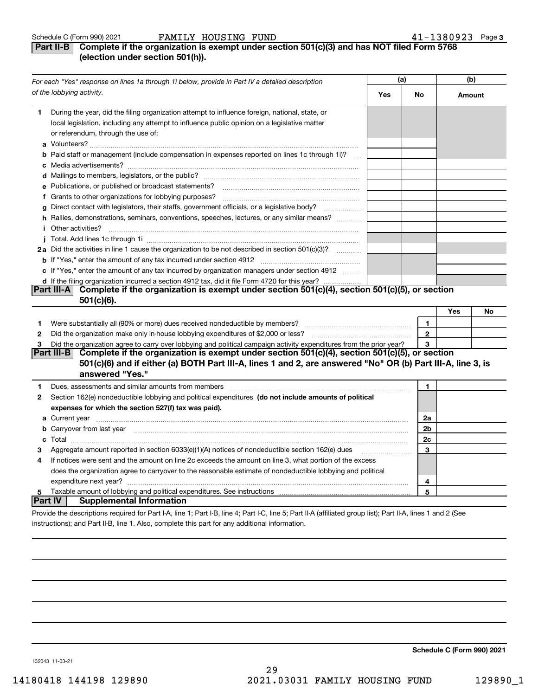### **Part II-B** Complete if the organization is exempt under section 501(c)(3) and has NOT filed Form 5768 **(election under section 501(h)).**

|                | For each "Yes" response on lines 1a through 1i below, provide in Part IV a detailed description                                                                                                                                                       | (a) |              | (b)    |    |
|----------------|-------------------------------------------------------------------------------------------------------------------------------------------------------------------------------------------------------------------------------------------------------|-----|--------------|--------|----|
|                | of the lobbying activity.                                                                                                                                                                                                                             | Yes | No           | Amount |    |
| 1              | During the year, did the filing organization attempt to influence foreign, national, state, or<br>local legislation, including any attempt to influence public opinion on a legislative matter<br>or referendum, through the use of:                  |     |              |        |    |
|                | <b>b</b> Paid staff or management (include compensation in expenses reported on lines 1c through 1i)?<br>$\ddotsc$                                                                                                                                    |     |              |        |    |
|                |                                                                                                                                                                                                                                                       |     |              |        |    |
|                | e Publications, or published or broadcast statements?                                                                                                                                                                                                 |     |              |        |    |
|                |                                                                                                                                                                                                                                                       |     |              |        |    |
|                | g Direct contact with legislators, their staffs, government officials, or a legislative body?                                                                                                                                                         |     |              |        |    |
|                | h Rallies, demonstrations, seminars, conventions, speeches, lectures, or any similar means?<br><i>i</i> Other activities?                                                                                                                             |     |              |        |    |
|                |                                                                                                                                                                                                                                                       |     |              |        |    |
|                | 2a Did the activities in line 1 cause the organization to be not described in section 501(c)(3)?                                                                                                                                                      |     |              |        |    |
|                |                                                                                                                                                                                                                                                       |     |              |        |    |
|                | c If "Yes," enter the amount of any tax incurred by organization managers under section 4912                                                                                                                                                          |     |              |        |    |
|                | d If the filing organization incurred a section 4912 tax, did it file Form 4720 for this year?                                                                                                                                                        |     |              |        |    |
|                | Complete if the organization is exempt under section 501(c)(4), section 501(c)(5), or section<br><b>Part III-A</b><br>$501(c)(6)$ .                                                                                                                   |     |              |        |    |
|                |                                                                                                                                                                                                                                                       |     |              | Yes    | No |
| 1              |                                                                                                                                                                                                                                                       |     | 1.           |        |    |
| 2              |                                                                                                                                                                                                                                                       |     | $\mathbf{2}$ |        |    |
| 3              | Did the organization agree to carry over lobbying and political campaign activity expenditures from the prior year?                                                                                                                                   |     | 3            |        |    |
|                | Complete if the organization is exempt under section 501(c)(4), section 501(c)(5), or section<br><b>Part III-BI</b><br>501(c)(6) and if either (a) BOTH Part III-A, lines 1 and 2, are answered "No" OR (b) Part III-A, line 3, is<br>answered "Yes." |     |              |        |    |
| 1              | Dues, assessments and similar amounts from members [11] matter continuum matter and similar amounts and similar                                                                                                                                       |     | 1            |        |    |
| 2              | Section 162(e) nondeductible lobbying and political expenditures (do not include amounts of political                                                                                                                                                 |     |              |        |    |
|                | expenses for which the section 527(f) tax was paid).                                                                                                                                                                                                  |     |              |        |    |
|                | <b>a</b> Current year                                                                                                                                                                                                                                 |     | 2a           |        |    |
|                | <b>b</b> Carryover from last year manufactured and content to content the content of the content of the content of the content of the content of the content of the content of the content of the content of the content of the con                   |     | 2b           |        |    |
|                |                                                                                                                                                                                                                                                       |     | 2c           |        |    |
| З              | Aggregate amount reported in section $6033(e)(1)(A)$ notices of nondeductible section $162(e)$ dues                                                                                                                                                   |     | 3            |        |    |
| 4              | If notices were sent and the amount on line 2c exceeds the amount on line 3, what portion of the excess                                                                                                                                               |     |              |        |    |
|                | does the organization agree to carryover to the reasonable estimate of nondeductible lobbying and political                                                                                                                                           |     |              |        |    |
|                | expenditure next year?                                                                                                                                                                                                                                |     | 4            |        |    |
| 5              |                                                                                                                                                                                                                                                       |     | 5            |        |    |
| <b>Part IV</b> | <b>Supplemental Information</b>                                                                                                                                                                                                                       |     |              |        |    |
|                | Provide the descriptions required for Part I-A, line 1; Part I-B, line 4; Part I-C, line 5; Part II-A (affiliated group list); Part II-A, lines 1 and 2 (See                                                                                          |     |              |        |    |

instructions); and Part II-B, line 1. Also, complete this part for any additional information.

**Schedule C (Form 990) 2021**

132043 11-03-21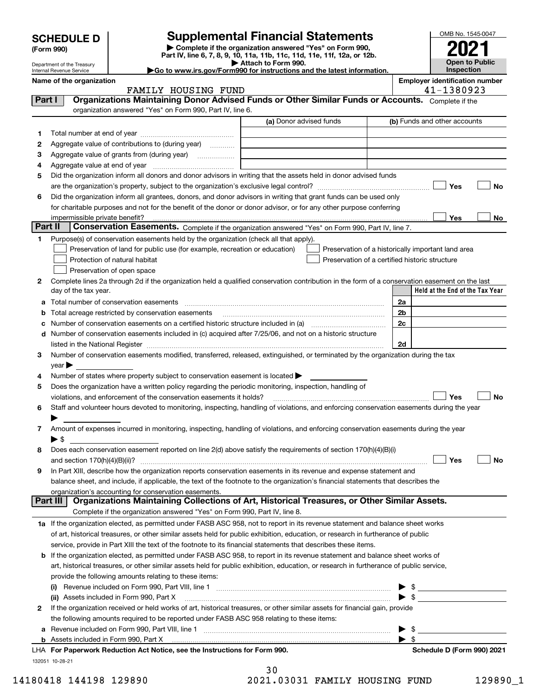| OMB No. 1545-0047<br><b>Supplemental Financial Statements</b><br>Complete if the organization answered "Yes" on Form 990,<br>Part IV, line 6, 7, 8, 9, 10, 11a, 11b, 11c, 11d, 11e, 11f, 12a, or 12b.<br><b>Open to Public</b><br>Attach to Form 990.<br>Inspection<br>Go to www.irs.gov/Form990 for instructions and the latest information.<br><b>Employer identification number</b><br>41-1380923<br>FAMILY HOUSING FUND<br>Organizations Maintaining Donor Advised Funds or Other Similar Funds or Accounts. Complete if the<br>Part I<br>organization answered "Yes" on Form 990, Part IV, line 6.<br>(a) Donor advised funds<br>(b) Funds and other accounts<br>1<br>2<br>Aggregate value of contributions to (during year)<br>з<br>4<br>Did the organization inform all donors and donor advisors in writing that the assets held in donor advised funds<br>5<br>Yes<br>No<br>Did the organization inform all grantees, donors, and donor advisors in writing that grant funds can be used only<br>6<br>for charitable purposes and not for the benefit of the donor or donor advisor, or for any other purpose conferring<br>Yes<br>No<br>impermissible private benefit?<br>Part II<br>Conservation Easements. Complete if the organization answered "Yes" on Form 990, Part IV, line 7.<br>Purpose(s) of conservation easements held by the organization (check all that apply).<br>1<br>Preservation of land for public use (for example, recreation or education)<br>Preservation of a historically important land area<br>Protection of natural habitat<br>Preservation of a certified historic structure<br>Preservation of open space<br>Complete lines 2a through 2d if the organization held a qualified conservation contribution in the form of a conservation easement on the last<br>2<br>Held at the End of the Tax Year<br>day of the tax year.<br>Total number of conservation easements<br>2a<br>2b<br>Total acreage restricted by conservation easements<br>b<br>2c<br>Number of conservation easements on a certified historic structure included in (a) manufacture included in (a)<br>Number of conservation easements included in (c) acquired after 7/25/06, and not on a historic structure<br>d<br>listed in the National Register [111] [12] The Mational Register [11] Material Register [11] Material Register<br>2d<br>Number of conservation easements modified, transferred, released, extinguished, or terminated by the organization during the tax<br>з<br>$year \blacktriangleright$<br>Number of states where property subject to conservation easement is located $\blacktriangleright$<br>4<br>5<br>Does the organization have a written policy regarding the periodic monitoring, inspection, handling of<br>Yes<br>No<br>violations, and enforcement of the conservation easements it holds?<br>Staff and volunteer hours devoted to monitoring, inspecting, handling of violations, and enforcing conservation easements during the year<br>6<br>Amount of expenses incurred in monitoring, inspecting, handling of violations, and enforcing conservation easements during the year<br>7<br>$\blacktriangleright$ \$<br>Does each conservation easement reported on line 2(d) above satisfy the requirements of section 170(h)(4)(B)(i)<br>8<br>Yes<br>and section 170(h)(4)(B)(ii)?<br>No | <b>SCHEDULE D</b><br>(Form 990)<br>Department of the Treasury<br>Internal Revenue Service<br>Name of the organization<br>In Part XIII, describe how the organization reports conservation easements in its revenue and expense statement and<br>9<br>balance sheet, and include, if applicable, the text of the footnote to the organization's financial statements that describes the<br>organization's accounting for conservation easements.<br>Organizations Maintaining Collections of Art, Historical Treasures, or Other Similar Assets.<br>Part III |  |  |  |
|---------------------------------------------------------------------------------------------------------------------------------------------------------------------------------------------------------------------------------------------------------------------------------------------------------------------------------------------------------------------------------------------------------------------------------------------------------------------------------------------------------------------------------------------------------------------------------------------------------------------------------------------------------------------------------------------------------------------------------------------------------------------------------------------------------------------------------------------------------------------------------------------------------------------------------------------------------------------------------------------------------------------------------------------------------------------------------------------------------------------------------------------------------------------------------------------------------------------------------------------------------------------------------------------------------------------------------------------------------------------------------------------------------------------------------------------------------------------------------------------------------------------------------------------------------------------------------------------------------------------------------------------------------------------------------------------------------------------------------------------------------------------------------------------------------------------------------------------------------------------------------------------------------------------------------------------------------------------------------------------------------------------------------------------------------------------------------------------------------------------------------------------------------------------------------------------------------------------------------------------------------------------------------------------------------------------------------------------------------------------------------------------------------------------------------------------------------------------------------------------------------------------------------------------------------------------------------------------------------------------------------------------------------------------------------------------------------------------------------------------------------------------------------------------------------------------------------------------------------------------------------------------------------------------------------------------------------------------------------------------------------------------------------------------------------------------------------------------------------------------------------------------------------------------------------------------------------------------------------------------------------------------------------------------------------------------------------------------|-------------------------------------------------------------------------------------------------------------------------------------------------------------------------------------------------------------------------------------------------------------------------------------------------------------------------------------------------------------------------------------------------------------------------------------------------------------------------------------------------------------------------------------------------------------|--|--|--|
|                                                                                                                                                                                                                                                                                                                                                                                                                                                                                                                                                                                                                                                                                                                                                                                                                                                                                                                                                                                                                                                                                                                                                                                                                                                                                                                                                                                                                                                                                                                                                                                                                                                                                                                                                                                                                                                                                                                                                                                                                                                                                                                                                                                                                                                                                                                                                                                                                                                                                                                                                                                                                                                                                                                                                                                                                                                                                                                                                                                                                                                                                                                                                                                                                                                                                                                                             |                                                                                                                                                                                                                                                                                                                                                                                                                                                                                                                                                             |  |  |  |
|                                                                                                                                                                                                                                                                                                                                                                                                                                                                                                                                                                                                                                                                                                                                                                                                                                                                                                                                                                                                                                                                                                                                                                                                                                                                                                                                                                                                                                                                                                                                                                                                                                                                                                                                                                                                                                                                                                                                                                                                                                                                                                                                                                                                                                                                                                                                                                                                                                                                                                                                                                                                                                                                                                                                                                                                                                                                                                                                                                                                                                                                                                                                                                                                                                                                                                                                             |                                                                                                                                                                                                                                                                                                                                                                                                                                                                                                                                                             |  |  |  |
|                                                                                                                                                                                                                                                                                                                                                                                                                                                                                                                                                                                                                                                                                                                                                                                                                                                                                                                                                                                                                                                                                                                                                                                                                                                                                                                                                                                                                                                                                                                                                                                                                                                                                                                                                                                                                                                                                                                                                                                                                                                                                                                                                                                                                                                                                                                                                                                                                                                                                                                                                                                                                                                                                                                                                                                                                                                                                                                                                                                                                                                                                                                                                                                                                                                                                                                                             |                                                                                                                                                                                                                                                                                                                                                                                                                                                                                                                                                             |  |  |  |
|                                                                                                                                                                                                                                                                                                                                                                                                                                                                                                                                                                                                                                                                                                                                                                                                                                                                                                                                                                                                                                                                                                                                                                                                                                                                                                                                                                                                                                                                                                                                                                                                                                                                                                                                                                                                                                                                                                                                                                                                                                                                                                                                                                                                                                                                                                                                                                                                                                                                                                                                                                                                                                                                                                                                                                                                                                                                                                                                                                                                                                                                                                                                                                                                                                                                                                                                             |                                                                                                                                                                                                                                                                                                                                                                                                                                                                                                                                                             |  |  |  |
|                                                                                                                                                                                                                                                                                                                                                                                                                                                                                                                                                                                                                                                                                                                                                                                                                                                                                                                                                                                                                                                                                                                                                                                                                                                                                                                                                                                                                                                                                                                                                                                                                                                                                                                                                                                                                                                                                                                                                                                                                                                                                                                                                                                                                                                                                                                                                                                                                                                                                                                                                                                                                                                                                                                                                                                                                                                                                                                                                                                                                                                                                                                                                                                                                                                                                                                                             |                                                                                                                                                                                                                                                                                                                                                                                                                                                                                                                                                             |  |  |  |
|                                                                                                                                                                                                                                                                                                                                                                                                                                                                                                                                                                                                                                                                                                                                                                                                                                                                                                                                                                                                                                                                                                                                                                                                                                                                                                                                                                                                                                                                                                                                                                                                                                                                                                                                                                                                                                                                                                                                                                                                                                                                                                                                                                                                                                                                                                                                                                                                                                                                                                                                                                                                                                                                                                                                                                                                                                                                                                                                                                                                                                                                                                                                                                                                                                                                                                                                             |                                                                                                                                                                                                                                                                                                                                                                                                                                                                                                                                                             |  |  |  |
|                                                                                                                                                                                                                                                                                                                                                                                                                                                                                                                                                                                                                                                                                                                                                                                                                                                                                                                                                                                                                                                                                                                                                                                                                                                                                                                                                                                                                                                                                                                                                                                                                                                                                                                                                                                                                                                                                                                                                                                                                                                                                                                                                                                                                                                                                                                                                                                                                                                                                                                                                                                                                                                                                                                                                                                                                                                                                                                                                                                                                                                                                                                                                                                                                                                                                                                                             |                                                                                                                                                                                                                                                                                                                                                                                                                                                                                                                                                             |  |  |  |
|                                                                                                                                                                                                                                                                                                                                                                                                                                                                                                                                                                                                                                                                                                                                                                                                                                                                                                                                                                                                                                                                                                                                                                                                                                                                                                                                                                                                                                                                                                                                                                                                                                                                                                                                                                                                                                                                                                                                                                                                                                                                                                                                                                                                                                                                                                                                                                                                                                                                                                                                                                                                                                                                                                                                                                                                                                                                                                                                                                                                                                                                                                                                                                                                                                                                                                                                             |                                                                                                                                                                                                                                                                                                                                                                                                                                                                                                                                                             |  |  |  |
|                                                                                                                                                                                                                                                                                                                                                                                                                                                                                                                                                                                                                                                                                                                                                                                                                                                                                                                                                                                                                                                                                                                                                                                                                                                                                                                                                                                                                                                                                                                                                                                                                                                                                                                                                                                                                                                                                                                                                                                                                                                                                                                                                                                                                                                                                                                                                                                                                                                                                                                                                                                                                                                                                                                                                                                                                                                                                                                                                                                                                                                                                                                                                                                                                                                                                                                                             |                                                                                                                                                                                                                                                                                                                                                                                                                                                                                                                                                             |  |  |  |
|                                                                                                                                                                                                                                                                                                                                                                                                                                                                                                                                                                                                                                                                                                                                                                                                                                                                                                                                                                                                                                                                                                                                                                                                                                                                                                                                                                                                                                                                                                                                                                                                                                                                                                                                                                                                                                                                                                                                                                                                                                                                                                                                                                                                                                                                                                                                                                                                                                                                                                                                                                                                                                                                                                                                                                                                                                                                                                                                                                                                                                                                                                                                                                                                                                                                                                                                             |                                                                                                                                                                                                                                                                                                                                                                                                                                                                                                                                                             |  |  |  |
|                                                                                                                                                                                                                                                                                                                                                                                                                                                                                                                                                                                                                                                                                                                                                                                                                                                                                                                                                                                                                                                                                                                                                                                                                                                                                                                                                                                                                                                                                                                                                                                                                                                                                                                                                                                                                                                                                                                                                                                                                                                                                                                                                                                                                                                                                                                                                                                                                                                                                                                                                                                                                                                                                                                                                                                                                                                                                                                                                                                                                                                                                                                                                                                                                                                                                                                                             |                                                                                                                                                                                                                                                                                                                                                                                                                                                                                                                                                             |  |  |  |
|                                                                                                                                                                                                                                                                                                                                                                                                                                                                                                                                                                                                                                                                                                                                                                                                                                                                                                                                                                                                                                                                                                                                                                                                                                                                                                                                                                                                                                                                                                                                                                                                                                                                                                                                                                                                                                                                                                                                                                                                                                                                                                                                                                                                                                                                                                                                                                                                                                                                                                                                                                                                                                                                                                                                                                                                                                                                                                                                                                                                                                                                                                                                                                                                                                                                                                                                             |                                                                                                                                                                                                                                                                                                                                                                                                                                                                                                                                                             |  |  |  |
|                                                                                                                                                                                                                                                                                                                                                                                                                                                                                                                                                                                                                                                                                                                                                                                                                                                                                                                                                                                                                                                                                                                                                                                                                                                                                                                                                                                                                                                                                                                                                                                                                                                                                                                                                                                                                                                                                                                                                                                                                                                                                                                                                                                                                                                                                                                                                                                                                                                                                                                                                                                                                                                                                                                                                                                                                                                                                                                                                                                                                                                                                                                                                                                                                                                                                                                                             |                                                                                                                                                                                                                                                                                                                                                                                                                                                                                                                                                             |  |  |  |
|                                                                                                                                                                                                                                                                                                                                                                                                                                                                                                                                                                                                                                                                                                                                                                                                                                                                                                                                                                                                                                                                                                                                                                                                                                                                                                                                                                                                                                                                                                                                                                                                                                                                                                                                                                                                                                                                                                                                                                                                                                                                                                                                                                                                                                                                                                                                                                                                                                                                                                                                                                                                                                                                                                                                                                                                                                                                                                                                                                                                                                                                                                                                                                                                                                                                                                                                             |                                                                                                                                                                                                                                                                                                                                                                                                                                                                                                                                                             |  |  |  |
|                                                                                                                                                                                                                                                                                                                                                                                                                                                                                                                                                                                                                                                                                                                                                                                                                                                                                                                                                                                                                                                                                                                                                                                                                                                                                                                                                                                                                                                                                                                                                                                                                                                                                                                                                                                                                                                                                                                                                                                                                                                                                                                                                                                                                                                                                                                                                                                                                                                                                                                                                                                                                                                                                                                                                                                                                                                                                                                                                                                                                                                                                                                                                                                                                                                                                                                                             |                                                                                                                                                                                                                                                                                                                                                                                                                                                                                                                                                             |  |  |  |
|                                                                                                                                                                                                                                                                                                                                                                                                                                                                                                                                                                                                                                                                                                                                                                                                                                                                                                                                                                                                                                                                                                                                                                                                                                                                                                                                                                                                                                                                                                                                                                                                                                                                                                                                                                                                                                                                                                                                                                                                                                                                                                                                                                                                                                                                                                                                                                                                                                                                                                                                                                                                                                                                                                                                                                                                                                                                                                                                                                                                                                                                                                                                                                                                                                                                                                                                             |                                                                                                                                                                                                                                                                                                                                                                                                                                                                                                                                                             |  |  |  |
|                                                                                                                                                                                                                                                                                                                                                                                                                                                                                                                                                                                                                                                                                                                                                                                                                                                                                                                                                                                                                                                                                                                                                                                                                                                                                                                                                                                                                                                                                                                                                                                                                                                                                                                                                                                                                                                                                                                                                                                                                                                                                                                                                                                                                                                                                                                                                                                                                                                                                                                                                                                                                                                                                                                                                                                                                                                                                                                                                                                                                                                                                                                                                                                                                                                                                                                                             |                                                                                                                                                                                                                                                                                                                                                                                                                                                                                                                                                             |  |  |  |
|                                                                                                                                                                                                                                                                                                                                                                                                                                                                                                                                                                                                                                                                                                                                                                                                                                                                                                                                                                                                                                                                                                                                                                                                                                                                                                                                                                                                                                                                                                                                                                                                                                                                                                                                                                                                                                                                                                                                                                                                                                                                                                                                                                                                                                                                                                                                                                                                                                                                                                                                                                                                                                                                                                                                                                                                                                                                                                                                                                                                                                                                                                                                                                                                                                                                                                                                             |                                                                                                                                                                                                                                                                                                                                                                                                                                                                                                                                                             |  |  |  |
|                                                                                                                                                                                                                                                                                                                                                                                                                                                                                                                                                                                                                                                                                                                                                                                                                                                                                                                                                                                                                                                                                                                                                                                                                                                                                                                                                                                                                                                                                                                                                                                                                                                                                                                                                                                                                                                                                                                                                                                                                                                                                                                                                                                                                                                                                                                                                                                                                                                                                                                                                                                                                                                                                                                                                                                                                                                                                                                                                                                                                                                                                                                                                                                                                                                                                                                                             |                                                                                                                                                                                                                                                                                                                                                                                                                                                                                                                                                             |  |  |  |
|                                                                                                                                                                                                                                                                                                                                                                                                                                                                                                                                                                                                                                                                                                                                                                                                                                                                                                                                                                                                                                                                                                                                                                                                                                                                                                                                                                                                                                                                                                                                                                                                                                                                                                                                                                                                                                                                                                                                                                                                                                                                                                                                                                                                                                                                                                                                                                                                                                                                                                                                                                                                                                                                                                                                                                                                                                                                                                                                                                                                                                                                                                                                                                                                                                                                                                                                             |                                                                                                                                                                                                                                                                                                                                                                                                                                                                                                                                                             |  |  |  |
|                                                                                                                                                                                                                                                                                                                                                                                                                                                                                                                                                                                                                                                                                                                                                                                                                                                                                                                                                                                                                                                                                                                                                                                                                                                                                                                                                                                                                                                                                                                                                                                                                                                                                                                                                                                                                                                                                                                                                                                                                                                                                                                                                                                                                                                                                                                                                                                                                                                                                                                                                                                                                                                                                                                                                                                                                                                                                                                                                                                                                                                                                                                                                                                                                                                                                                                                             |                                                                                                                                                                                                                                                                                                                                                                                                                                                                                                                                                             |  |  |  |
|                                                                                                                                                                                                                                                                                                                                                                                                                                                                                                                                                                                                                                                                                                                                                                                                                                                                                                                                                                                                                                                                                                                                                                                                                                                                                                                                                                                                                                                                                                                                                                                                                                                                                                                                                                                                                                                                                                                                                                                                                                                                                                                                                                                                                                                                                                                                                                                                                                                                                                                                                                                                                                                                                                                                                                                                                                                                                                                                                                                                                                                                                                                                                                                                                                                                                                                                             |                                                                                                                                                                                                                                                                                                                                                                                                                                                                                                                                                             |  |  |  |
|                                                                                                                                                                                                                                                                                                                                                                                                                                                                                                                                                                                                                                                                                                                                                                                                                                                                                                                                                                                                                                                                                                                                                                                                                                                                                                                                                                                                                                                                                                                                                                                                                                                                                                                                                                                                                                                                                                                                                                                                                                                                                                                                                                                                                                                                                                                                                                                                                                                                                                                                                                                                                                                                                                                                                                                                                                                                                                                                                                                                                                                                                                                                                                                                                                                                                                                                             |                                                                                                                                                                                                                                                                                                                                                                                                                                                                                                                                                             |  |  |  |
|                                                                                                                                                                                                                                                                                                                                                                                                                                                                                                                                                                                                                                                                                                                                                                                                                                                                                                                                                                                                                                                                                                                                                                                                                                                                                                                                                                                                                                                                                                                                                                                                                                                                                                                                                                                                                                                                                                                                                                                                                                                                                                                                                                                                                                                                                                                                                                                                                                                                                                                                                                                                                                                                                                                                                                                                                                                                                                                                                                                                                                                                                                                                                                                                                                                                                                                                             |                                                                                                                                                                                                                                                                                                                                                                                                                                                                                                                                                             |  |  |  |
|                                                                                                                                                                                                                                                                                                                                                                                                                                                                                                                                                                                                                                                                                                                                                                                                                                                                                                                                                                                                                                                                                                                                                                                                                                                                                                                                                                                                                                                                                                                                                                                                                                                                                                                                                                                                                                                                                                                                                                                                                                                                                                                                                                                                                                                                                                                                                                                                                                                                                                                                                                                                                                                                                                                                                                                                                                                                                                                                                                                                                                                                                                                                                                                                                                                                                                                                             |                                                                                                                                                                                                                                                                                                                                                                                                                                                                                                                                                             |  |  |  |
|                                                                                                                                                                                                                                                                                                                                                                                                                                                                                                                                                                                                                                                                                                                                                                                                                                                                                                                                                                                                                                                                                                                                                                                                                                                                                                                                                                                                                                                                                                                                                                                                                                                                                                                                                                                                                                                                                                                                                                                                                                                                                                                                                                                                                                                                                                                                                                                                                                                                                                                                                                                                                                                                                                                                                                                                                                                                                                                                                                                                                                                                                                                                                                                                                                                                                                                                             |                                                                                                                                                                                                                                                                                                                                                                                                                                                                                                                                                             |  |  |  |
|                                                                                                                                                                                                                                                                                                                                                                                                                                                                                                                                                                                                                                                                                                                                                                                                                                                                                                                                                                                                                                                                                                                                                                                                                                                                                                                                                                                                                                                                                                                                                                                                                                                                                                                                                                                                                                                                                                                                                                                                                                                                                                                                                                                                                                                                                                                                                                                                                                                                                                                                                                                                                                                                                                                                                                                                                                                                                                                                                                                                                                                                                                                                                                                                                                                                                                                                             |                                                                                                                                                                                                                                                                                                                                                                                                                                                                                                                                                             |  |  |  |
|                                                                                                                                                                                                                                                                                                                                                                                                                                                                                                                                                                                                                                                                                                                                                                                                                                                                                                                                                                                                                                                                                                                                                                                                                                                                                                                                                                                                                                                                                                                                                                                                                                                                                                                                                                                                                                                                                                                                                                                                                                                                                                                                                                                                                                                                                                                                                                                                                                                                                                                                                                                                                                                                                                                                                                                                                                                                                                                                                                                                                                                                                                                                                                                                                                                                                                                                             |                                                                                                                                                                                                                                                                                                                                                                                                                                                                                                                                                             |  |  |  |
|                                                                                                                                                                                                                                                                                                                                                                                                                                                                                                                                                                                                                                                                                                                                                                                                                                                                                                                                                                                                                                                                                                                                                                                                                                                                                                                                                                                                                                                                                                                                                                                                                                                                                                                                                                                                                                                                                                                                                                                                                                                                                                                                                                                                                                                                                                                                                                                                                                                                                                                                                                                                                                                                                                                                                                                                                                                                                                                                                                                                                                                                                                                                                                                                                                                                                                                                             |                                                                                                                                                                                                                                                                                                                                                                                                                                                                                                                                                             |  |  |  |
|                                                                                                                                                                                                                                                                                                                                                                                                                                                                                                                                                                                                                                                                                                                                                                                                                                                                                                                                                                                                                                                                                                                                                                                                                                                                                                                                                                                                                                                                                                                                                                                                                                                                                                                                                                                                                                                                                                                                                                                                                                                                                                                                                                                                                                                                                                                                                                                                                                                                                                                                                                                                                                                                                                                                                                                                                                                                                                                                                                                                                                                                                                                                                                                                                                                                                                                                             |                                                                                                                                                                                                                                                                                                                                                                                                                                                                                                                                                             |  |  |  |
|                                                                                                                                                                                                                                                                                                                                                                                                                                                                                                                                                                                                                                                                                                                                                                                                                                                                                                                                                                                                                                                                                                                                                                                                                                                                                                                                                                                                                                                                                                                                                                                                                                                                                                                                                                                                                                                                                                                                                                                                                                                                                                                                                                                                                                                                                                                                                                                                                                                                                                                                                                                                                                                                                                                                                                                                                                                                                                                                                                                                                                                                                                                                                                                                                                                                                                                                             |                                                                                                                                                                                                                                                                                                                                                                                                                                                                                                                                                             |  |  |  |
|                                                                                                                                                                                                                                                                                                                                                                                                                                                                                                                                                                                                                                                                                                                                                                                                                                                                                                                                                                                                                                                                                                                                                                                                                                                                                                                                                                                                                                                                                                                                                                                                                                                                                                                                                                                                                                                                                                                                                                                                                                                                                                                                                                                                                                                                                                                                                                                                                                                                                                                                                                                                                                                                                                                                                                                                                                                                                                                                                                                                                                                                                                                                                                                                                                                                                                                                             |                                                                                                                                                                                                                                                                                                                                                                                                                                                                                                                                                             |  |  |  |
|                                                                                                                                                                                                                                                                                                                                                                                                                                                                                                                                                                                                                                                                                                                                                                                                                                                                                                                                                                                                                                                                                                                                                                                                                                                                                                                                                                                                                                                                                                                                                                                                                                                                                                                                                                                                                                                                                                                                                                                                                                                                                                                                                                                                                                                                                                                                                                                                                                                                                                                                                                                                                                                                                                                                                                                                                                                                                                                                                                                                                                                                                                                                                                                                                                                                                                                                             |                                                                                                                                                                                                                                                                                                                                                                                                                                                                                                                                                             |  |  |  |
|                                                                                                                                                                                                                                                                                                                                                                                                                                                                                                                                                                                                                                                                                                                                                                                                                                                                                                                                                                                                                                                                                                                                                                                                                                                                                                                                                                                                                                                                                                                                                                                                                                                                                                                                                                                                                                                                                                                                                                                                                                                                                                                                                                                                                                                                                                                                                                                                                                                                                                                                                                                                                                                                                                                                                                                                                                                                                                                                                                                                                                                                                                                                                                                                                                                                                                                                             |                                                                                                                                                                                                                                                                                                                                                                                                                                                                                                                                                             |  |  |  |
|                                                                                                                                                                                                                                                                                                                                                                                                                                                                                                                                                                                                                                                                                                                                                                                                                                                                                                                                                                                                                                                                                                                                                                                                                                                                                                                                                                                                                                                                                                                                                                                                                                                                                                                                                                                                                                                                                                                                                                                                                                                                                                                                                                                                                                                                                                                                                                                                                                                                                                                                                                                                                                                                                                                                                                                                                                                                                                                                                                                                                                                                                                                                                                                                                                                                                                                                             |                                                                                                                                                                                                                                                                                                                                                                                                                                                                                                                                                             |  |  |  |
|                                                                                                                                                                                                                                                                                                                                                                                                                                                                                                                                                                                                                                                                                                                                                                                                                                                                                                                                                                                                                                                                                                                                                                                                                                                                                                                                                                                                                                                                                                                                                                                                                                                                                                                                                                                                                                                                                                                                                                                                                                                                                                                                                                                                                                                                                                                                                                                                                                                                                                                                                                                                                                                                                                                                                                                                                                                                                                                                                                                                                                                                                                                                                                                                                                                                                                                                             |                                                                                                                                                                                                                                                                                                                                                                                                                                                                                                                                                             |  |  |  |
|                                                                                                                                                                                                                                                                                                                                                                                                                                                                                                                                                                                                                                                                                                                                                                                                                                                                                                                                                                                                                                                                                                                                                                                                                                                                                                                                                                                                                                                                                                                                                                                                                                                                                                                                                                                                                                                                                                                                                                                                                                                                                                                                                                                                                                                                                                                                                                                                                                                                                                                                                                                                                                                                                                                                                                                                                                                                                                                                                                                                                                                                                                                                                                                                                                                                                                                                             |                                                                                                                                                                                                                                                                                                                                                                                                                                                                                                                                                             |  |  |  |
|                                                                                                                                                                                                                                                                                                                                                                                                                                                                                                                                                                                                                                                                                                                                                                                                                                                                                                                                                                                                                                                                                                                                                                                                                                                                                                                                                                                                                                                                                                                                                                                                                                                                                                                                                                                                                                                                                                                                                                                                                                                                                                                                                                                                                                                                                                                                                                                                                                                                                                                                                                                                                                                                                                                                                                                                                                                                                                                                                                                                                                                                                                                                                                                                                                                                                                                                             |                                                                                                                                                                                                                                                                                                                                                                                                                                                                                                                                                             |  |  |  |
|                                                                                                                                                                                                                                                                                                                                                                                                                                                                                                                                                                                                                                                                                                                                                                                                                                                                                                                                                                                                                                                                                                                                                                                                                                                                                                                                                                                                                                                                                                                                                                                                                                                                                                                                                                                                                                                                                                                                                                                                                                                                                                                                                                                                                                                                                                                                                                                                                                                                                                                                                                                                                                                                                                                                                                                                                                                                                                                                                                                                                                                                                                                                                                                                                                                                                                                                             |                                                                                                                                                                                                                                                                                                                                                                                                                                                                                                                                                             |  |  |  |
|                                                                                                                                                                                                                                                                                                                                                                                                                                                                                                                                                                                                                                                                                                                                                                                                                                                                                                                                                                                                                                                                                                                                                                                                                                                                                                                                                                                                                                                                                                                                                                                                                                                                                                                                                                                                                                                                                                                                                                                                                                                                                                                                                                                                                                                                                                                                                                                                                                                                                                                                                                                                                                                                                                                                                                                                                                                                                                                                                                                                                                                                                                                                                                                                                                                                                                                                             |                                                                                                                                                                                                                                                                                                                                                                                                                                                                                                                                                             |  |  |  |
|                                                                                                                                                                                                                                                                                                                                                                                                                                                                                                                                                                                                                                                                                                                                                                                                                                                                                                                                                                                                                                                                                                                                                                                                                                                                                                                                                                                                                                                                                                                                                                                                                                                                                                                                                                                                                                                                                                                                                                                                                                                                                                                                                                                                                                                                                                                                                                                                                                                                                                                                                                                                                                                                                                                                                                                                                                                                                                                                                                                                                                                                                                                                                                                                                                                                                                                                             |                                                                                                                                                                                                                                                                                                                                                                                                                                                                                                                                                             |  |  |  |
|                                                                                                                                                                                                                                                                                                                                                                                                                                                                                                                                                                                                                                                                                                                                                                                                                                                                                                                                                                                                                                                                                                                                                                                                                                                                                                                                                                                                                                                                                                                                                                                                                                                                                                                                                                                                                                                                                                                                                                                                                                                                                                                                                                                                                                                                                                                                                                                                                                                                                                                                                                                                                                                                                                                                                                                                                                                                                                                                                                                                                                                                                                                                                                                                                                                                                                                                             |                                                                                                                                                                                                                                                                                                                                                                                                                                                                                                                                                             |  |  |  |
|                                                                                                                                                                                                                                                                                                                                                                                                                                                                                                                                                                                                                                                                                                                                                                                                                                                                                                                                                                                                                                                                                                                                                                                                                                                                                                                                                                                                                                                                                                                                                                                                                                                                                                                                                                                                                                                                                                                                                                                                                                                                                                                                                                                                                                                                                                                                                                                                                                                                                                                                                                                                                                                                                                                                                                                                                                                                                                                                                                                                                                                                                                                                                                                                                                                                                                                                             |                                                                                                                                                                                                                                                                                                                                                                                                                                                                                                                                                             |  |  |  |
|                                                                                                                                                                                                                                                                                                                                                                                                                                                                                                                                                                                                                                                                                                                                                                                                                                                                                                                                                                                                                                                                                                                                                                                                                                                                                                                                                                                                                                                                                                                                                                                                                                                                                                                                                                                                                                                                                                                                                                                                                                                                                                                                                                                                                                                                                                                                                                                                                                                                                                                                                                                                                                                                                                                                                                                                                                                                                                                                                                                                                                                                                                                                                                                                                                                                                                                                             |                                                                                                                                                                                                                                                                                                                                                                                                                                                                                                                                                             |  |  |  |
|                                                                                                                                                                                                                                                                                                                                                                                                                                                                                                                                                                                                                                                                                                                                                                                                                                                                                                                                                                                                                                                                                                                                                                                                                                                                                                                                                                                                                                                                                                                                                                                                                                                                                                                                                                                                                                                                                                                                                                                                                                                                                                                                                                                                                                                                                                                                                                                                                                                                                                                                                                                                                                                                                                                                                                                                                                                                                                                                                                                                                                                                                                                                                                                                                                                                                                                                             | Complete if the organization answered "Yes" on Form 990, Part IV, line 8.                                                                                                                                                                                                                                                                                                                                                                                                                                                                                   |  |  |  |

**1a** If the organization elected, as permitted under FASB ASC 958, not to report in its revenue statement and balance sheet works of art, historical treasures, or other similar assets held for public exhibition, education, or research in furtherance of public service, provide in Part XIII the text of the footnote to its financial statements that describes these items.

### **b** If the organization elected, as permitted under FASB ASC 958, to report in its revenue statement and balance sheet works of **(i)**Revenue included on Form 990, Part VIII, line 1 art, historical treasures, or other similar assets held for public exhibition, education, or research in furtherance of public service, provide the following amounts relating to these items:  $\blacktriangleright$   $\triangle$

|   | LHA For Paperwork Reduction Act Notice, see the Instructions for Form 990.                                                                 | Schedule D (Form 990) 2021                                                                                                                                                                                                                                                                                                                                                                                                        |
|---|--------------------------------------------------------------------------------------------------------------------------------------------|-----------------------------------------------------------------------------------------------------------------------------------------------------------------------------------------------------------------------------------------------------------------------------------------------------------------------------------------------------------------------------------------------------------------------------------|
|   | <b>b</b> Assets included in Form 990, Part X <b>much and the contract of the Assets</b> included in Form 990, Part X                       |                                                                                                                                                                                                                                                                                                                                                                                                                                   |
|   | <b>a</b> Revenue included on Form 990, Part VIII, line 1                                                                                   | $\blacktriangleright$ s                                                                                                                                                                                                                                                                                                                                                                                                           |
|   | the following amounts required to be reported under FASB ASC 958 relating to these items:                                                  |                                                                                                                                                                                                                                                                                                                                                                                                                                   |
| 2 | If the organization received or held works of art, historical treasures, or other similar assets for financial gain, provide               |                                                                                                                                                                                                                                                                                                                                                                                                                                   |
|   | (ii) Assets included in Form 990, Part X [11] [12] Assets included in Form 990, Part X [12] [12] Assets included in Form 990, Part X       | $\blacktriangleright$ s                                                                                                                                                                                                                                                                                                                                                                                                           |
|   | $\mathbf{u}$ reverse included on round occ, rate vin, line responsively. The contract increase in contract of the contract of $\mathbf{u}$ | $\overline{ }$ $\overline{ }$ $\overline{ }$ $\overline{ }$ $\overline{ }$ $\overline{ }$ $\overline{ }$ $\overline{ }$ $\overline{ }$ $\overline{ }$ $\overline{ }$ $\overline{ }$ $\overline{ }$ $\overline{ }$ $\overline{ }$ $\overline{ }$ $\overline{ }$ $\overline{ }$ $\overline{ }$ $\overline{ }$ $\overline{ }$ $\overline{ }$ $\overline{ }$ $\overline{ }$ $\overline{ }$ $\overline{ }$ $\overline{ }$ $\overline{$ |

30 14180418 144198 129890 2021.03031 FAMILY HOUSING FUND 129890\_1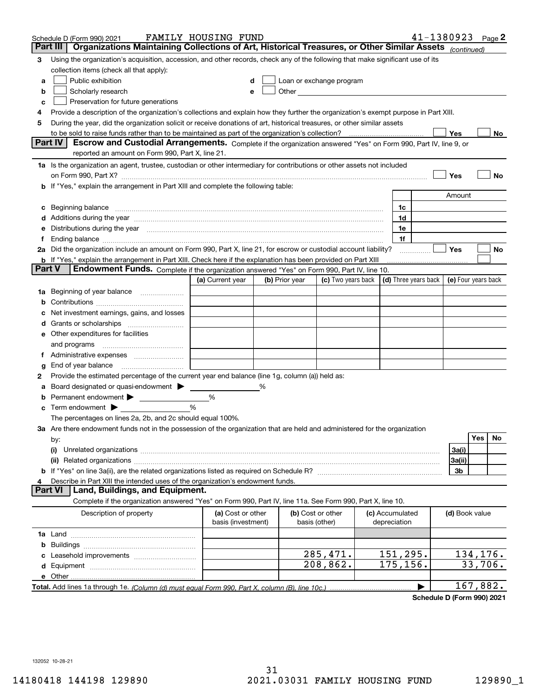|        | Schedule D (Form 990) 2021                                                                                                                                                                                                         | FAMILY HOUSING FUND                     |   |                |                                                                                                                                                                                                                               |                                 |   |                | $41 - 1380923$ Page 2 |
|--------|------------------------------------------------------------------------------------------------------------------------------------------------------------------------------------------------------------------------------------|-----------------------------------------|---|----------------|-------------------------------------------------------------------------------------------------------------------------------------------------------------------------------------------------------------------------------|---------------------------------|---|----------------|-----------------------|
|        | Organizations Maintaining Collections of Art, Historical Treasures, or Other Similar Assets (continued)<br>Part III                                                                                                                |                                         |   |                |                                                                                                                                                                                                                               |                                 |   |                |                       |
| 3      | Using the organization's acquisition, accession, and other records, check any of the following that make significant use of its                                                                                                    |                                         |   |                |                                                                                                                                                                                                                               |                                 |   |                |                       |
|        | collection items (check all that apply):                                                                                                                                                                                           |                                         |   |                |                                                                                                                                                                                                                               |                                 |   |                |                       |
| a      | Public exhibition                                                                                                                                                                                                                  |                                         |   |                | Loan or exchange program                                                                                                                                                                                                      |                                 |   |                |                       |
| b      | Scholarly research                                                                                                                                                                                                                 |                                         |   |                | Other and the contract of the contract of the contract of the contract of the contract of the contract of the contract of the contract of the contract of the contract of the contract of the contract of the contract of the |                                 |   |                |                       |
| с      | Preservation for future generations                                                                                                                                                                                                |                                         |   |                |                                                                                                                                                                                                                               |                                 |   |                |                       |
| 4      | Provide a description of the organization's collections and explain how they further the organization's exempt purpose in Part XIII.                                                                                               |                                         |   |                |                                                                                                                                                                                                                               |                                 |   |                |                       |
| 5      | During the year, did the organization solicit or receive donations of art, historical treasures, or other similar assets                                                                                                           |                                         |   |                |                                                                                                                                                                                                                               |                                 |   |                |                       |
|        | to be sold to raise funds rather than to be maintained as part of the organization's collection?                                                                                                                                   |                                         |   |                |                                                                                                                                                                                                                               |                                 |   | Yes            | No                    |
|        | Escrow and Custodial Arrangements. Complete if the organization answered "Yes" on Form 990, Part IV, line 9, or<br><b>Part IV</b><br>reported an amount on Form 990, Part X, line 21.                                              |                                         |   |                |                                                                                                                                                                                                                               |                                 |   |                |                       |
|        |                                                                                                                                                                                                                                    |                                         |   |                |                                                                                                                                                                                                                               |                                 |   |                |                       |
|        | 1a Is the organization an agent, trustee, custodian or other intermediary for contributions or other assets not included                                                                                                           |                                         |   |                |                                                                                                                                                                                                                               |                                 |   | Yes            | No                    |
|        | on Form 990, Part X? [11] matter contracts and contracts and contracts are contracted as a form 990, Part X?<br><b>b</b> If "Yes," explain the arrangement in Part XIII and complete the following table:                          |                                         |   |                |                                                                                                                                                                                                                               |                                 |   |                |                       |
|        |                                                                                                                                                                                                                                    |                                         |   |                |                                                                                                                                                                                                                               |                                 |   | Amount         |                       |
| c      | Beginning balance <u>manual membershare communication</u> and the set of the set of the set of the set of the set of the set of the set of the set of the set of the set of the set of the set of the set of the set of the set of |                                         |   |                |                                                                                                                                                                                                                               | 1c                              |   |                |                       |
|        | d Additions during the year measurements are all an according to the year.                                                                                                                                                         |                                         |   |                |                                                                                                                                                                                                                               | 1d                              |   |                |                       |
|        | e Distributions during the year manufactured and continuum and contained and the year manufactured and contained and the year manufactured and contained and contained and contained and contained and contained and contained     |                                         |   |                |                                                                                                                                                                                                                               | 1e                              |   |                |                       |
|        |                                                                                                                                                                                                                                    |                                         |   |                |                                                                                                                                                                                                                               | 1f                              |   |                |                       |
|        | 2a Did the organization include an amount on Form 990, Part X, line 21, for escrow or custodial account liability?                                                                                                                 |                                         |   |                |                                                                                                                                                                                                                               |                                 | . | Yes            | No                    |
|        | <b>b</b> If "Yes," explain the arrangement in Part XIII. Check here if the explanation has been provided on Part XIII                                                                                                              |                                         |   |                |                                                                                                                                                                                                                               |                                 |   |                |                       |
| Part V | Endowment Funds. Complete if the organization answered "Yes" on Form 990, Part IV, line 10.                                                                                                                                        |                                         |   |                |                                                                                                                                                                                                                               |                                 |   |                |                       |
|        |                                                                                                                                                                                                                                    | (a) Current year                        |   | (b) Prior year | (c) Two years back $\vert$ (d) Three years back $\vert$                                                                                                                                                                       |                                 |   |                | (e) Four years back   |
|        | 1a Beginning of year balance                                                                                                                                                                                                       |                                         |   |                |                                                                                                                                                                                                                               |                                 |   |                |                       |
| b      |                                                                                                                                                                                                                                    |                                         |   |                |                                                                                                                                                                                                                               |                                 |   |                |                       |
|        | Net investment earnings, gains, and losses                                                                                                                                                                                         |                                         |   |                |                                                                                                                                                                                                                               |                                 |   |                |                       |
|        |                                                                                                                                                                                                                                    |                                         |   |                |                                                                                                                                                                                                                               |                                 |   |                |                       |
|        | e Other expenditures for facilities                                                                                                                                                                                                |                                         |   |                |                                                                                                                                                                                                                               |                                 |   |                |                       |
|        |                                                                                                                                                                                                                                    |                                         |   |                |                                                                                                                                                                                                                               |                                 |   |                |                       |
|        | f Administrative expenses                                                                                                                                                                                                          |                                         |   |                |                                                                                                                                                                                                                               |                                 |   |                |                       |
| g      | End of year balance <i>manually contained</i>                                                                                                                                                                                      |                                         |   |                |                                                                                                                                                                                                                               |                                 |   |                |                       |
| 2      | Provide the estimated percentage of the current year end balance (line 1g, column (a)) held as:                                                                                                                                    |                                         |   |                |                                                                                                                                                                                                                               |                                 |   |                |                       |
| а      | Board designated or quasi-endowment                                                                                                                                                                                                |                                         | % |                |                                                                                                                                                                                                                               |                                 |   |                |                       |
| b      | Permanent endowment >                                                                                                                                                                                                              | %                                       |   |                |                                                                                                                                                                                                                               |                                 |   |                |                       |
|        | $\mathbf c$ Term endowment $\blacktriangleright$                                                                                                                                                                                   | %                                       |   |                |                                                                                                                                                                                                                               |                                 |   |                |                       |
|        | The percentages on lines 2a, 2b, and 2c should equal 100%.                                                                                                                                                                         |                                         |   |                |                                                                                                                                                                                                                               |                                 |   |                |                       |
|        | 3a Are there endowment funds not in the possession of the organization that are held and administered for the organization                                                                                                         |                                         |   |                |                                                                                                                                                                                                                               |                                 |   |                | <b>Yes</b><br>No      |
|        | by:<br>(i)                                                                                                                                                                                                                         |                                         |   |                |                                                                                                                                                                                                                               |                                 |   | 3a(i)          |                       |
|        |                                                                                                                                                                                                                                    |                                         |   |                |                                                                                                                                                                                                                               |                                 |   | 3a(ii)         |                       |
|        |                                                                                                                                                                                                                                    |                                         |   |                |                                                                                                                                                                                                                               |                                 |   | 3b             |                       |
|        | Describe in Part XIII the intended uses of the organization's endowment funds.                                                                                                                                                     |                                         |   |                |                                                                                                                                                                                                                               |                                 |   |                |                       |
|        | Land, Buildings, and Equipment.<br>Part VI                                                                                                                                                                                         |                                         |   |                |                                                                                                                                                                                                                               |                                 |   |                |                       |
|        | Complete if the organization answered "Yes" on Form 990, Part IV, line 11a. See Form 990, Part X, line 10.                                                                                                                         |                                         |   |                |                                                                                                                                                                                                                               |                                 |   |                |                       |
|        | Description of property                                                                                                                                                                                                            | (a) Cost or other<br>basis (investment) |   |                | (b) Cost or other<br>basis (other)                                                                                                                                                                                            | (c) Accumulated<br>depreciation |   | (d) Book value |                       |
|        |                                                                                                                                                                                                                                    |                                         |   |                |                                                                                                                                                                                                                               |                                 |   |                |                       |
| b      |                                                                                                                                                                                                                                    |                                         |   |                |                                                                                                                                                                                                                               |                                 |   |                |                       |
|        |                                                                                                                                                                                                                                    |                                         |   |                | 285,471.                                                                                                                                                                                                                      | 151,295.                        |   |                | 134, 176.             |
|        |                                                                                                                                                                                                                                    |                                         |   |                | 208,862.                                                                                                                                                                                                                      | 175,156.                        |   |                | 33,706.               |
|        |                                                                                                                                                                                                                                    |                                         |   |                |                                                                                                                                                                                                                               |                                 |   |                |                       |
|        |                                                                                                                                                                                                                                    |                                         |   |                |                                                                                                                                                                                                                               |                                 | ▶ |                | 167,882.              |

**Schedule D (Form 990) 2021**

132052 10-28-21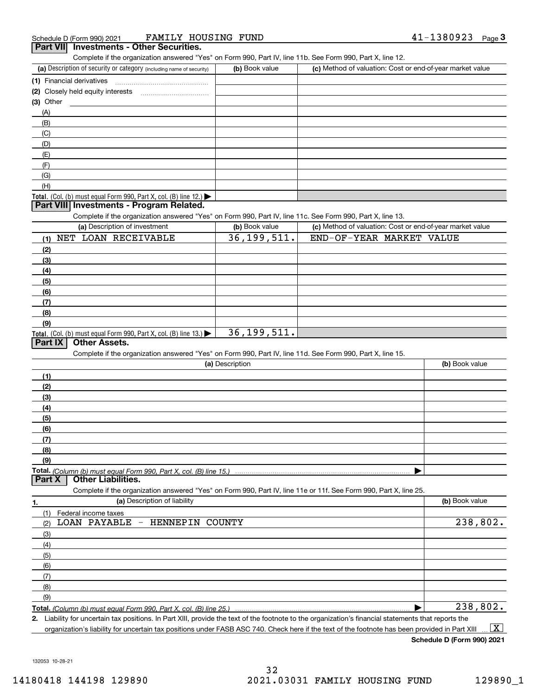| Schedule D (Form 990) 2021          | HOUSING<br>FAMILY<br>FUND | Page<br>LJOUJZJ |
|-------------------------------------|---------------------------|-----------------|
| the contract of the contract of the |                           |                 |

| Schedule D (Form 990) 2021                      | FAMILY HOUSING FUND |                                                                                                            | 41-1380923 | Page J |
|-------------------------------------------------|---------------------|------------------------------------------------------------------------------------------------------------|------------|--------|
| <b>Part VII</b> Investments - Other Securities. |                     |                                                                                                            |            |        |
|                                                 |                     | Complete if the organization answered "Yes" on Form 990, Part IV, line 11b, See Form 990, Part X, line 12. |            |        |
|                                                 |                     |                                                                                                            |            |        |

| (a) Description of security or category (including name of security)                   | (b) Book value | (c) Method of valuation: Cost or end-of-year market value |
|----------------------------------------------------------------------------------------|----------------|-----------------------------------------------------------|
| (1) Financial derivatives                                                              |                |                                                           |
| (2) Closely held equity interests                                                      |                |                                                           |
| $(3)$ Other                                                                            |                |                                                           |
| (A)                                                                                    |                |                                                           |
| (B)                                                                                    |                |                                                           |
| (C)                                                                                    |                |                                                           |
| (D)                                                                                    |                |                                                           |
| (E)                                                                                    |                |                                                           |
| (F)                                                                                    |                |                                                           |
| (G)                                                                                    |                |                                                           |
| (H)                                                                                    |                |                                                           |
| Total. (Col. (b) must equal Form 990, Part X, col. (B) line 12.) $\blacktriangleright$ |                |                                                           |

### **Part VIII Investments - Program Related.**

Complete if the organization answered "Yes" on Form 990, Part IV, line 11c. See Form 990, Part X, line 13.

| (a) Description of investment                                              | (b) Book value | (c) Method of valuation: Cost or end-of-year market value |
|----------------------------------------------------------------------------|----------------|-----------------------------------------------------------|
| (1) NET LOAN RECEIVABLE                                                    | 36, 199, 511.  | END-OF-YEAR MARKET VALUE                                  |
| (2)                                                                        |                |                                                           |
| $\frac{1}{2}$                                                              |                |                                                           |
| (4)                                                                        |                |                                                           |
| $\frac{1}{2}$                                                              |                |                                                           |
| (6)                                                                        |                |                                                           |
| (7)                                                                        |                |                                                           |
| (8)                                                                        |                |                                                           |
| (9)                                                                        |                |                                                           |
| <b>Total.</b> (Col. (b) must equal Form 990, Part X, col. (B) line $13.$ ) | 36, 199, 511.  |                                                           |

# **Part IX Other Assets.**

Complete if the organization answered "Yes" on Form 990, Part IV, line 11d. See Form 990, Part X, line 15.

| (a) Description                 | (b) Book value |
|---------------------------------|----------------|
| (1)                             |                |
| (2)                             |                |
| (3)                             |                |
| (4)                             |                |
| (5)                             |                |
| (6)                             |                |
| (7)                             |                |
| (8)                             |                |
| (9)                             |                |
|                                 |                |
| <b>Part X Other Liabilities</b> |                |

### **Part X Other Liabilities.**

Complete if the organization answered "Yes" on Form 990, Part IV, line 11e or 11f. See Form 990, Part X, line 25.

| 1.                  | (a) Description of liability   | (b) Book value |
|---------------------|--------------------------------|----------------|
|                     | (1) Federal income taxes       |                |
| (2)                 | LOAN PAYABLE - HENNEPIN COUNTY | 238,802.       |
| $\qquad \qquad (3)$ |                                |                |
| (4)                 |                                |                |
| $\frac{1}{2}$ (5)   |                                |                |
| (6)                 |                                |                |
| $\frac{7}{2}$       |                                |                |
| (8)                 |                                |                |
| (9)                 |                                |                |
|                     |                                | 238,802.       |

**2.** Liability for uncertain tax positions. In Part XIII, provide the text of the footnote to the organization's financial statements that reports the organization's liability for uncertain tax positions under FASB ASC 740. Check here if the text of the footnote has been provided in Part XIII  $\boxed{\text{X}}$ 

**Schedule D (Form 990) 2021**

132053 10-28-21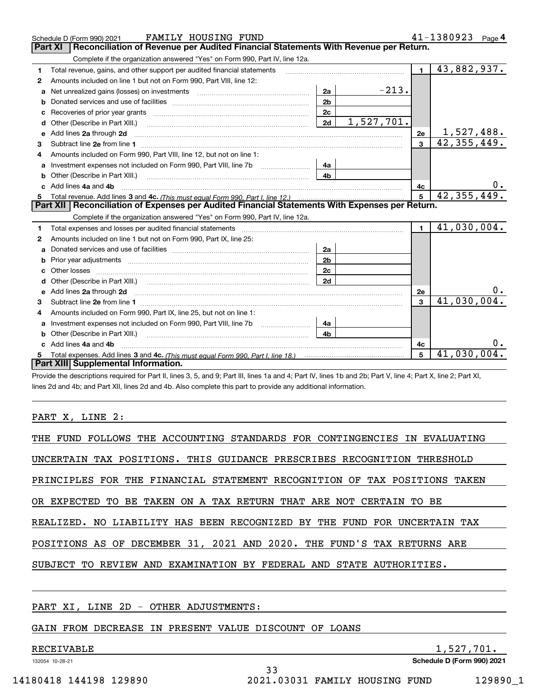|    | FAMILY HOUSING FUND<br>Schedule D (Form 990) 2021                                                                                                                                                                                    |                |            |              | $41 - 1380923$ Page 4 |
|----|--------------------------------------------------------------------------------------------------------------------------------------------------------------------------------------------------------------------------------------|----------------|------------|--------------|-----------------------|
|    | Reconciliation of Revenue per Audited Financial Statements With Revenue per Return.<br><b>Part XI</b>                                                                                                                                |                |            |              |                       |
|    | Complete if the organization answered "Yes" on Form 990, Part IV, line 12a.                                                                                                                                                          |                |            |              |                       |
| 1  | Total revenue, gains, and other support per audited financial statements                                                                                                                                                             |                |            | $\mathbf{1}$ | 43,882,937.           |
| 2  | Amounts included on line 1 but not on Form 990, Part VIII, line 12:                                                                                                                                                                  |                |            |              |                       |
| a  | Net unrealized gains (losses) on investments [11] matter contracts and the unrealized gains (losses) on investments                                                                                                                  | 2a             | $-213.$    |              |                       |
| b  |                                                                                                                                                                                                                                      | 2 <sub>b</sub> |            |              |                       |
| c  |                                                                                                                                                                                                                                      | 2c             |            |              |                       |
| d  | Other (Describe in Part XIII.)                                                                                                                                                                                                       | 2d             | 1,527,701. |              |                       |
| е  | Add lines 2a through 2d <b>continuum continuum contract and all the contract and all the contract and all the contract and all the contract of the contract of the contract of the contract of the contract of the contract of t</b> |                |            | 2e           | 1,527,488.            |
| 3  |                                                                                                                                                                                                                                      |                |            | 3            | 42,355,449.           |
|    | Amounts included on Form 990, Part VIII, line 12, but not on line 1:                                                                                                                                                                 |                |            |              |                       |
| a  | Investment expenses not included on Form 990, Part VIII, line 7b [1000000000000000000000000000000000                                                                                                                                 | 4a             |            |              |                       |
| b  | Other (Describe in Part XIII.) <b>Construction Contract Construction</b> Chern Construction Construction Construction                                                                                                                | 4 <sub>b</sub> |            |              |                       |
| c. | Add lines 4a and 4b                                                                                                                                                                                                                  |                |            | 4с           | $0$ .                 |
| 5  |                                                                                                                                                                                                                                      |                |            | 5            | 42, 355, 449.         |
|    |                                                                                                                                                                                                                                      |                |            |              |                       |
|    | Part XII   Reconciliation of Expenses per Audited Financial Statements With Expenses per Return.                                                                                                                                     |                |            |              |                       |
|    | Complete if the organization answered "Yes" on Form 990, Part IV, line 12a.                                                                                                                                                          |                |            |              |                       |
| 1  | Total expenses and losses per audited financial statements [11] [12] contain an intervention and contain a statements [13] [13] and the statements [13] [13] and the statements [13] and the statements [13] and the statement       |                |            | $\mathbf{1}$ | 41,030,004.           |
| 2  | Amounts included on line 1 but not on Form 990, Part IX, line 25:                                                                                                                                                                    |                |            |              |                       |
| a  |                                                                                                                                                                                                                                      | 2a             |            |              |                       |
| b  |                                                                                                                                                                                                                                      | 2 <sub>b</sub> |            |              |                       |
| c  |                                                                                                                                                                                                                                      | 2c             |            |              |                       |
| d  |                                                                                                                                                                                                                                      | 2d             |            |              |                       |
|    |                                                                                                                                                                                                                                      |                |            | 2e           | 0.                    |
| 3  |                                                                                                                                                                                                                                      |                |            | $\mathbf{a}$ | 41,030,004.           |
| 4  | Amounts included on Form 990, Part IX, line 25, but not on line 1:                                                                                                                                                                   |                |            |              |                       |
| a  |                                                                                                                                                                                                                                      | 4a             |            |              |                       |
| b  |                                                                                                                                                                                                                                      | 4b             |            |              |                       |
|    | Add lines 4a and 4b                                                                                                                                                                                                                  |                |            | 4c           | υ.                    |
|    | Part XIII Supplemental Information.                                                                                                                                                                                                  |                |            | 5            | $41,030,004$ .        |

Provide the descriptions required for Part II, lines 3, 5, and 9; Part III, lines 1a and 4; Part IV, lines 1b and 2b; Part V, line 4; Part X, line 2; Part XI, lines 2d and 4b; and Part XII, lines 2d and 4b. Also complete this part to provide any additional information.

### PART X, LINE 2:

| THE FUND FOLLOWS THE ACCOUNTING STANDARDS FOR CONTINGENCIES IN EVALUATING   |
|-----------------------------------------------------------------------------|
| UNCERTAIN TAX POSITIONS. THIS GUIDANCE PRESCRIBES RECOGNITION THRESHOLD     |
| PRINCIPLES FOR THE FINANCIAL STATEMENT RECOGNITION OF TAX POSITIONS TAKEN   |
| OR EXPECTED TO BE TAKEN ON A TAX RETURN THAT ARE NOT CERTAIN TO BE          |
| REALIZED. NO LIABILITY HAS BEEN RECOGNIZED BY THE FUND<br>FOR UNCERTAIN TAX |
| POSITIONS AS OF DECEMBER 31, 2021 AND 2020. THE FUND'S TAX RETURNS ARE      |
| SUBJECT TO REVIEW AND EXAMINATION BY FEDERAL AND STATE AUTHORITIES.         |
|                                                                             |

33

PART XI, LINE 2D - OTHER ADJUSTMENTS:

# GAIN FROM DECREASE IN PRESENT VALUE DISCOUNT OF LOANS

# RECEIVABLE 1,527,701.

132054 10-28-21

**Schedule D (Form 990) 2021**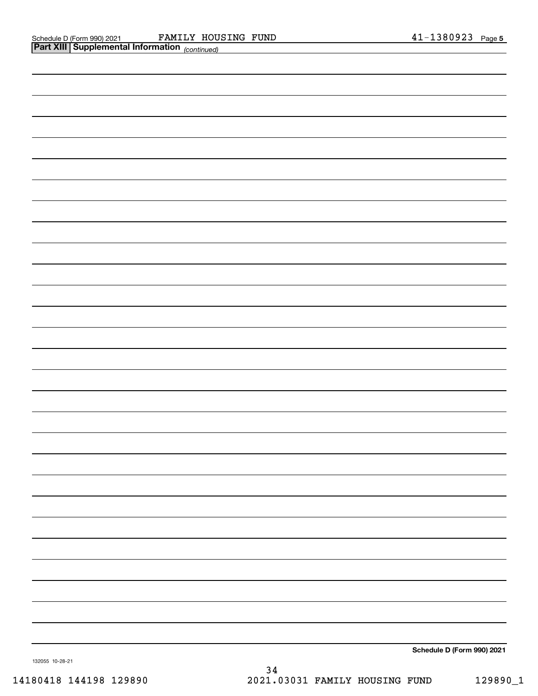| Part Alli Supplemental Information (continued) |                            |
|------------------------------------------------|----------------------------|
|                                                |                            |
|                                                |                            |
|                                                |                            |
|                                                |                            |
|                                                |                            |
|                                                |                            |
|                                                |                            |
|                                                |                            |
|                                                |                            |
|                                                |                            |
|                                                |                            |
|                                                |                            |
|                                                |                            |
|                                                |                            |
|                                                |                            |
|                                                |                            |
|                                                |                            |
|                                                |                            |
|                                                |                            |
|                                                |                            |
|                                                |                            |
|                                                |                            |
|                                                |                            |
|                                                |                            |
|                                                |                            |
|                                                |                            |
|                                                |                            |
|                                                |                            |
|                                                | Schedule D (Form 990) 2021 |

132055 10-28-21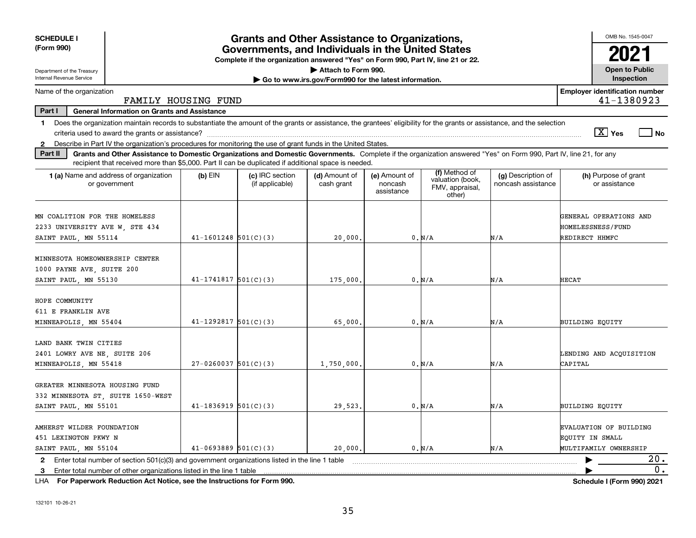| <b>SCHEDULE I</b>                                                                                                                                                                                                                                                                    |                                                                                                                                       | <b>Grants and Other Assistance to Organizations,</b> |                                                       |                                        |                                               |                                          | OMB No. 1545-0047                                                  |
|--------------------------------------------------------------------------------------------------------------------------------------------------------------------------------------------------------------------------------------------------------------------------------------|---------------------------------------------------------------------------------------------------------------------------------------|------------------------------------------------------|-------------------------------------------------------|----------------------------------------|-----------------------------------------------|------------------------------------------|--------------------------------------------------------------------|
| (Form 990)                                                                                                                                                                                                                                                                           | Governments, and Individuals in the United States<br>Complete if the organization answered "Yes" on Form 990, Part IV, line 21 or 22. |                                                      |                                                       |                                        |                                               |                                          |                                                                    |
| Department of the Treasury                                                                                                                                                                                                                                                           |                                                                                                                                       |                                                      | Attach to Form 990.                                   |                                        |                                               |                                          | <b>Open to Public</b>                                              |
| Internal Revenue Service                                                                                                                                                                                                                                                             |                                                                                                                                       |                                                      | Go to www.irs.gov/Form990 for the latest information. |                                        |                                               |                                          | Inspection                                                         |
| Name of the organization<br>FAMILY HOUSING FUND                                                                                                                                                                                                                                      |                                                                                                                                       |                                                      |                                                       |                                        |                                               |                                          | <b>Employer identification number</b><br>41-1380923                |
| Part I<br><b>General Information on Grants and Assistance</b>                                                                                                                                                                                                                        |                                                                                                                                       |                                                      |                                                       |                                        |                                               |                                          |                                                                    |
| Does the organization maintain records to substantiate the amount of the grants or assistance, the grantees' eligibility for the grants or assistance, and the selection<br>$\mathbf 1$                                                                                              |                                                                                                                                       |                                                      |                                                       |                                        |                                               |                                          |                                                                    |
|                                                                                                                                                                                                                                                                                      |                                                                                                                                       |                                                      |                                                       |                                        |                                               |                                          | $\sqrt{X}$ Yes<br>l No                                             |
| Describe in Part IV the organization's procedures for monitoring the use of grant funds in the United States.<br>$\mathbf{2}$                                                                                                                                                        |                                                                                                                                       |                                                      |                                                       |                                        |                                               |                                          |                                                                    |
| Grants and Other Assistance to Domestic Organizations and Domestic Governments. Complete if the organization answered "Yes" on Form 990, Part IV, line 21, for any<br>Part II<br>recipient that received more than \$5,000. Part II can be duplicated if additional space is needed. |                                                                                                                                       |                                                      |                                                       |                                        |                                               |                                          |                                                                    |
|                                                                                                                                                                                                                                                                                      |                                                                                                                                       |                                                      |                                                       |                                        | (f) Method of                                 |                                          |                                                                    |
| <b>1 (a)</b> Name and address of organization<br>or government                                                                                                                                                                                                                       | $(b)$ EIN                                                                                                                             | (c) IRC section<br>(if applicable)                   | (d) Amount of<br>cash grant                           | (e) Amount of<br>noncash<br>assistance | valuation (book,<br>FMV, appraisal,<br>other) | (g) Description of<br>noncash assistance | (h) Purpose of grant<br>or assistance                              |
| MN COALITION FOR THE HOMELESS<br>2233 UNIVERSITY AVE W, STE 434                                                                                                                                                                                                                      |                                                                                                                                       |                                                      |                                                       |                                        |                                               |                                          | GENERAL OPERATIONS AND<br>HOMELESSNESS/FUND                        |
| SAINT PAUL, MN 55114                                                                                                                                                                                                                                                                 | $41 - 1601248$ 501(C)(3)                                                                                                              |                                                      | 20,000,                                               |                                        | 0. N/A                                        | N/A                                      | REDIRECT HHMFC                                                     |
| MINNESOTA HOMEOWNERSHIP CENTER<br>1000 PAYNE AVE, SUITE 200                                                                                                                                                                                                                          |                                                                                                                                       |                                                      |                                                       |                                        | 0. N/A                                        |                                          | <b>HECAT</b>                                                       |
| SAINT PAUL, MN 55130                                                                                                                                                                                                                                                                 | $41 - 1741817$ 501(C)(3)                                                                                                              |                                                      | 175,000                                               |                                        |                                               | N/A                                      |                                                                    |
| HOPE COMMUNITY<br>611 E FRANKLIN AVE<br>MINNEAPOLIS, MN 55404                                                                                                                                                                                                                        | $41 - 1292817$ 501(C)(3)                                                                                                              |                                                      | 65,000.                                               |                                        | 0. N/A                                        | N/A                                      | BUILDING EOUITY                                                    |
|                                                                                                                                                                                                                                                                                      |                                                                                                                                       |                                                      |                                                       |                                        |                                               |                                          |                                                                    |
| LAND BANK TWIN CITIES<br>2401 LOWRY AVE NE, SUITE 206<br>MINNEAPOLIS, MN 55418                                                                                                                                                                                                       | $27-0260037$ 501(C)(3)                                                                                                                |                                                      | 1,750,000,                                            |                                        | 0. N/A                                        | N/A                                      | LENDING AND ACQUISITION<br>CAPITAL                                 |
| GREATER MINNESOTA HOUSING FUND<br>332 MINNESOTA ST, SUITE 1650-WEST<br>SAINT PAUL, MN 55101                                                                                                                                                                                          | $41 - 1836919$ 501(C)(3)                                                                                                              |                                                      | 29,523.                                               |                                        | 0. N/A                                        | N/A                                      | BUILDING EQUITY                                                    |
| AMHERST WILDER FOUNDATION<br>451 LEXINGTON PKWY N<br>SAINT PAUL, MN 55104                                                                                                                                                                                                            | $41-0693889$ $501(C)(3)$                                                                                                              |                                                      | 20,000.                                               |                                        | 0. N/A                                        | N/A                                      | EVALUATION OF BUILDING<br>EQUITY IN SMALL<br>MULTIFAMILY OWNERSHIP |
| 2 Enter total number of section 501(c)(3) and government organizations listed in the line 1 table                                                                                                                                                                                    |                                                                                                                                       |                                                      |                                                       |                                        |                                               |                                          | 20.                                                                |
| 3 Enter total number of other organizations listed in the line 1 table                                                                                                                                                                                                               |                                                                                                                                       |                                                      |                                                       |                                        |                                               |                                          | 0.                                                                 |

**For Paperwork Reduction Act Notice, see the Instructions for Form 990. Schedule I (Form 990) 2021** LHA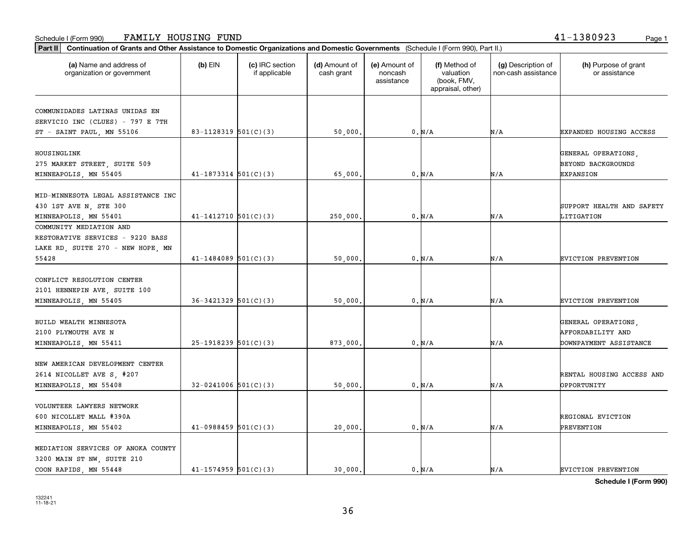# 132241 11-18-21

**Schedule I (Form 990)**

| (a) Name and address of<br>organization or government | $(b)$ EIN                  | (c) IRC section<br>if applicable | (d) Amount of<br>cash grant | (e) Amount of<br>noncash<br>assistance | (f) Method of<br>valuation<br>(book, FMV,<br>appraisal, other) | (g) Description of<br>non-cash assistance | (h) Purpose of grant<br>or assistance |
|-------------------------------------------------------|----------------------------|----------------------------------|-----------------------------|----------------------------------------|----------------------------------------------------------------|-------------------------------------------|---------------------------------------|
| COMMUNIDADES LATINAS UNIDAS EN                        |                            |                                  |                             |                                        |                                                                |                                           |                                       |
| SERVICIO INC (CLUES) - 797 E 7TH                      |                            |                                  |                             |                                        |                                                                |                                           |                                       |
| ST - SAINT PAUL, MN 55106                             | 83-1128319 $501(C)(3)$     |                                  | 50,000.                     |                                        | 0. N/A                                                         | N/A                                       | EXPANDED HOUSING ACCESS               |
| HOUSINGLINK                                           |                            |                                  |                             |                                        |                                                                |                                           | GENERAL OPERATIONS,                   |
| 275 MARKET STREET, SUITE 509                          |                            |                                  |                             |                                        |                                                                |                                           | <b>BEYOND BACKGROUNDS</b>             |
| MINNEAPOLIS, MN 55405                                 | $41-1873314$ $501(C)(3)$   |                                  | 65,000.                     |                                        | 0. N/A                                                         | N/A                                       | <b>EXPANSION</b>                      |
|                                                       |                            |                                  |                             |                                        |                                                                |                                           |                                       |
| MID-MINNESOTA LEGAL ASSISTANCE INC                    |                            |                                  |                             |                                        |                                                                |                                           |                                       |
| 430 1ST AVE N, STE 300                                |                            |                                  |                             |                                        |                                                                |                                           | SUPPORT HEALTH AND SAFETY             |
| MINNEAPOLIS, MN 55401                                 | $41 - 1412710$ $501(C)(3)$ |                                  | 250,000.                    |                                        | 0. N/A                                                         | N/A                                       | LITIGATION                            |
| COMMUNITY MEDIATION AND                               |                            |                                  |                             |                                        |                                                                |                                           |                                       |
| RESTORATIVE SERVICES - 9220 BASS                      |                            |                                  |                             |                                        |                                                                |                                           |                                       |
| LAKE RD, SUITE 270 - NEW HOPE, MN                     |                            |                                  |                             |                                        |                                                                |                                           |                                       |
| 55428                                                 | $41 - 1484089$ 501(C)(3)   |                                  | 50,000.                     |                                        | 0. N/A                                                         | N/A                                       | EVICTION PREVENTION                   |
|                                                       |                            |                                  |                             |                                        |                                                                |                                           |                                       |
| CONFLICT RESOLUTION CENTER                            |                            |                                  |                             |                                        |                                                                |                                           |                                       |
| 2101 HENNEPIN AVE, SUITE 100                          |                            |                                  |                             |                                        |                                                                |                                           |                                       |
| MINNEAPOLIS, MN 55405                                 | $36 - 3421329$ $501(C)(3)$ |                                  | 50,000.                     |                                        | 0. N/A                                                         | N/A                                       | EVICTION PREVENTION                   |
| BUILD WEALTH MINNESOTA                                |                            |                                  |                             |                                        |                                                                |                                           | GENERAL OPERATIONS,                   |
| 2100 PLYMOUTH AVE N                                   |                            |                                  |                             |                                        |                                                                |                                           | AFFORDABILITY AND                     |
|                                                       | $25-1918239$ $501(C)(3)$   |                                  | 873,000.                    |                                        | 0. N/A                                                         | N/A                                       | DOWNPAYMENT ASSISTANCE                |
| MINNEAPOLIS, MN 55411                                 |                            |                                  |                             |                                        |                                                                |                                           |                                       |
| NEW AMERICAN DEVELOPMENT CENTER                       |                            |                                  |                             |                                        |                                                                |                                           |                                       |
| 2614 NICOLLET AVE S, #207                             |                            |                                  |                             |                                        |                                                                |                                           | RENTAL HOUSING ACCESS AND             |
| MINNEAPOLIS, MN 55408                                 | $32-0241006$ 501(C)(3)     |                                  | 50,000.                     |                                        | 0. N/A                                                         | N/A                                       | OPPORTUNITY                           |
|                                                       |                            |                                  |                             |                                        |                                                                |                                           |                                       |
| VOLUNTEER LAWYERS NETWORK                             |                            |                                  |                             |                                        |                                                                |                                           |                                       |
| 600 NICOLLET MALL #390A                               |                            |                                  |                             |                                        |                                                                |                                           | REGIONAL EVICTION                     |
| MINNEAPOLIS, MN 55402                                 | $41-0988459$ 501(C)(3)     |                                  | 20,000.                     |                                        | 0. N/A                                                         | N/A                                       | PREVENTION                            |
|                                                       |                            |                                  |                             |                                        |                                                                |                                           |                                       |
| MEDIATION SERVICES OF ANOKA COUNTY                    |                            |                                  |                             |                                        |                                                                |                                           |                                       |
| 3200 MAIN ST NW, SUITE 210                            |                            |                                  |                             |                                        |                                                                |                                           |                                       |
| COON RAPIDS, MN 55448                                 | $41 - 1574959$ $501(C)(3)$ |                                  | 30,000.                     |                                        | 0. N/A                                                         | N/A                                       | EVICTION PREVENTION                   |

36

**Part II Continuation of Grants and Other Assistance to Domestic Organizations and Domestic Governments**  (Schedule I (Form 990), Part II.)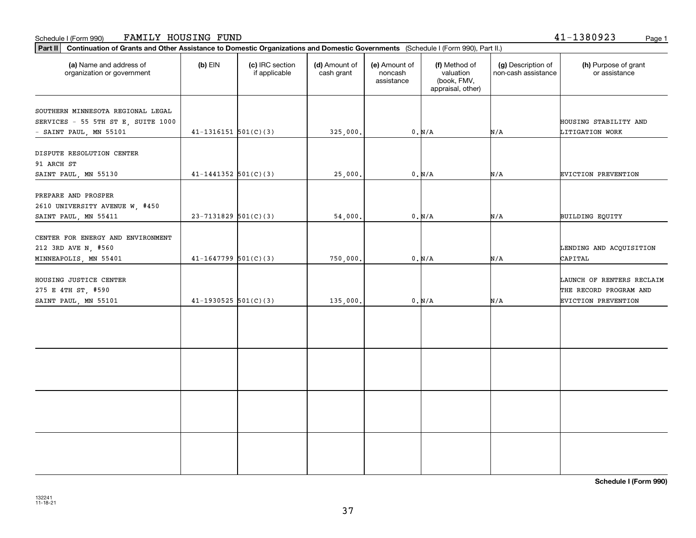### Schedule I (Form 990) Page 1 FAMILY HOUSING FUND

| (a) Name and address of<br>organization or government                                             | $(b)$ EIN                  | (c) IRC section<br>if applicable | (d) Amount of<br>cash grant | (e) Amount of<br>noncash<br>assistance | (f) Method of<br>valuation<br>(book, FMV,<br>appraisal, other) | (g) Description of<br>non-cash assistance | (h) Purpose of grant<br>or assistance                                             |
|---------------------------------------------------------------------------------------------------|----------------------------|----------------------------------|-----------------------------|----------------------------------------|----------------------------------------------------------------|-------------------------------------------|-----------------------------------------------------------------------------------|
| SOUTHERN MINNESOTA REGIONAL LEGAL<br>SERVICES - 55 5TH ST E, SUITE 1000<br>- SAINT PAUL, MN 55101 | $41-1316151$ $501(C)(3)$   |                                  | 325,000.                    |                                        | $0. N/A$                                                       | N/A                                       | HOUSING STABILITY AND<br>LITIGATION WORK                                          |
| DISPUTE RESOLUTION CENTER<br>91 ARCH ST<br>SAINT PAUL, MN 55130                                   | $41 - 1441352$ $501(C)(3)$ |                                  | 25,000.                     |                                        | $0. N/A$                                                       | N/A                                       | EVICTION PREVENTION                                                               |
| PREPARE AND PROSPER<br>2610 UNIVERSITY AVENUE W, #450<br>SAINT PAUL, MN 55411                     | $23 - 7131829$ 501(C)(3)   |                                  | 54,000.                     |                                        | 0. N/A                                                         | N/A                                       | BUILDING EQUITY                                                                   |
| CENTER FOR ENERGY AND ENVIRONMENT<br>212 3RD AVE N, #560<br>MINNEAPOLIS, MN 55401                 | $41 - 1647799$ 501(C)(3)   |                                  | 750,000.                    |                                        | 0. N/A                                                         | N/A                                       | LENDING AND ACQUISITION<br>CAPITAL                                                |
| HOUSING JUSTICE CENTER<br>275 E 4TH ST, #590<br>SAINT PAUL, MN 55101                              | $41-1930525$ 501(C)(3)     |                                  | 135,000.                    |                                        | $0. N/A$                                                       | N/A                                       | LAUNCH OF RENTERS RECLAIM<br>THE RECORD PROGRAM AND<br><b>EVICTION PREVENTION</b> |
|                                                                                                   |                            |                                  |                             |                                        |                                                                |                                           |                                                                                   |
|                                                                                                   |                            |                                  |                             |                                        |                                                                |                                           |                                                                                   |
|                                                                                                   |                            |                                  |                             |                                        |                                                                |                                           |                                                                                   |
|                                                                                                   |                            |                                  |                             |                                        |                                                                |                                           |                                                                                   |

**Schedule I (Form 990)**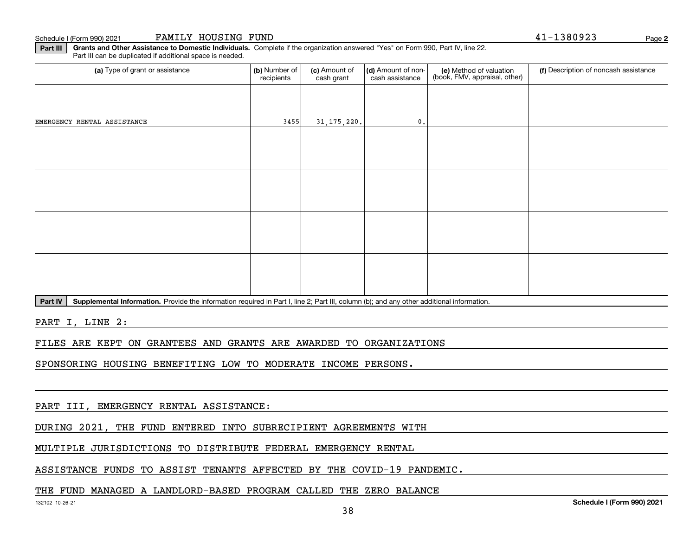Schedule I (Form 990) 2021 Page FAMILY HOUSING FUND 41-1380923

**2**

**Part III Grants and Other Assistance to Domestic Individuals.**  Complete if the organization answered "Yes" on Form 990, Part IV, line 22. Part III can be duplicated if additional space is needed.

| (a) Type of grant or assistance                                                                                                                      | (b) Number of<br>recipients | (c) Amount of<br>cash grant | (d) Amount of non-<br>cash assistance | (e) Method of valuation<br>(book, FMV, appraisal, other) | (f) Description of noncash assistance |
|------------------------------------------------------------------------------------------------------------------------------------------------------|-----------------------------|-----------------------------|---------------------------------------|----------------------------------------------------------|---------------------------------------|
|                                                                                                                                                      |                             |                             |                                       |                                                          |                                       |
| EMERGENCY RENTAL ASSISTANCE                                                                                                                          | 3455                        | 31, 175, 220.               | 0.                                    |                                                          |                                       |
|                                                                                                                                                      |                             |                             |                                       |                                                          |                                       |
|                                                                                                                                                      |                             |                             |                                       |                                                          |                                       |
|                                                                                                                                                      |                             |                             |                                       |                                                          |                                       |
|                                                                                                                                                      |                             |                             |                                       |                                                          |                                       |
|                                                                                                                                                      |                             |                             |                                       |                                                          |                                       |
|                                                                                                                                                      |                             |                             |                                       |                                                          |                                       |
|                                                                                                                                                      |                             |                             |                                       |                                                          |                                       |
|                                                                                                                                                      |                             |                             |                                       |                                                          |                                       |
| Part IV<br>Supplemental Information. Provide the information required in Part I, line 2; Part III, column (b); and any other additional information. |                             |                             |                                       |                                                          |                                       |

PART I, LINE 2:

FILES ARE KEPT ON GRANTEES AND GRANTS ARE AWARDED TO ORGANIZATIONS

SPONSORING HOUSING BENEFITING LOW TO MODERATE INCOME PERSONS.

PART III, EMERGENCY RENTAL ASSISTANCE:

DURING 2021, THE FUND ENTERED INTO SUBRECIPIENT AGREEMENTS WITH

MULTIPLE JURISDICTIONS TO DISTRIBUTE FEDERAL EMERGENCY RENTAL

ASSISTANCE FUNDS TO ASSIST TENANTS AFFECTED BY THE COVID-19 PANDEMIC.

### THE FUND MANAGED A LANDLORD-BASED PROGRAM CALLED THE ZERO BALANCE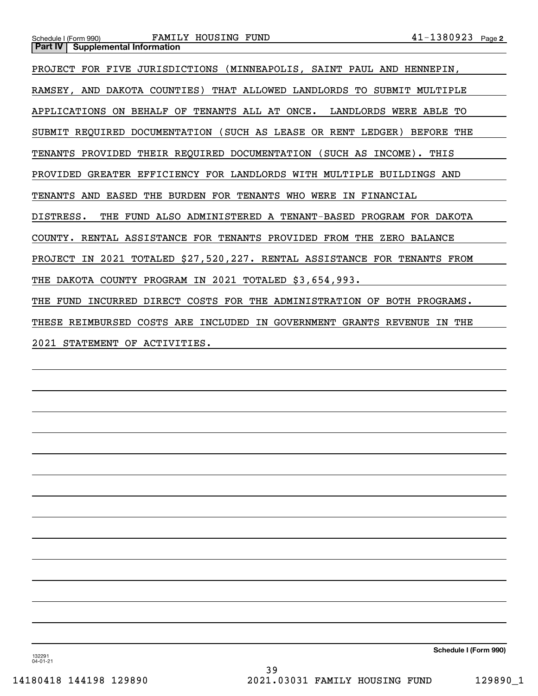| FAMILY HOUSING FUND<br>Schedule I (Form 990)<br><b>Supplemental Information</b><br>Part IV | $41 - 1380923$ Page 2 |  |  |  |  |  |
|--------------------------------------------------------------------------------------------|-----------------------|--|--|--|--|--|
|                                                                                            |                       |  |  |  |  |  |
| PROJECT FOR FIVE JURISDICTIONS (MINNEAPOLIS, SAINT PAUL AND HENNEPIN,                      |                       |  |  |  |  |  |
| RAMSEY, AND DAKOTA COUNTIES) THAT ALLOWED LANDLORDS TO SUBMIT MULTIPLE                     |                       |  |  |  |  |  |
| APPLICATIONS ON BEHALF OF TENANTS ALL AT ONCE. LANDLORDS WERE ABLE TO                      |                       |  |  |  |  |  |
| SUBMIT REQUIRED DOCUMENTATION (SUCH AS LEASE OR RENT LEDGER) BEFORE THE                    |                       |  |  |  |  |  |
| TENANTS PROVIDED THEIR REQUIRED DOCUMENTATION (SUCH AS INCOME). THIS                       |                       |  |  |  |  |  |
| PROVIDED GREATER EFFICIENCY FOR LANDLORDS WITH MULTIPLE BUILDINGS AND                      |                       |  |  |  |  |  |
| TENANTS AND EASED THE BURDEN FOR TENANTS WHO WERE IN FINANCIAL                             |                       |  |  |  |  |  |
| DISTRESS.<br>THE FUND ALSO ADMINISTERED A TENANT-BASED PROGRAM FOR DAKOTA                  |                       |  |  |  |  |  |
| COUNTY. RENTAL ASSISTANCE FOR TENANTS PROVIDED FROM THE ZERO BALANCE                       |                       |  |  |  |  |  |
| PROJECT IN 2021 TOTALED \$27,520,227. RENTAL ASSISTANCE FOR TENANTS FROM                   |                       |  |  |  |  |  |
| THE DAKOTA COUNTY PROGRAM IN 2021 TOTALED \$3,654,993.                                     |                       |  |  |  |  |  |
| THE FUND INCURRED DIRECT COSTS FOR THE ADMINISTRATION OF BOTH PROGRAMS.                    |                       |  |  |  |  |  |
| THESE REIMBURSED COSTS ARE INCLUDED IN GOVERNMENT GRANTS REVENUE<br>IN THE                 |                       |  |  |  |  |  |
| 2021 STATEMENT OF ACTIVITIES.                                                              |                       |  |  |  |  |  |
|                                                                                            |                       |  |  |  |  |  |

132291 04-01-21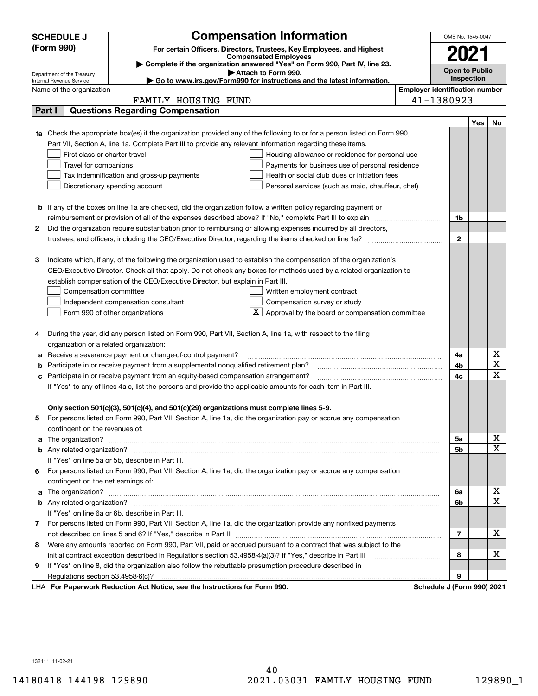| <b>SCHEDULE J</b>                                      | <b>Compensation Information</b>                                                                                                                                                                                                      |                                       | OMB No. 1545-0047          |     |                         |
|--------------------------------------------------------|--------------------------------------------------------------------------------------------------------------------------------------------------------------------------------------------------------------------------------------|---------------------------------------|----------------------------|-----|-------------------------|
| (Form 990)                                             | For certain Officers, Directors, Trustees, Key Employees, and Highest<br><b>Compensated Employees</b>                                                                                                                                |                                       | 2021                       |     |                         |
|                                                        |                                                                                                                                                                                                                                      |                                       |                            |     |                         |
|                                                        | Complete if the organization answered "Yes" on Form 990, Part IV, line 23.<br>Attach to Form 990.                                                                                                                                    |                                       | <b>Open to Public</b>      |     |                         |
| Department of the Treasury<br>Internal Revenue Service | ► Go to www.irs.gov/Form990 for instructions and the latest information.                                                                                                                                                             |                                       | Inspection                 |     |                         |
| Name of the organization                               |                                                                                                                                                                                                                                      | <b>Employer identification number</b> |                            |     |                         |
|                                                        | FAMILY HOUSING FUND                                                                                                                                                                                                                  |                                       | 41-1380923                 |     |                         |
| Part I                                                 | <b>Questions Regarding Compensation</b>                                                                                                                                                                                              |                                       |                            |     |                         |
|                                                        |                                                                                                                                                                                                                                      |                                       |                            | Yes | No                      |
|                                                        | <b>1a</b> Check the appropriate box(es) if the organization provided any of the following to or for a person listed on Form 990,                                                                                                     |                                       |                            |     |                         |
|                                                        | Part VII, Section A, line 1a. Complete Part III to provide any relevant information regarding these items.                                                                                                                           |                                       |                            |     |                         |
|                                                        | First-class or charter travel<br>Housing allowance or residence for personal use                                                                                                                                                     |                                       |                            |     |                         |
|                                                        | Travel for companions<br>Payments for business use of personal residence                                                                                                                                                             |                                       |                            |     |                         |
|                                                        | Health or social club dues or initiation fees<br>Tax indemnification and gross-up payments                                                                                                                                           |                                       |                            |     |                         |
|                                                        | Discretionary spending account<br>Personal services (such as maid, chauffeur, chef)                                                                                                                                                  |                                       |                            |     |                         |
|                                                        |                                                                                                                                                                                                                                      |                                       |                            |     |                         |
|                                                        | <b>b</b> If any of the boxes on line 1a are checked, did the organization follow a written policy regarding payment or                                                                                                               |                                       |                            |     |                         |
|                                                        |                                                                                                                                                                                                                                      |                                       | 1b                         |     |                         |
| 2                                                      | Did the organization require substantiation prior to reimbursing or allowing expenses incurred by all directors,                                                                                                                     |                                       |                            |     |                         |
|                                                        |                                                                                                                                                                                                                                      |                                       | $\mathbf{2}$               |     |                         |
|                                                        |                                                                                                                                                                                                                                      |                                       |                            |     |                         |
| З                                                      | Indicate which, if any, of the following the organization used to establish the compensation of the organization's                                                                                                                   |                                       |                            |     |                         |
|                                                        | CEO/Executive Director. Check all that apply. Do not check any boxes for methods used by a related organization to                                                                                                                   |                                       |                            |     |                         |
|                                                        | establish compensation of the CEO/Executive Director, but explain in Part III.                                                                                                                                                       |                                       |                            |     |                         |
|                                                        | Compensation committee<br>Written employment contract                                                                                                                                                                                |                                       |                            |     |                         |
|                                                        | Compensation survey or study<br>Independent compensation consultant                                                                                                                                                                  |                                       |                            |     |                         |
|                                                        | $\mathbf{X}$ Approval by the board or compensation committee<br>Form 990 of other organizations                                                                                                                                      |                                       |                            |     |                         |
|                                                        |                                                                                                                                                                                                                                      |                                       |                            |     |                         |
| 4                                                      | During the year, did any person listed on Form 990, Part VII, Section A, line 1a, with respect to the filing                                                                                                                         |                                       |                            |     |                         |
|                                                        | organization or a related organization:                                                                                                                                                                                              |                                       |                            |     |                         |
| а                                                      | Receive a severance payment or change-of-control payment?                                                                                                                                                                            |                                       | 4a                         |     | х                       |
| b                                                      | Participate in or receive payment from a supplemental nonqualified retirement plan?                                                                                                                                                  |                                       | 4b                         |     | $\overline{\textbf{X}}$ |
| с                                                      | Participate in or receive payment from an equity-based compensation arrangement?                                                                                                                                                     |                                       |                            |     | $\mathbf X$             |
|                                                        | If "Yes" to any of lines 4a-c, list the persons and provide the applicable amounts for each item in Part III.                                                                                                                        |                                       |                            |     |                         |
|                                                        |                                                                                                                                                                                                                                      |                                       |                            |     |                         |
|                                                        | Only section 501(c)(3), 501(c)(4), and 501(c)(29) organizations must complete lines 5-9.                                                                                                                                             |                                       |                            |     |                         |
|                                                        | For persons listed on Form 990, Part VII, Section A, line 1a, did the organization pay or accrue any compensation                                                                                                                    |                                       |                            |     |                         |
|                                                        | contingent on the revenues of:                                                                                                                                                                                                       |                                       |                            |     |                         |
|                                                        | a The organization? <b>Entitation</b> and the organization?                                                                                                                                                                          |                                       | 5а                         |     | x                       |
|                                                        |                                                                                                                                                                                                                                      |                                       | <b>5b</b>                  |     | $\overline{\mathbf{x}}$ |
|                                                        | If "Yes" on line 5a or 5b, describe in Part III.                                                                                                                                                                                     |                                       |                            |     |                         |
| 6.                                                     | For persons listed on Form 990, Part VII, Section A, line 1a, did the organization pay or accrue any compensation                                                                                                                    |                                       |                            |     |                         |
|                                                        | contingent on the net earnings of:                                                                                                                                                                                                   |                                       |                            |     |                         |
|                                                        | a The organization? <b>Entitled Strategies and Strategies and Strategies and Strategies and Strategies and Strategies and Strategies and Strategies and Strategies and Strategies and Strategies and Strategies and Strategies a</b> |                                       | 6a                         |     | х                       |
|                                                        |                                                                                                                                                                                                                                      |                                       | 6b                         |     | $\overline{\mathbf{X}}$ |
|                                                        | If "Yes" on line 6a or 6b, describe in Part III.                                                                                                                                                                                     |                                       |                            |     |                         |
|                                                        | 7 For persons listed on Form 990, Part VII, Section A, line 1a, did the organization provide any nonfixed payments                                                                                                                   |                                       |                            |     |                         |
|                                                        |                                                                                                                                                                                                                                      |                                       | $\overline{7}$             |     | х                       |
| 8                                                      | Were any amounts reported on Form 990, Part VII, paid or accrued pursuant to a contract that was subject to the                                                                                                                      |                                       |                            |     |                         |
|                                                        | initial contract exception described in Regulations section 53.4958-4(a)(3)? If "Yes," describe in Part III                                                                                                                          |                                       | 8                          |     | х                       |
| 9                                                      | If "Yes" on line 8, did the organization also follow the rebuttable presumption procedure described in                                                                                                                               |                                       |                            |     |                         |
|                                                        |                                                                                                                                                                                                                                      |                                       | 9                          |     |                         |
|                                                        | LHA For Paperwork Reduction Act Notice, see the Instructions for Form 990.                                                                                                                                                           |                                       | Schedule J (Form 990) 2021 |     |                         |

132111 11-02-21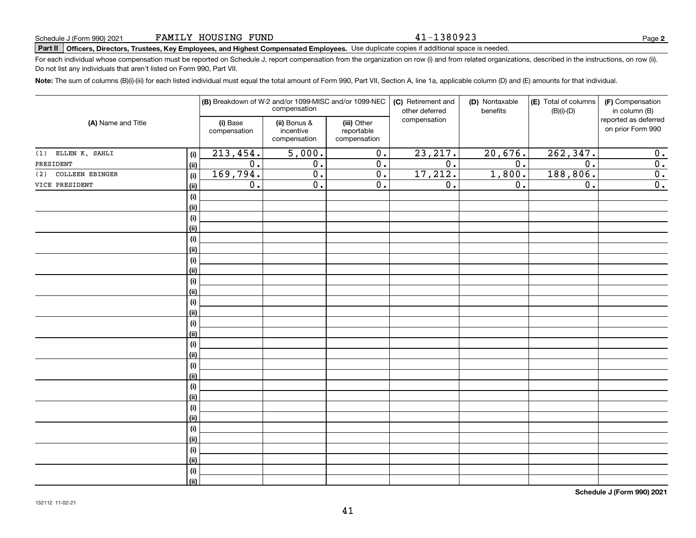### 41-1380923

**2**

# **Part II Officers, Directors, Trustees, Key Employees, and Highest Compensated Employees.**  Schedule J (Form 990) 2021 Page Use duplicate copies if additional space is needed.

For each individual whose compensation must be reported on Schedule J, report compensation from the organization on row (i) and from related organizations, described in the instructions, on row (ii). Do not list any individuals that aren't listed on Form 990, Part VII.

**Note:**  The sum of columns (B)(i)-(iii) for each listed individual must equal the total amount of Form 990, Part VII, Section A, line 1a, applicable column (D) and (E) amounts for that individual.

|                        |      |                          | (B) Breakdown of W-2 and/or 1099-MISC and/or 1099-NEC<br>compensation |                                           | (C) Retirement and<br>other deferred | (D) Nontaxable<br>benefits | (E) Total of columns<br>$(B)(i)-(D)$ | (F) Compensation<br>in column (B)         |
|------------------------|------|--------------------------|-----------------------------------------------------------------------|-------------------------------------------|--------------------------------------|----------------------------|--------------------------------------|-------------------------------------------|
| (A) Name and Title     |      | (i) Base<br>compensation | (ii) Bonus &<br>incentive<br>compensation                             | (iii) Other<br>reportable<br>compensation | compensation                         |                            |                                      | reported as deferred<br>on prior Form 990 |
| (1) ELLEN K. SAHLI     | (i)  | 213,454.                 | 5,000.                                                                | $\overline{0}$ .                          | 23, 217.                             | 20,676.                    | 262, 347.                            | $\overline{0}$ .                          |
| PRESIDENT              | (ii) | $\overline{0}$ .         | $\overline{0}$ .                                                      | $\overline{0}$ .                          | $\overline{0}$ .                     | $\overline{0}$ .           | $\overline{0}$ .                     | $\overline{\mathbf{0}}$ .                 |
| COLLEEN EBINGER<br>(2) | (i)  | 169,794.                 | $\overline{0}$ .                                                      | $\overline{0}$ .                          | 17,212.                              | 1,800.                     | 188,806.                             | $\overline{0}$ .                          |
| VICE PRESIDENT         | (ii) | $\overline{0}$ .         | $\overline{0}$ .                                                      | $\overline{0}$ .                          | 0.                                   | 0.                         | $\overline{0}$ .                     | $\overline{0}$ .                          |
|                        | (i)  |                          |                                                                       |                                           |                                      |                            |                                      |                                           |
|                        | (ii) |                          |                                                                       |                                           |                                      |                            |                                      |                                           |
|                        | (i)  |                          |                                                                       |                                           |                                      |                            |                                      |                                           |
|                        | (ii) |                          |                                                                       |                                           |                                      |                            |                                      |                                           |
|                        | (i)  |                          |                                                                       |                                           |                                      |                            |                                      |                                           |
|                        | (ii) |                          |                                                                       |                                           |                                      |                            |                                      |                                           |
|                        | (i)  |                          |                                                                       |                                           |                                      |                            |                                      |                                           |
|                        | (ii) |                          |                                                                       |                                           |                                      |                            |                                      |                                           |
|                        | (i)  |                          |                                                                       |                                           |                                      |                            |                                      |                                           |
|                        | (ii) |                          |                                                                       |                                           |                                      |                            |                                      |                                           |
|                        | (i)  |                          |                                                                       |                                           |                                      |                            |                                      |                                           |
|                        | (ii) |                          |                                                                       |                                           |                                      |                            |                                      |                                           |
|                        | (i)  |                          |                                                                       |                                           |                                      |                            |                                      |                                           |
|                        | (ii) |                          |                                                                       |                                           |                                      |                            |                                      |                                           |
|                        | (i)  |                          |                                                                       |                                           |                                      |                            |                                      |                                           |
|                        | (ii) |                          |                                                                       |                                           |                                      |                            |                                      |                                           |
|                        | (i)  |                          |                                                                       |                                           |                                      |                            |                                      |                                           |
|                        | (ii) |                          |                                                                       |                                           |                                      |                            |                                      |                                           |
|                        | (i)  |                          |                                                                       |                                           |                                      |                            |                                      |                                           |
|                        | (ii) |                          |                                                                       |                                           |                                      |                            |                                      |                                           |
|                        | (i)  |                          |                                                                       |                                           |                                      |                            |                                      |                                           |
|                        | (ii) |                          |                                                                       |                                           |                                      |                            |                                      |                                           |
|                        | (i)  |                          |                                                                       |                                           |                                      |                            |                                      |                                           |
|                        | (ii) |                          |                                                                       |                                           |                                      |                            |                                      |                                           |
|                        | (i)  |                          |                                                                       |                                           |                                      |                            |                                      |                                           |
|                        | (ii) |                          |                                                                       |                                           |                                      |                            |                                      |                                           |
|                        | (i)  |                          |                                                                       |                                           |                                      |                            |                                      |                                           |
|                        | (ii) |                          |                                                                       |                                           |                                      |                            |                                      |                                           |

**Schedule J (Form 990) 2021**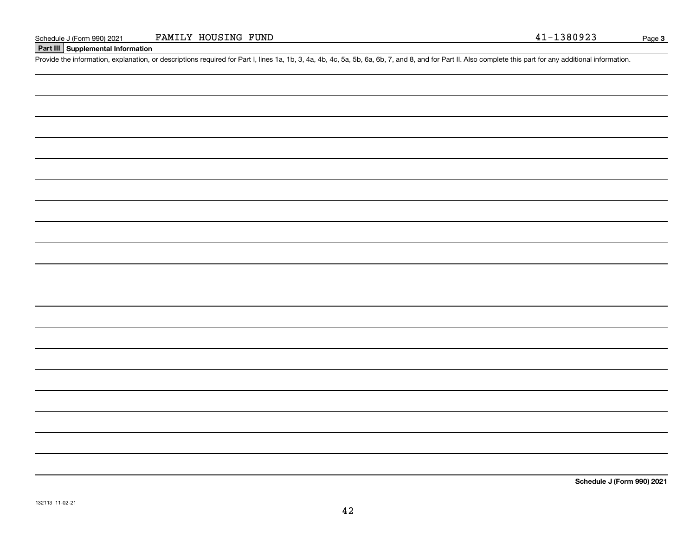### **Part III Supplemental Information**

Schedule J (Form 990) 2021 FAMILY HOUSING FUND<br>Part III Supplemental Information<br>Provide the information, explanation, or descriptions required for Part I, lines 1a, 1b, 3, 4a, 4b, 4c, 5a, 5b, 6a, 6b, 7, and 8, and for Par

**Schedule J (Form 990) 2021**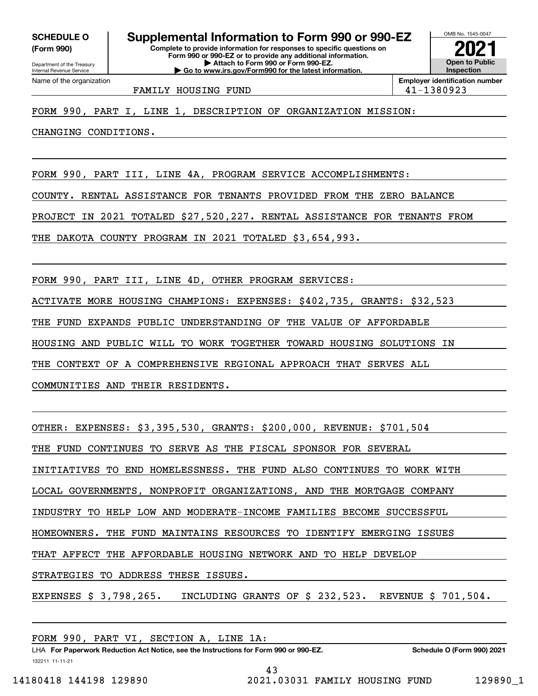**(Form 990)**

**Complete to provide information for responses to specific questions on Form 990 or 990-EZ or to provide any additional information. | Attach to Form 990 or Form 990-EZ. | Go to www.irs.gov/Form990 for the latest information. SCHEDULE O Supplemental Information to Form 990 or 990-EZ**

OMB No. 1545-0047 **Open to Public InspectionEmployer identification number 2021**

FAMILY HOUSING FUND 41-1380923

FORM 990, PART I, LINE 1, DESCRIPTION OF ORGANIZATION MISSION:

CHANGING CONDITIONS.

FORM 990, PART III, LINE 4A, PROGRAM SERVICE ACCOMPLISHMENTS:

COUNTY. RENTAL ASSISTANCE FOR TENANTS PROVIDED FROM THE ZERO BALANCE

PROJECT IN 2021 TOTALED \$27,520,227. RENTAL ASSISTANCE FOR TENANTS FROM

THE DAKOTA COUNTY PROGRAM IN 2021 TOTALED \$3,654,993.

FORM 990, PART III, LINE 4D, OTHER PROGRAM SERVICES:

ACTIVATE MORE HOUSING CHAMPIONS: EXPENSES: \$402,735, GRANTS: \$32,523

THE FUND EXPANDS PUBLIC UNDERSTANDING OF THE VALUE OF AFFORDABLE

HOUSING AND PUBLIC WILL TO WORK TOGETHER TOWARD HOUSING SOLUTIONS IN

THE CONTEXT OF A COMPREHENSIVE REGIONAL APPROACH THAT SERVES ALL

COMMUNITIES AND THEIR RESIDENTS.

OTHER: EXPENSES: \$3,395,530, GRANTS: \$200,000, REVENUE: \$701,504

THE FUND CONTINUES TO SERVE AS THE FISCAL SPONSOR FOR SEVERAL

INITIATIVES TO END HOMELESSNESS. THE FUND ALSO CONTINUES TO WORK WITH

LOCAL GOVERNMENTS, NONPROFIT ORGANIZATIONS, AND THE MORTGAGE COMPANY

INDUSTRY TO HELP LOW AND MODERATE-INCOME FAMILIES BECOME SUCCESSFUL

HOMEOWNERS. THE FUND MAINTAINS RESOURCES TO IDENTIFY EMERGING ISSUES

THAT AFFECT THE AFFORDABLE HOUSING NETWORK AND TO HELP DEVELOP

STRATEGIES TO ADDRESS THESE ISSUES.

EXPENSES \$ 3,798,265. INCLUDING GRANTS OF \$ 232,523. REVENUE \$ 701,504.

| FORM 990, PART VI, SECTION A, LINE 1A:                                               |                            |
|--------------------------------------------------------------------------------------|----------------------------|
| LHA For Paperwork Reduction Act Notice, see the Instructions for Form 990 or 990-EZ. | Schedule O (Form 990) 2021 |

132211 11-11-21

43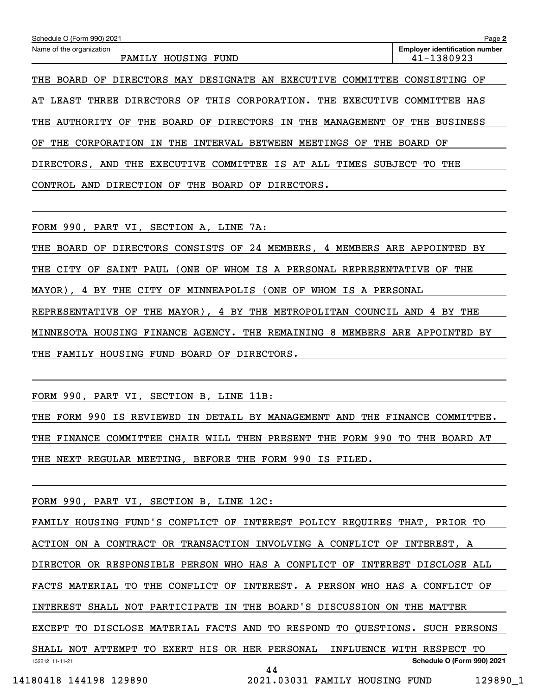| Schedule O (Form 990) 2021                                                            | Page 2                                              |
|---------------------------------------------------------------------------------------|-----------------------------------------------------|
| Name of the organization<br>FAMILY HOUSING FUND                                       | <b>Employer identification number</b><br>41-1380923 |
| DESIGNATE AN EXECUTIVE COMMITTEE<br>DIRECTORS MAY<br>BOARD<br>THE<br>OF               | CONSISTING OF                                       |
| DIRECTORS OF<br>THIS CORPORATION. THE<br>THREE<br><b>EXECUTIVE</b><br>LEAST<br>AT     | COMMITTEE<br>HAS                                    |
| BOARD OF DIRECTORS IN THE MANAGEMENT<br>AUTHORITY OF THE<br>THE                       | <b>BUSINESS</b><br>OF<br>THE                        |
| CORPORATION<br>THE<br>INTERVAL<br>BETWEEN<br>MEETINGS<br>THE<br>OF<br>THE<br>OF<br>IN | BOARD OF                                            |
| COMMITTEE IS AT ALL<br>DIRECTORS,<br>AND<br>THE<br>EXECUTIVE<br>TIMES                 | THE<br><b>SUBJECT</b><br>TО                         |
| OF<br>THE<br>DIRECTION<br>BOARD<br>AND<br>OF<br>DIRECTORS.<br>CONTROL                 |                                                     |

FORM 990, PART VI, SECTION A, LINE 7A:

THE BOARD OF DIRECTORS CONSISTS OF 24 MEMBERS, 4 MEMBERS ARE APPOINTED BY

THE CITY OF SAINT PAUL (ONE OF WHOM IS A PERSONAL REPRESENTATIVE OF THE

MAYOR), 4 BY THE CITY OF MINNEAPOLIS (ONE OF WHOM IS A PERSONAL

REPRESENTATIVE OF THE MAYOR), 4 BY THE METROPOLITAN COUNCIL AND 4 BY THE

MINNESOTA HOUSING FINANCE AGENCY. THE REMAINING 8 MEMBERS ARE APPOINTED BY

THE FAMILY HOUSING FUND BOARD OF DIRECTORS.

FORM 990, PART VI, SECTION B, LINE 11B:

THE FORM 990 IS REVIEWED IN DETAIL BY MANAGEMENT AND THE FINANCE COMMITTEE. THE FINANCE COMMITTEE CHAIR WILL THEN PRESENT THE FORM 990 TO THE BOARD AT THE NEXT REGULAR MEETING, BEFORE THE FORM 990 IS FILED.

FORM 990, PART VI, SECTION B, LINE 12C:

132212 11-11-21 **Schedule O (Form 990) 2021** FAMILY HOUSING FUND'S CONFLICT OF INTEREST POLICY REQUIRES THAT, PRIOR TO ACTION ON A CONTRACT OR TRANSACTION INVOLVING A CONFLICT OF INTEREST, A DIRECTOR OR RESPONSIBLE PERSON WHO HAS A CONFLICT OF INTEREST DISCLOSE ALL FACTS MATERIAL TO THE CONFLICT OF INTEREST. A PERSON WHO HAS A CONFLICT OF INTEREST SHALL NOT PARTICIPATE IN THE BOARD'S DISCUSSION ON THE MATTER EXCEPT TO DISCLOSE MATERIAL FACTS AND TO RESPOND TO QUESTIONS. SUCH PERSONS SHALL NOT ATTEMPT TO EXERT HIS OR HER PERSONAL INFLUENCE WITH RESPECT TO 44

14180418 144198 129890 2021.03031 FAMILY HOUSING FUND 129890\_1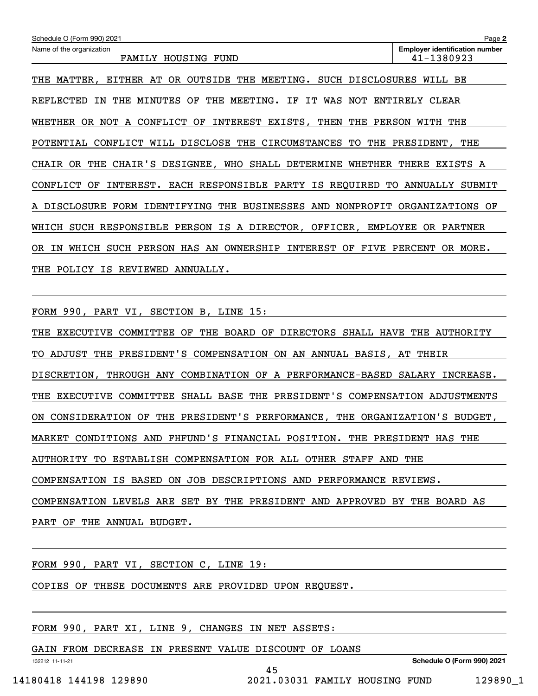| Schedule O (Form 990) 2021                                                         | Page 2                                              |
|------------------------------------------------------------------------------------|-----------------------------------------------------|
| Name of the organization<br>FAMILY HOUSING FUND                                    | <b>Employer identification number</b><br>41-1380923 |
| OUTSIDE THE MEETING. SUCH DISCLOSURES<br>THE MATTER,<br>EITHER<br>AT<br>OR.        | WILL<br>ВE                                          |
| THE<br>MINUTES<br>OF<br>THE<br>MEETING.<br>ΙF<br>WAS NOT<br>REFLECTED<br>ΙN<br>IT. | ENTIRELY<br>CLEAR                                   |
| OR NOT A CONFLICT<br>WHETHER<br>INTEREST EXISTS, THEN THE<br>OF.                   | PERSON WITH THE                                     |
| POTENTIAL CONFLICT WILL DISCLOSE THE CIRCUMSTANCES TO THE PRESIDENT, THE           |                                                     |
| CHAIR'S DESIGNEE, WHO<br>SHALL DETERMINE<br>OR .<br>THE<br>WHETHER<br>CHAIR        | THERE<br>EXISTS<br>A                                |
| INTEREST. EACH RESPONSIBLE PARTY IS REQUIRED TO<br>CONFLICT<br>OF                  | ANNUALLY<br>SUBMIT                                  |
| A DISCLOSURE FORM IDENTIFYING THE BUSINESSES AND<br>NONPROFIT                      | ORGANIZATIONS OF                                    |
| WHICH<br>SUCH RESPONSIBLE PERSON IS A DIRECTOR, OFFICER,                           | EMPLOYEE<br>OR PARTNER                              |
| SUCH PERSON HAS AN OWNERSHIP<br>INTEREST OF<br>FIVE<br>WHICH<br>OR.<br>IN          | PERCENT<br>OR MORE.                                 |
| POLICY<br>IS<br>REVIEWED<br>ANNUALLY.<br>THE                                       |                                                     |

FORM 990, PART VI, SECTION B, LINE 15:

THE EXECUTIVE COMMITTEE OF THE BOARD OF DIRECTORS SHALL HAVE THE AUTHORITY TO ADJUST THE PRESIDENT'S COMPENSATION ON AN ANNUAL BASIS, AT THEIR DISCRETION, THROUGH ANY COMBINATION OF A PERFORMANCE-BASED SALARY INCREASE. THE EXECUTIVE COMMITTEE SHALL BASE THE PRESIDENT'S COMPENSATION ADJUSTMENTS ON CONSIDERATION OF THE PRESIDENT'S PERFORMANCE, THE ORGANIZATION'S BUDGET, MARKET CONDITIONS AND FHFUND'S FINANCIAL POSITION. THE PRESIDENT HAS THE AUTHORITY TO ESTABLISH COMPENSATION FOR ALL OTHER STAFF AND THE COMPENSATION IS BASED ON JOB DESCRIPTIONS AND PERFORMANCE REVIEWS. COMPENSATION LEVELS ARE SET BY THE PRESIDENT AND APPROVED BY THE BOARD AS PART OF THE ANNUAL BUDGET.

45

FORM 990, PART VI, SECTION C, LINE 19:

COPIES OF THESE DOCUMENTS ARE PROVIDED UPON REQUEST.

FORM 990, PART XI, LINE 9, CHANGES IN NET ASSETS:

GAIN FROM DECREASE IN PRESENT VALUE DISCOUNT OF LOANS

**Schedule O (Form 990) 2021**

132212 11-11-21